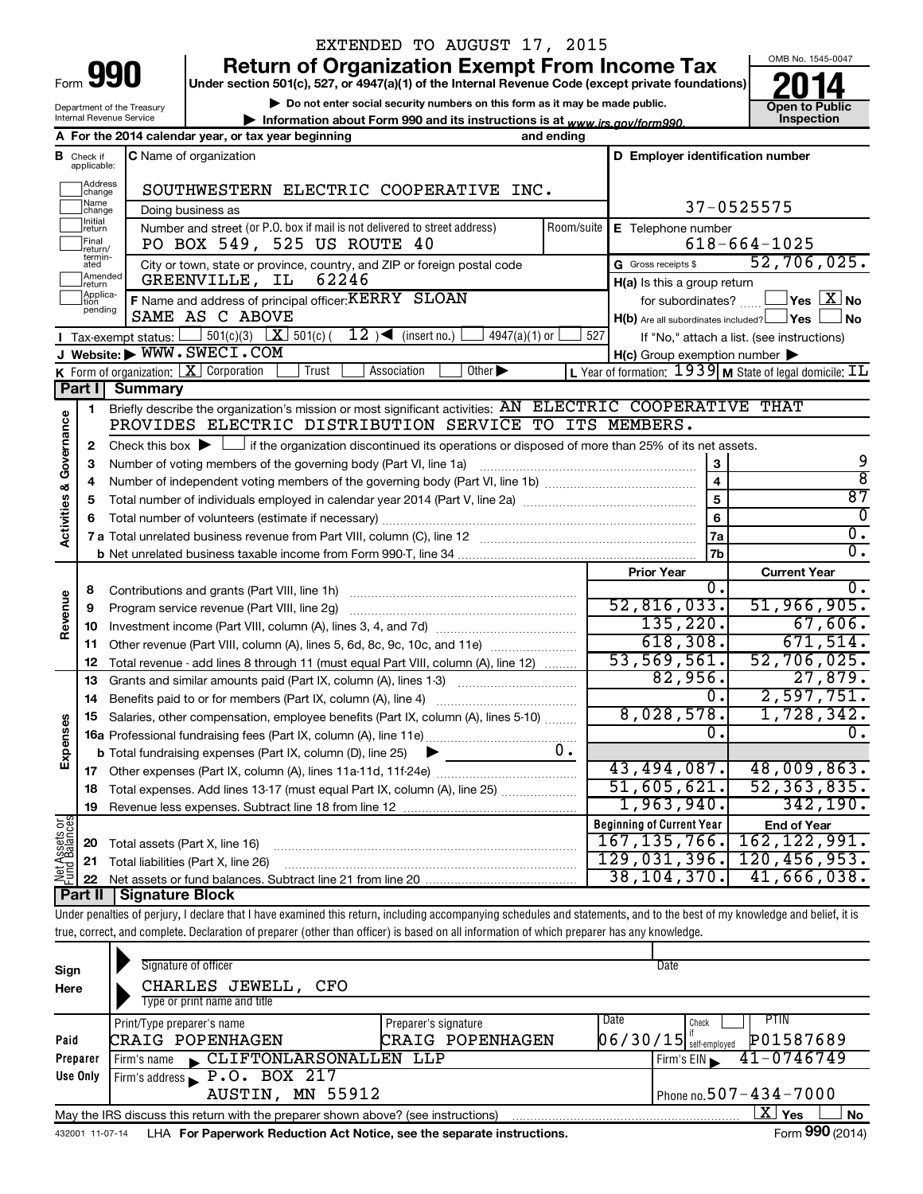| Form |  |
|------|--|

Department of the Treasury Internal Revenue Service

# EXTENDED TO AUGUST 17, 2015

**Under section 501(c), 527, or 4947(a)(1) of the Internal Revenue Code (except private foundations) 990 Return of Organization Exempt From Income Tax 1990 2014**<br>
Under section 501(c), 527, or 4947(a)(1) of the Internal Revenue Code (except private foundations) **2014** 

**| Do not enter social security numbers on this form as it may be made public.**

**| Information about Form 990 and its instructions is at www.irs.gov/form990.** | Inspection



|                                |                         | A For the 2014 calendar year, or tax year beginning                                                                                                   | and ending |                                                     |                                                         |
|--------------------------------|-------------------------|-------------------------------------------------------------------------------------------------------------------------------------------------------|------------|-----------------------------------------------------|---------------------------------------------------------|
| в                              | Check if<br>applicable: | <b>C</b> Name of organization                                                                                                                         |            | D Employer identification number                    |                                                         |
|                                | Address<br>change       | SOUTHWESTERN ELECTRIC COOPERATIVE INC.                                                                                                                |            |                                                     |                                                         |
|                                | Name<br>change          | Doing business as                                                                                                                                     |            |                                                     | 37-0525575                                              |
|                                | Initial<br>return       | Number and street (or P.O. box if mail is not delivered to street address)                                                                            | Room/suite | E Telephone number                                  |                                                         |
|                                | Final<br>return/        | PO BOX 549, 525 US ROUTE 40                                                                                                                           |            |                                                     | $618 - 664 - 1025$                                      |
|                                | termin-<br>ated         | City or town, state or province, country, and ZIP or foreign postal code                                                                              |            | G Gross receipts \$                                 | 52,706,025.                                             |
|                                | Amended<br>Ireturn      | GREENVILLE, IL<br>62246                                                                                                                               |            | $H(a)$ is this a group return                       |                                                         |
|                                | Applica-<br>pending     | F Name and address of principal officer: KERRY SLOAN                                                                                                  |            | for subordinates? $\ldots$                          | $\sqrt{}$ Yes $\sqrt{ \ \overline{\mathrm{X}}\ }$ No    |
|                                |                         | SAME AS C ABOVE                                                                                                                                       |            | H(b) Are all subordinates included? Ves             | ⊥No                                                     |
|                                |                         | 12 ) $\blacktriangleleft$ (insert no.)<br><b>I</b> Tax-exempt status: $\boxed{\phantom{0}}$ 501(c)(3) $\boxed{\mathbf{X}}$ 501(c)(<br>$4947(a)(1)$ or | 527        |                                                     | If "No," attach a list. (see instructions)              |
|                                |                         | J Website: WWW.SWECI.COM                                                                                                                              |            | $H(c)$ Group exemption number $\blacktriangleright$ |                                                         |
|                                |                         | <b>K</b> Form of organization: $\boxed{\mathbf{X}}$ Corporation<br>Trust<br>Association<br>Other $\blacktriangleright$                                |            |                                                     | L Year of formation: 1939 M State of legal domicile: IL |
|                                | Part I                  | <b>Summary</b>                                                                                                                                        |            |                                                     |                                                         |
|                                | 1                       | Briefly describe the organization's mission or most significant activities: AN ELECTRIC COOPERATIVE THAT                                              |            |                                                     |                                                         |
|                                |                         | PROVIDES ELECTRIC DISTRIBUTION SERVICE TO ITS MEMBERS.                                                                                                |            |                                                     |                                                         |
| Governance                     | 2                       | Check this box $\blacktriangleright$ $\Box$ if the organization discontinued its operations or disposed of more than 25% of its net assets.           |            |                                                     | 9                                                       |
|                                | 3                       | Number of voting members of the governing body (Part VI, line 1a)                                                                                     |            | 3<br>4                                              | ह                                                       |
|                                | 4                       |                                                                                                                                                       |            | 5                                                   | 87                                                      |
|                                | 5                       |                                                                                                                                                       |            | 6                                                   | 0                                                       |
| <b>Activities &amp;</b>        | 6                       |                                                                                                                                                       |            | 7a                                                  | 0.                                                      |
|                                |                         |                                                                                                                                                       |            | 7b                                                  | Ō.                                                      |
|                                |                         |                                                                                                                                                       |            | <b>Prior Year</b>                                   | <b>Current Year</b>                                     |
|                                | 8                       | Contributions and grants (Part VIII, line 1h)                                                                                                         |            | ο.                                                  | 0.                                                      |
| Revenue                        | 9                       | Program service revenue (Part VIII, line 2g)                                                                                                          |            | 52,816,033.                                         | 51,966,905.                                             |
|                                | 10                      |                                                                                                                                                       |            | 135,220.                                            | 67,606.                                                 |
|                                | 11                      | Other revenue (Part VIII, column (A), lines 5, 6d, 8c, 9c, 10c, and 11e)                                                                              |            | 618,308.                                            | 671,514.                                                |
|                                | 12                      | Total revenue - add lines 8 through 11 (must equal Part VIII, column (A), line 12)                                                                    |            | 53,569,561.                                         | 52,706,025.                                             |
|                                | 13                      | Grants and similar amounts paid (Part IX, column (A), lines 1-3)                                                                                      |            | 82,956.                                             | 27,879.                                                 |
|                                | 14                      |                                                                                                                                                       |            | Ο.                                                  | 2,597,751.                                              |
|                                | 15                      | Salaries, other compensation, employee benefits (Part IX, column (A), lines 5-10)                                                                     |            | 8,028,578.                                          | 1,728,342.                                              |
| Expenses                       |                         |                                                                                                                                                       |            | 0.                                                  | 0.                                                      |
|                                |                         | <b>b</b> Total fundraising expenses (Part IX, column (D), line 25)                                                                                    | υ.         |                                                     |                                                         |
|                                |                         |                                                                                                                                                       |            | 43,494,087.                                         | 48,009,863.                                             |
|                                | 18                      | Total expenses. Add lines 13-17 (must equal Part IX, column (A), line 25)                                                                             |            | 51,605,621.                                         | 52, 363, 835.                                           |
|                                | 19                      |                                                                                                                                                       |            | 1,963,940.                                          | 342,190.                                                |
| Net Assets or<br>Fund Balances |                         |                                                                                                                                                       |            | <b>Beginning of Current Year</b>                    | <b>End of Year</b>                                      |
|                                | 20                      | Total assets (Part X, line 16)                                                                                                                        |            | 167, 135, 766.                                      | 162, 122, 991.                                          |
|                                | 21                      | Total liabilities (Part X, line 26)                                                                                                                   |            | 129,031,396.                                        | 120, 456, 953.                                          |
|                                | 22                      |                                                                                                                                                       |            | 38,104,370.                                         | 41,666,038.                                             |
|                                |                         | Part II Signature Block                                                                                                                               |            |                                                     |                                                         |

Under penalties of perjury, I declare that I have examined this return, including accompanying schedules and statements, and to the best of my knowledge and belief, it is true, correct, and complete. Declaration of preparer (other than officer) is based on all information of which preparer has any knowledge.

| Sign<br>Here                                                                                                 | Signature of officer<br>CHARLES JEWELL, CFO<br>Type or print name and title                                 |                                          | Date                                                           |  |  |  |
|--------------------------------------------------------------------------------------------------------------|-------------------------------------------------------------------------------------------------------------|------------------------------------------|----------------------------------------------------------------|--|--|--|
| Paid                                                                                                         | Print/Type preparer's name<br>CRAIG POPENHAGEN                                                              | Preparer's signature<br>CRAIG POPENHAGEN | PTIN<br>Date<br>Check<br>P01587689<br>$06/30/15$ self-employed |  |  |  |
| Preparer                                                                                                     | CLIFTONLARSONALLEN LLP<br>Firm's name                                                                       |                                          | $41 - 0746749$<br>Firm's EIN                                   |  |  |  |
| Use Only                                                                                                     | Firm's address $\blacktriangleright$ P.O. BOX 217                                                           |                                          |                                                                |  |  |  |
|                                                                                                              | AUSTIN, MN 55912                                                                                            |                                          | Phone no. $507 - 434 - 7000$                                   |  |  |  |
|                                                                                                              | ΧI<br><b>No</b><br>Yes<br>May the IRS discuss this return with the preparer shown above? (see instructions) |                                          |                                                                |  |  |  |
| Form 990 (2014)<br>LHA For Paperwork Reduction Act Notice, see the separate instructions.<br>432001 11-07-14 |                                                                                                             |                                          |                                                                |  |  |  |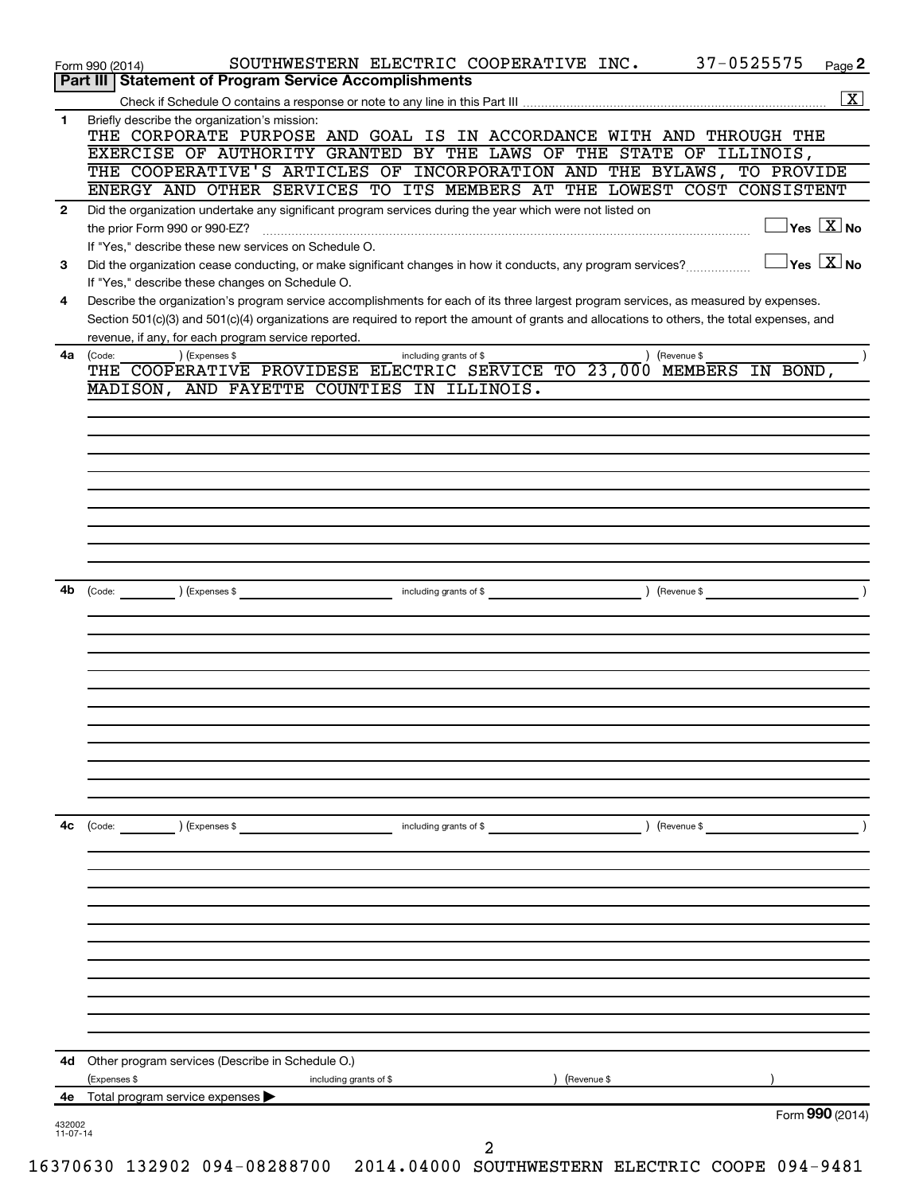| (Code:<br>) (Expenses \$<br>including grants of \$<br>) (Revenue \$                                                                                                                                 |
|-----------------------------------------------------------------------------------------------------------------------------------------------------------------------------------------------------|
|                                                                                                                                                                                                     |
|                                                                                                                                                                                                     |
|                                                                                                                                                                                                     |
|                                                                                                                                                                                                     |
|                                                                                                                                                                                                     |
|                                                                                                                                                                                                     |
|                                                                                                                                                                                                     |
| ) (Revenue \$<br>$\left(\text{Code:}\right)$<br>) (Expenses \$<br>including grants of \$                                                                                                            |
|                                                                                                                                                                                                     |
|                                                                                                                                                                                                     |
|                                                                                                                                                                                                     |
|                                                                                                                                                                                                     |
|                                                                                                                                                                                                     |
|                                                                                                                                                                                                     |
| THE COOPERATIVE PROVIDESE ELECTRIC SERVICE TO 23,000 MEMBERS IN BOND,<br>MADISON, AND FAYETTE COUNTIES IN ILLINOIS.                                                                                 |
| ) (Expenses \$<br>(Code:<br>including grants of \$<br>(Revenue \$                                                                                                                                   |
| Section 501(c)(3) and 501(c)(4) organizations are required to report the amount of grants and allocations to others, the total expenses, and<br>revenue, if any, for each program service reported. |
| If "Yes," describe these changes on Schedule O.<br>Describe the organization's program service accomplishments for each of its three largest program services, as measured by expenses.             |
| $\exists$ Yes $\boxed{\text{X}}$ No<br>Did the organization cease conducting, or make significant changes in how it conducts, any program services?                                                 |
| $\overline{\ }$ Yes $\overline{\rm \bf X}$ No<br>the prior Form 990 or 990-EZ?<br>If "Yes," describe these new services on Schedule O.                                                              |
| Did the organization undertake any significant program services during the year which were not listed on                                                                                            |
| THE COOPERATIVE'S ARTICLES OF INCORPORATION AND THE BYLAWS, TO PROVIDE<br>ENERGY AND OTHER SERVICES TO ITS MEMBERS AT THE LOWEST COST CONSISTENT                                                    |
| THE CORPORATE PURPOSE AND GOAL IS IN ACCORDANCE WITH AND THROUGH THE<br>EXERCISE OF AUTHORITY GRANTED BY THE LAWS OF THE STATE OF ILLINOIS,                                                         |
| Briefly describe the organization's mission:                                                                                                                                                        |
| Part III   Statement of Program Service Accomplishments<br>$\overline{\mathbf{X}}$                                                                                                                  |
|                                                                                                                                                                                                     |
|                                                                                                                                                                                                     |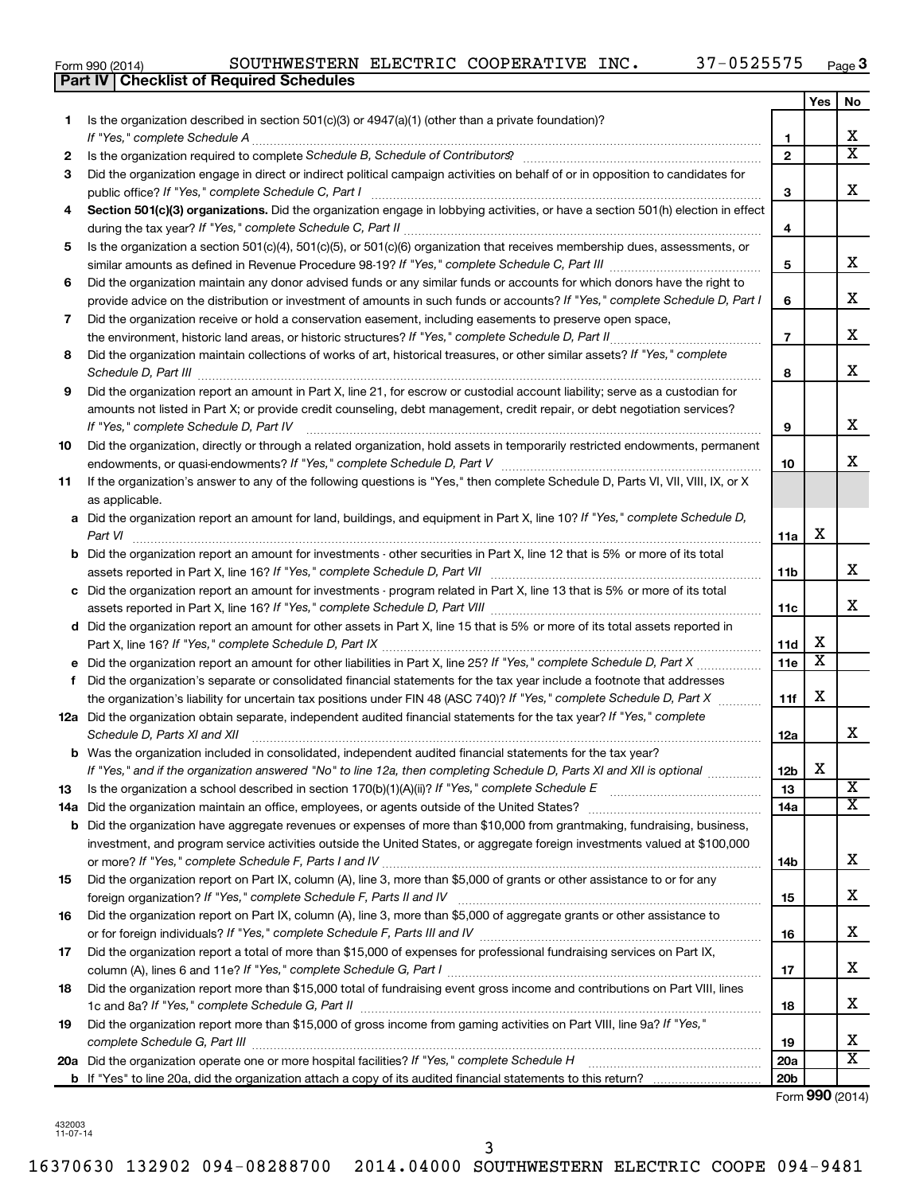| Form 990 (2014) |  |  |
|-----------------|--|--|
|                 |  |  |

| Yes<br>No<br>Is the organization described in section $501(c)(3)$ or $4947(a)(1)$ (other than a private foundation)?<br>1<br>х<br>1<br>$\overline{\mathtt{x}}$<br>$\overline{2}$<br>Is the organization required to complete Schedule B, Schedule of Contributors? [11] The organization required to complete Schedule B, Schedule of Contributors?<br>2<br>Did the organization engage in direct or indirect political campaign activities on behalf of or in opposition to candidates for<br>3<br>X<br>3<br>Section 501(c)(3) organizations. Did the organization engage in lobbying activities, or have a section 501(h) election in effect<br>4<br>4<br>Is the organization a section 501(c)(4), 501(c)(5), or 501(c)(6) organization that receives membership dues, assessments, or<br>5<br>x<br>5<br>Did the organization maintain any donor advised funds or any similar funds or accounts for which donors have the right to<br>6<br>x<br>provide advice on the distribution or investment of amounts in such funds or accounts? If "Yes," complete Schedule D, Part I<br>6<br>Did the organization receive or hold a conservation easement, including easements to preserve open space,<br>7<br>x<br>$\overline{7}$<br>the environment, historic land areas, or historic structures? If "Yes," complete Schedule D, Part II<br>Did the organization maintain collections of works of art, historical treasures, or other similar assets? If "Yes," complete<br>8<br>x<br>8<br>Did the organization report an amount in Part X, line 21, for escrow or custodial account liability; serve as a custodian for<br>9<br>amounts not listed in Part X; or provide credit counseling, debt management, credit repair, or debt negotiation services?<br>x<br>If "Yes," complete Schedule D, Part IV<br>9<br>Did the organization, directly or through a related organization, hold assets in temporarily restricted endowments, permanent<br>10<br>x<br>10<br>If the organization's answer to any of the following questions is "Yes," then complete Schedule D, Parts VI, VII, VIII, IX, or X<br>11<br>as applicable.<br>a Did the organization report an amount for land, buildings, and equipment in Part X, line 10? If "Yes," complete Schedule D,<br>X<br>11a<br>Part VI<br><b>b</b> Did the organization report an amount for investments - other securities in Part X, line 12 that is 5% or more of its total<br>x<br>11b<br>c Did the organization report an amount for investments - program related in Part X, line 13 that is 5% or more of its total<br>x<br>11c<br>d Did the organization report an amount for other assets in Part X, line 15 that is 5% or more of its total assets reported in<br>X<br><b>11d</b><br>$\overline{\textbf{x}}$<br>11e<br>Did the organization's separate or consolidated financial statements for the tax year include a footnote that addresses<br>f<br>X<br>the organization's liability for uncertain tax positions under FIN 48 (ASC 740)? If "Yes," complete Schedule D, Part X<br>11f<br>12a Did the organization obtain separate, independent audited financial statements for the tax year? If "Yes," complete<br>x<br>Schedule D, Parts XI and XII<br>12a<br>Was the organization included in consolidated, independent audited financial statements for the tax year?<br>b<br>X<br>If "Yes," and if the organization answered "No" to line 12a, then completing Schedule D, Parts XI and XII is optional<br>12 <sub>b</sub><br>X<br>13<br>13<br>$\overline{\mathtt{x}}$<br>Did the organization maintain an office, employees, or agents outside of the United States?<br>14a<br>14a<br>Did the organization have aggregate revenues or expenses of more than \$10,000 from grantmaking, fundraising, business,<br>b<br>investment, and program service activities outside the United States, or aggregate foreign investments valued at \$100,000<br>x<br>14b<br>Did the organization report on Part IX, column (A), line 3, more than \$5,000 of grants or other assistance to or for any<br>15<br>x<br>15<br>Did the organization report on Part IX, column (A), line 3, more than \$5,000 of aggregate grants or other assistance to<br>16<br>x<br>16<br>Did the organization report a total of more than \$15,000 of expenses for professional fundraising services on Part IX,<br>17<br>x<br>17<br>Did the organization report more than \$15,000 total of fundraising event gross income and contributions on Part VIII, lines<br>18<br>x<br>18<br>Did the organization report more than \$15,000 of gross income from gaming activities on Part VIII, line 9a? If "Yes,"<br>19<br>х<br>19<br>$\overline{\textbf{X}}$<br>20a Did the organization operate one or more hospital facilities? If "Yes," complete Schedule H<br>20a<br>20 <sub>b</sub> | <b>Part IV   Checklist of Required Schedules</b> |  |  |
|-----------------------------------------------------------------------------------------------------------------------------------------------------------------------------------------------------------------------------------------------------------------------------------------------------------------------------------------------------------------------------------------------------------------------------------------------------------------------------------------------------------------------------------------------------------------------------------------------------------------------------------------------------------------------------------------------------------------------------------------------------------------------------------------------------------------------------------------------------------------------------------------------------------------------------------------------------------------------------------------------------------------------------------------------------------------------------------------------------------------------------------------------------------------------------------------------------------------------------------------------------------------------------------------------------------------------------------------------------------------------------------------------------------------------------------------------------------------------------------------------------------------------------------------------------------------------------------------------------------------------------------------------------------------------------------------------------------------------------------------------------------------------------------------------------------------------------------------------------------------------------------------------------------------------------------------------------------------------------------------------------------------------------------------------------------------------------------------------------------------------------------------------------------------------------------------------------------------------------------------------------------------------------------------------------------------------------------------------------------------------------------------------------------------------------------------------------------------------------------------------------------------------------------------------------------------------------------------------------------------------------------------------------------------------------------------------------------------------------------------------------------------------------------------------------------------------------------------------------------------------------------------------------------------------------------------------------------------------------------------------------------------------------------------------------------------------------------------------------------------------------------------------------------------------------------------------------------------------------------------------------------------------------------------------------------------------------------------------------------------------------------------------------------------------------------------------------------------------------------------------------------------------------------------------------------------------------------------------------------------------------------------------------------------------------------------------------------------------------------------------------------------------------------------------------------------------------------------------------------------------------------------------------------------------------------------------------------------------------------------------------------------------------------------------------------------------------------------------------------------------------------------------------------------------------------------------------------------------------------------------------------------------------------------------------------------------------------------------------------------------------------------------------------------------------------------------------------------------------------------------------------------------------------------------------------------------------------------------------------------------------------------------------------------------------------------------------------------------------------------------------------------------------------------------------------------------|--------------------------------------------------|--|--|
|                                                                                                                                                                                                                                                                                                                                                                                                                                                                                                                                                                                                                                                                                                                                                                                                                                                                                                                                                                                                                                                                                                                                                                                                                                                                                                                                                                                                                                                                                                                                                                                                                                                                                                                                                                                                                                                                                                                                                                                                                                                                                                                                                                                                                                                                                                                                                                                                                                                                                                                                                                                                                                                                                                                                                                                                                                                                                                                                                                                                                                                                                                                                                                                                                                                                                                                                                                                                                                                                                                                                                                                                                                                                                                                                                                                                                                                                                                                                                                                                                                                                                                                                                                                                                                                                                                                                                                                                                                                                                                                                                                                                                                                                                                                                                                                                                       |                                                  |  |  |
|                                                                                                                                                                                                                                                                                                                                                                                                                                                                                                                                                                                                                                                                                                                                                                                                                                                                                                                                                                                                                                                                                                                                                                                                                                                                                                                                                                                                                                                                                                                                                                                                                                                                                                                                                                                                                                                                                                                                                                                                                                                                                                                                                                                                                                                                                                                                                                                                                                                                                                                                                                                                                                                                                                                                                                                                                                                                                                                                                                                                                                                                                                                                                                                                                                                                                                                                                                                                                                                                                                                                                                                                                                                                                                                                                                                                                                                                                                                                                                                                                                                                                                                                                                                                                                                                                                                                                                                                                                                                                                                                                                                                                                                                                                                                                                                                                       |                                                  |  |  |
|                                                                                                                                                                                                                                                                                                                                                                                                                                                                                                                                                                                                                                                                                                                                                                                                                                                                                                                                                                                                                                                                                                                                                                                                                                                                                                                                                                                                                                                                                                                                                                                                                                                                                                                                                                                                                                                                                                                                                                                                                                                                                                                                                                                                                                                                                                                                                                                                                                                                                                                                                                                                                                                                                                                                                                                                                                                                                                                                                                                                                                                                                                                                                                                                                                                                                                                                                                                                                                                                                                                                                                                                                                                                                                                                                                                                                                                                                                                                                                                                                                                                                                                                                                                                                                                                                                                                                                                                                                                                                                                                                                                                                                                                                                                                                                                                                       |                                                  |  |  |
|                                                                                                                                                                                                                                                                                                                                                                                                                                                                                                                                                                                                                                                                                                                                                                                                                                                                                                                                                                                                                                                                                                                                                                                                                                                                                                                                                                                                                                                                                                                                                                                                                                                                                                                                                                                                                                                                                                                                                                                                                                                                                                                                                                                                                                                                                                                                                                                                                                                                                                                                                                                                                                                                                                                                                                                                                                                                                                                                                                                                                                                                                                                                                                                                                                                                                                                                                                                                                                                                                                                                                                                                                                                                                                                                                                                                                                                                                                                                                                                                                                                                                                                                                                                                                                                                                                                                                                                                                                                                                                                                                                                                                                                                                                                                                                                                                       |                                                  |  |  |
|                                                                                                                                                                                                                                                                                                                                                                                                                                                                                                                                                                                                                                                                                                                                                                                                                                                                                                                                                                                                                                                                                                                                                                                                                                                                                                                                                                                                                                                                                                                                                                                                                                                                                                                                                                                                                                                                                                                                                                                                                                                                                                                                                                                                                                                                                                                                                                                                                                                                                                                                                                                                                                                                                                                                                                                                                                                                                                                                                                                                                                                                                                                                                                                                                                                                                                                                                                                                                                                                                                                                                                                                                                                                                                                                                                                                                                                                                                                                                                                                                                                                                                                                                                                                                                                                                                                                                                                                                                                                                                                                                                                                                                                                                                                                                                                                                       |                                                  |  |  |
|                                                                                                                                                                                                                                                                                                                                                                                                                                                                                                                                                                                                                                                                                                                                                                                                                                                                                                                                                                                                                                                                                                                                                                                                                                                                                                                                                                                                                                                                                                                                                                                                                                                                                                                                                                                                                                                                                                                                                                                                                                                                                                                                                                                                                                                                                                                                                                                                                                                                                                                                                                                                                                                                                                                                                                                                                                                                                                                                                                                                                                                                                                                                                                                                                                                                                                                                                                                                                                                                                                                                                                                                                                                                                                                                                                                                                                                                                                                                                                                                                                                                                                                                                                                                                                                                                                                                                                                                                                                                                                                                                                                                                                                                                                                                                                                                                       |                                                  |  |  |
|                                                                                                                                                                                                                                                                                                                                                                                                                                                                                                                                                                                                                                                                                                                                                                                                                                                                                                                                                                                                                                                                                                                                                                                                                                                                                                                                                                                                                                                                                                                                                                                                                                                                                                                                                                                                                                                                                                                                                                                                                                                                                                                                                                                                                                                                                                                                                                                                                                                                                                                                                                                                                                                                                                                                                                                                                                                                                                                                                                                                                                                                                                                                                                                                                                                                                                                                                                                                                                                                                                                                                                                                                                                                                                                                                                                                                                                                                                                                                                                                                                                                                                                                                                                                                                                                                                                                                                                                                                                                                                                                                                                                                                                                                                                                                                                                                       |                                                  |  |  |
|                                                                                                                                                                                                                                                                                                                                                                                                                                                                                                                                                                                                                                                                                                                                                                                                                                                                                                                                                                                                                                                                                                                                                                                                                                                                                                                                                                                                                                                                                                                                                                                                                                                                                                                                                                                                                                                                                                                                                                                                                                                                                                                                                                                                                                                                                                                                                                                                                                                                                                                                                                                                                                                                                                                                                                                                                                                                                                                                                                                                                                                                                                                                                                                                                                                                                                                                                                                                                                                                                                                                                                                                                                                                                                                                                                                                                                                                                                                                                                                                                                                                                                                                                                                                                                                                                                                                                                                                                                                                                                                                                                                                                                                                                                                                                                                                                       |                                                  |  |  |
|                                                                                                                                                                                                                                                                                                                                                                                                                                                                                                                                                                                                                                                                                                                                                                                                                                                                                                                                                                                                                                                                                                                                                                                                                                                                                                                                                                                                                                                                                                                                                                                                                                                                                                                                                                                                                                                                                                                                                                                                                                                                                                                                                                                                                                                                                                                                                                                                                                                                                                                                                                                                                                                                                                                                                                                                                                                                                                                                                                                                                                                                                                                                                                                                                                                                                                                                                                                                                                                                                                                                                                                                                                                                                                                                                                                                                                                                                                                                                                                                                                                                                                                                                                                                                                                                                                                                                                                                                                                                                                                                                                                                                                                                                                                                                                                                                       |                                                  |  |  |
|                                                                                                                                                                                                                                                                                                                                                                                                                                                                                                                                                                                                                                                                                                                                                                                                                                                                                                                                                                                                                                                                                                                                                                                                                                                                                                                                                                                                                                                                                                                                                                                                                                                                                                                                                                                                                                                                                                                                                                                                                                                                                                                                                                                                                                                                                                                                                                                                                                                                                                                                                                                                                                                                                                                                                                                                                                                                                                                                                                                                                                                                                                                                                                                                                                                                                                                                                                                                                                                                                                                                                                                                                                                                                                                                                                                                                                                                                                                                                                                                                                                                                                                                                                                                                                                                                                                                                                                                                                                                                                                                                                                                                                                                                                                                                                                                                       |                                                  |  |  |
|                                                                                                                                                                                                                                                                                                                                                                                                                                                                                                                                                                                                                                                                                                                                                                                                                                                                                                                                                                                                                                                                                                                                                                                                                                                                                                                                                                                                                                                                                                                                                                                                                                                                                                                                                                                                                                                                                                                                                                                                                                                                                                                                                                                                                                                                                                                                                                                                                                                                                                                                                                                                                                                                                                                                                                                                                                                                                                                                                                                                                                                                                                                                                                                                                                                                                                                                                                                                                                                                                                                                                                                                                                                                                                                                                                                                                                                                                                                                                                                                                                                                                                                                                                                                                                                                                                                                                                                                                                                                                                                                                                                                                                                                                                                                                                                                                       |                                                  |  |  |
|                                                                                                                                                                                                                                                                                                                                                                                                                                                                                                                                                                                                                                                                                                                                                                                                                                                                                                                                                                                                                                                                                                                                                                                                                                                                                                                                                                                                                                                                                                                                                                                                                                                                                                                                                                                                                                                                                                                                                                                                                                                                                                                                                                                                                                                                                                                                                                                                                                                                                                                                                                                                                                                                                                                                                                                                                                                                                                                                                                                                                                                                                                                                                                                                                                                                                                                                                                                                                                                                                                                                                                                                                                                                                                                                                                                                                                                                                                                                                                                                                                                                                                                                                                                                                                                                                                                                                                                                                                                                                                                                                                                                                                                                                                                                                                                                                       |                                                  |  |  |
|                                                                                                                                                                                                                                                                                                                                                                                                                                                                                                                                                                                                                                                                                                                                                                                                                                                                                                                                                                                                                                                                                                                                                                                                                                                                                                                                                                                                                                                                                                                                                                                                                                                                                                                                                                                                                                                                                                                                                                                                                                                                                                                                                                                                                                                                                                                                                                                                                                                                                                                                                                                                                                                                                                                                                                                                                                                                                                                                                                                                                                                                                                                                                                                                                                                                                                                                                                                                                                                                                                                                                                                                                                                                                                                                                                                                                                                                                                                                                                                                                                                                                                                                                                                                                                                                                                                                                                                                                                                                                                                                                                                                                                                                                                                                                                                                                       |                                                  |  |  |
|                                                                                                                                                                                                                                                                                                                                                                                                                                                                                                                                                                                                                                                                                                                                                                                                                                                                                                                                                                                                                                                                                                                                                                                                                                                                                                                                                                                                                                                                                                                                                                                                                                                                                                                                                                                                                                                                                                                                                                                                                                                                                                                                                                                                                                                                                                                                                                                                                                                                                                                                                                                                                                                                                                                                                                                                                                                                                                                                                                                                                                                                                                                                                                                                                                                                                                                                                                                                                                                                                                                                                                                                                                                                                                                                                                                                                                                                                                                                                                                                                                                                                                                                                                                                                                                                                                                                                                                                                                                                                                                                                                                                                                                                                                                                                                                                                       |                                                  |  |  |
|                                                                                                                                                                                                                                                                                                                                                                                                                                                                                                                                                                                                                                                                                                                                                                                                                                                                                                                                                                                                                                                                                                                                                                                                                                                                                                                                                                                                                                                                                                                                                                                                                                                                                                                                                                                                                                                                                                                                                                                                                                                                                                                                                                                                                                                                                                                                                                                                                                                                                                                                                                                                                                                                                                                                                                                                                                                                                                                                                                                                                                                                                                                                                                                                                                                                                                                                                                                                                                                                                                                                                                                                                                                                                                                                                                                                                                                                                                                                                                                                                                                                                                                                                                                                                                                                                                                                                                                                                                                                                                                                                                                                                                                                                                                                                                                                                       |                                                  |  |  |
|                                                                                                                                                                                                                                                                                                                                                                                                                                                                                                                                                                                                                                                                                                                                                                                                                                                                                                                                                                                                                                                                                                                                                                                                                                                                                                                                                                                                                                                                                                                                                                                                                                                                                                                                                                                                                                                                                                                                                                                                                                                                                                                                                                                                                                                                                                                                                                                                                                                                                                                                                                                                                                                                                                                                                                                                                                                                                                                                                                                                                                                                                                                                                                                                                                                                                                                                                                                                                                                                                                                                                                                                                                                                                                                                                                                                                                                                                                                                                                                                                                                                                                                                                                                                                                                                                                                                                                                                                                                                                                                                                                                                                                                                                                                                                                                                                       |                                                  |  |  |
|                                                                                                                                                                                                                                                                                                                                                                                                                                                                                                                                                                                                                                                                                                                                                                                                                                                                                                                                                                                                                                                                                                                                                                                                                                                                                                                                                                                                                                                                                                                                                                                                                                                                                                                                                                                                                                                                                                                                                                                                                                                                                                                                                                                                                                                                                                                                                                                                                                                                                                                                                                                                                                                                                                                                                                                                                                                                                                                                                                                                                                                                                                                                                                                                                                                                                                                                                                                                                                                                                                                                                                                                                                                                                                                                                                                                                                                                                                                                                                                                                                                                                                                                                                                                                                                                                                                                                                                                                                                                                                                                                                                                                                                                                                                                                                                                                       |                                                  |  |  |
|                                                                                                                                                                                                                                                                                                                                                                                                                                                                                                                                                                                                                                                                                                                                                                                                                                                                                                                                                                                                                                                                                                                                                                                                                                                                                                                                                                                                                                                                                                                                                                                                                                                                                                                                                                                                                                                                                                                                                                                                                                                                                                                                                                                                                                                                                                                                                                                                                                                                                                                                                                                                                                                                                                                                                                                                                                                                                                                                                                                                                                                                                                                                                                                                                                                                                                                                                                                                                                                                                                                                                                                                                                                                                                                                                                                                                                                                                                                                                                                                                                                                                                                                                                                                                                                                                                                                                                                                                                                                                                                                                                                                                                                                                                                                                                                                                       |                                                  |  |  |
|                                                                                                                                                                                                                                                                                                                                                                                                                                                                                                                                                                                                                                                                                                                                                                                                                                                                                                                                                                                                                                                                                                                                                                                                                                                                                                                                                                                                                                                                                                                                                                                                                                                                                                                                                                                                                                                                                                                                                                                                                                                                                                                                                                                                                                                                                                                                                                                                                                                                                                                                                                                                                                                                                                                                                                                                                                                                                                                                                                                                                                                                                                                                                                                                                                                                                                                                                                                                                                                                                                                                                                                                                                                                                                                                                                                                                                                                                                                                                                                                                                                                                                                                                                                                                                                                                                                                                                                                                                                                                                                                                                                                                                                                                                                                                                                                                       |                                                  |  |  |
|                                                                                                                                                                                                                                                                                                                                                                                                                                                                                                                                                                                                                                                                                                                                                                                                                                                                                                                                                                                                                                                                                                                                                                                                                                                                                                                                                                                                                                                                                                                                                                                                                                                                                                                                                                                                                                                                                                                                                                                                                                                                                                                                                                                                                                                                                                                                                                                                                                                                                                                                                                                                                                                                                                                                                                                                                                                                                                                                                                                                                                                                                                                                                                                                                                                                                                                                                                                                                                                                                                                                                                                                                                                                                                                                                                                                                                                                                                                                                                                                                                                                                                                                                                                                                                                                                                                                                                                                                                                                                                                                                                                                                                                                                                                                                                                                                       |                                                  |  |  |
|                                                                                                                                                                                                                                                                                                                                                                                                                                                                                                                                                                                                                                                                                                                                                                                                                                                                                                                                                                                                                                                                                                                                                                                                                                                                                                                                                                                                                                                                                                                                                                                                                                                                                                                                                                                                                                                                                                                                                                                                                                                                                                                                                                                                                                                                                                                                                                                                                                                                                                                                                                                                                                                                                                                                                                                                                                                                                                                                                                                                                                                                                                                                                                                                                                                                                                                                                                                                                                                                                                                                                                                                                                                                                                                                                                                                                                                                                                                                                                                                                                                                                                                                                                                                                                                                                                                                                                                                                                                                                                                                                                                                                                                                                                                                                                                                                       |                                                  |  |  |
|                                                                                                                                                                                                                                                                                                                                                                                                                                                                                                                                                                                                                                                                                                                                                                                                                                                                                                                                                                                                                                                                                                                                                                                                                                                                                                                                                                                                                                                                                                                                                                                                                                                                                                                                                                                                                                                                                                                                                                                                                                                                                                                                                                                                                                                                                                                                                                                                                                                                                                                                                                                                                                                                                                                                                                                                                                                                                                                                                                                                                                                                                                                                                                                                                                                                                                                                                                                                                                                                                                                                                                                                                                                                                                                                                                                                                                                                                                                                                                                                                                                                                                                                                                                                                                                                                                                                                                                                                                                                                                                                                                                                                                                                                                                                                                                                                       |                                                  |  |  |
|                                                                                                                                                                                                                                                                                                                                                                                                                                                                                                                                                                                                                                                                                                                                                                                                                                                                                                                                                                                                                                                                                                                                                                                                                                                                                                                                                                                                                                                                                                                                                                                                                                                                                                                                                                                                                                                                                                                                                                                                                                                                                                                                                                                                                                                                                                                                                                                                                                                                                                                                                                                                                                                                                                                                                                                                                                                                                                                                                                                                                                                                                                                                                                                                                                                                                                                                                                                                                                                                                                                                                                                                                                                                                                                                                                                                                                                                                                                                                                                                                                                                                                                                                                                                                                                                                                                                                                                                                                                                                                                                                                                                                                                                                                                                                                                                                       |                                                  |  |  |
|                                                                                                                                                                                                                                                                                                                                                                                                                                                                                                                                                                                                                                                                                                                                                                                                                                                                                                                                                                                                                                                                                                                                                                                                                                                                                                                                                                                                                                                                                                                                                                                                                                                                                                                                                                                                                                                                                                                                                                                                                                                                                                                                                                                                                                                                                                                                                                                                                                                                                                                                                                                                                                                                                                                                                                                                                                                                                                                                                                                                                                                                                                                                                                                                                                                                                                                                                                                                                                                                                                                                                                                                                                                                                                                                                                                                                                                                                                                                                                                                                                                                                                                                                                                                                                                                                                                                                                                                                                                                                                                                                                                                                                                                                                                                                                                                                       |                                                  |  |  |
|                                                                                                                                                                                                                                                                                                                                                                                                                                                                                                                                                                                                                                                                                                                                                                                                                                                                                                                                                                                                                                                                                                                                                                                                                                                                                                                                                                                                                                                                                                                                                                                                                                                                                                                                                                                                                                                                                                                                                                                                                                                                                                                                                                                                                                                                                                                                                                                                                                                                                                                                                                                                                                                                                                                                                                                                                                                                                                                                                                                                                                                                                                                                                                                                                                                                                                                                                                                                                                                                                                                                                                                                                                                                                                                                                                                                                                                                                                                                                                                                                                                                                                                                                                                                                                                                                                                                                                                                                                                                                                                                                                                                                                                                                                                                                                                                                       |                                                  |  |  |
|                                                                                                                                                                                                                                                                                                                                                                                                                                                                                                                                                                                                                                                                                                                                                                                                                                                                                                                                                                                                                                                                                                                                                                                                                                                                                                                                                                                                                                                                                                                                                                                                                                                                                                                                                                                                                                                                                                                                                                                                                                                                                                                                                                                                                                                                                                                                                                                                                                                                                                                                                                                                                                                                                                                                                                                                                                                                                                                                                                                                                                                                                                                                                                                                                                                                                                                                                                                                                                                                                                                                                                                                                                                                                                                                                                                                                                                                                                                                                                                                                                                                                                                                                                                                                                                                                                                                                                                                                                                                                                                                                                                                                                                                                                                                                                                                                       |                                                  |  |  |
|                                                                                                                                                                                                                                                                                                                                                                                                                                                                                                                                                                                                                                                                                                                                                                                                                                                                                                                                                                                                                                                                                                                                                                                                                                                                                                                                                                                                                                                                                                                                                                                                                                                                                                                                                                                                                                                                                                                                                                                                                                                                                                                                                                                                                                                                                                                                                                                                                                                                                                                                                                                                                                                                                                                                                                                                                                                                                                                                                                                                                                                                                                                                                                                                                                                                                                                                                                                                                                                                                                                                                                                                                                                                                                                                                                                                                                                                                                                                                                                                                                                                                                                                                                                                                                                                                                                                                                                                                                                                                                                                                                                                                                                                                                                                                                                                                       |                                                  |  |  |
|                                                                                                                                                                                                                                                                                                                                                                                                                                                                                                                                                                                                                                                                                                                                                                                                                                                                                                                                                                                                                                                                                                                                                                                                                                                                                                                                                                                                                                                                                                                                                                                                                                                                                                                                                                                                                                                                                                                                                                                                                                                                                                                                                                                                                                                                                                                                                                                                                                                                                                                                                                                                                                                                                                                                                                                                                                                                                                                                                                                                                                                                                                                                                                                                                                                                                                                                                                                                                                                                                                                                                                                                                                                                                                                                                                                                                                                                                                                                                                                                                                                                                                                                                                                                                                                                                                                                                                                                                                                                                                                                                                                                                                                                                                                                                                                                                       |                                                  |  |  |
|                                                                                                                                                                                                                                                                                                                                                                                                                                                                                                                                                                                                                                                                                                                                                                                                                                                                                                                                                                                                                                                                                                                                                                                                                                                                                                                                                                                                                                                                                                                                                                                                                                                                                                                                                                                                                                                                                                                                                                                                                                                                                                                                                                                                                                                                                                                                                                                                                                                                                                                                                                                                                                                                                                                                                                                                                                                                                                                                                                                                                                                                                                                                                                                                                                                                                                                                                                                                                                                                                                                                                                                                                                                                                                                                                                                                                                                                                                                                                                                                                                                                                                                                                                                                                                                                                                                                                                                                                                                                                                                                                                                                                                                                                                                                                                                                                       |                                                  |  |  |
|                                                                                                                                                                                                                                                                                                                                                                                                                                                                                                                                                                                                                                                                                                                                                                                                                                                                                                                                                                                                                                                                                                                                                                                                                                                                                                                                                                                                                                                                                                                                                                                                                                                                                                                                                                                                                                                                                                                                                                                                                                                                                                                                                                                                                                                                                                                                                                                                                                                                                                                                                                                                                                                                                                                                                                                                                                                                                                                                                                                                                                                                                                                                                                                                                                                                                                                                                                                                                                                                                                                                                                                                                                                                                                                                                                                                                                                                                                                                                                                                                                                                                                                                                                                                                                                                                                                                                                                                                                                                                                                                                                                                                                                                                                                                                                                                                       |                                                  |  |  |
|                                                                                                                                                                                                                                                                                                                                                                                                                                                                                                                                                                                                                                                                                                                                                                                                                                                                                                                                                                                                                                                                                                                                                                                                                                                                                                                                                                                                                                                                                                                                                                                                                                                                                                                                                                                                                                                                                                                                                                                                                                                                                                                                                                                                                                                                                                                                                                                                                                                                                                                                                                                                                                                                                                                                                                                                                                                                                                                                                                                                                                                                                                                                                                                                                                                                                                                                                                                                                                                                                                                                                                                                                                                                                                                                                                                                                                                                                                                                                                                                                                                                                                                                                                                                                                                                                                                                                                                                                                                                                                                                                                                                                                                                                                                                                                                                                       |                                                  |  |  |
|                                                                                                                                                                                                                                                                                                                                                                                                                                                                                                                                                                                                                                                                                                                                                                                                                                                                                                                                                                                                                                                                                                                                                                                                                                                                                                                                                                                                                                                                                                                                                                                                                                                                                                                                                                                                                                                                                                                                                                                                                                                                                                                                                                                                                                                                                                                                                                                                                                                                                                                                                                                                                                                                                                                                                                                                                                                                                                                                                                                                                                                                                                                                                                                                                                                                                                                                                                                                                                                                                                                                                                                                                                                                                                                                                                                                                                                                                                                                                                                                                                                                                                                                                                                                                                                                                                                                                                                                                                                                                                                                                                                                                                                                                                                                                                                                                       |                                                  |  |  |
|                                                                                                                                                                                                                                                                                                                                                                                                                                                                                                                                                                                                                                                                                                                                                                                                                                                                                                                                                                                                                                                                                                                                                                                                                                                                                                                                                                                                                                                                                                                                                                                                                                                                                                                                                                                                                                                                                                                                                                                                                                                                                                                                                                                                                                                                                                                                                                                                                                                                                                                                                                                                                                                                                                                                                                                                                                                                                                                                                                                                                                                                                                                                                                                                                                                                                                                                                                                                                                                                                                                                                                                                                                                                                                                                                                                                                                                                                                                                                                                                                                                                                                                                                                                                                                                                                                                                                                                                                                                                                                                                                                                                                                                                                                                                                                                                                       |                                                  |  |  |
|                                                                                                                                                                                                                                                                                                                                                                                                                                                                                                                                                                                                                                                                                                                                                                                                                                                                                                                                                                                                                                                                                                                                                                                                                                                                                                                                                                                                                                                                                                                                                                                                                                                                                                                                                                                                                                                                                                                                                                                                                                                                                                                                                                                                                                                                                                                                                                                                                                                                                                                                                                                                                                                                                                                                                                                                                                                                                                                                                                                                                                                                                                                                                                                                                                                                                                                                                                                                                                                                                                                                                                                                                                                                                                                                                                                                                                                                                                                                                                                                                                                                                                                                                                                                                                                                                                                                                                                                                                                                                                                                                                                                                                                                                                                                                                                                                       |                                                  |  |  |
|                                                                                                                                                                                                                                                                                                                                                                                                                                                                                                                                                                                                                                                                                                                                                                                                                                                                                                                                                                                                                                                                                                                                                                                                                                                                                                                                                                                                                                                                                                                                                                                                                                                                                                                                                                                                                                                                                                                                                                                                                                                                                                                                                                                                                                                                                                                                                                                                                                                                                                                                                                                                                                                                                                                                                                                                                                                                                                                                                                                                                                                                                                                                                                                                                                                                                                                                                                                                                                                                                                                                                                                                                                                                                                                                                                                                                                                                                                                                                                                                                                                                                                                                                                                                                                                                                                                                                                                                                                                                                                                                                                                                                                                                                                                                                                                                                       |                                                  |  |  |
|                                                                                                                                                                                                                                                                                                                                                                                                                                                                                                                                                                                                                                                                                                                                                                                                                                                                                                                                                                                                                                                                                                                                                                                                                                                                                                                                                                                                                                                                                                                                                                                                                                                                                                                                                                                                                                                                                                                                                                                                                                                                                                                                                                                                                                                                                                                                                                                                                                                                                                                                                                                                                                                                                                                                                                                                                                                                                                                                                                                                                                                                                                                                                                                                                                                                                                                                                                                                                                                                                                                                                                                                                                                                                                                                                                                                                                                                                                                                                                                                                                                                                                                                                                                                                                                                                                                                                                                                                                                                                                                                                                                                                                                                                                                                                                                                                       |                                                  |  |  |
|                                                                                                                                                                                                                                                                                                                                                                                                                                                                                                                                                                                                                                                                                                                                                                                                                                                                                                                                                                                                                                                                                                                                                                                                                                                                                                                                                                                                                                                                                                                                                                                                                                                                                                                                                                                                                                                                                                                                                                                                                                                                                                                                                                                                                                                                                                                                                                                                                                                                                                                                                                                                                                                                                                                                                                                                                                                                                                                                                                                                                                                                                                                                                                                                                                                                                                                                                                                                                                                                                                                                                                                                                                                                                                                                                                                                                                                                                                                                                                                                                                                                                                                                                                                                                                                                                                                                                                                                                                                                                                                                                                                                                                                                                                                                                                                                                       |                                                  |  |  |
|                                                                                                                                                                                                                                                                                                                                                                                                                                                                                                                                                                                                                                                                                                                                                                                                                                                                                                                                                                                                                                                                                                                                                                                                                                                                                                                                                                                                                                                                                                                                                                                                                                                                                                                                                                                                                                                                                                                                                                                                                                                                                                                                                                                                                                                                                                                                                                                                                                                                                                                                                                                                                                                                                                                                                                                                                                                                                                                                                                                                                                                                                                                                                                                                                                                                                                                                                                                                                                                                                                                                                                                                                                                                                                                                                                                                                                                                                                                                                                                                                                                                                                                                                                                                                                                                                                                                                                                                                                                                                                                                                                                                                                                                                                                                                                                                                       |                                                  |  |  |
|                                                                                                                                                                                                                                                                                                                                                                                                                                                                                                                                                                                                                                                                                                                                                                                                                                                                                                                                                                                                                                                                                                                                                                                                                                                                                                                                                                                                                                                                                                                                                                                                                                                                                                                                                                                                                                                                                                                                                                                                                                                                                                                                                                                                                                                                                                                                                                                                                                                                                                                                                                                                                                                                                                                                                                                                                                                                                                                                                                                                                                                                                                                                                                                                                                                                                                                                                                                                                                                                                                                                                                                                                                                                                                                                                                                                                                                                                                                                                                                                                                                                                                                                                                                                                                                                                                                                                                                                                                                                                                                                                                                                                                                                                                                                                                                                                       |                                                  |  |  |
|                                                                                                                                                                                                                                                                                                                                                                                                                                                                                                                                                                                                                                                                                                                                                                                                                                                                                                                                                                                                                                                                                                                                                                                                                                                                                                                                                                                                                                                                                                                                                                                                                                                                                                                                                                                                                                                                                                                                                                                                                                                                                                                                                                                                                                                                                                                                                                                                                                                                                                                                                                                                                                                                                                                                                                                                                                                                                                                                                                                                                                                                                                                                                                                                                                                                                                                                                                                                                                                                                                                                                                                                                                                                                                                                                                                                                                                                                                                                                                                                                                                                                                                                                                                                                                                                                                                                                                                                                                                                                                                                                                                                                                                                                                                                                                                                                       |                                                  |  |  |
|                                                                                                                                                                                                                                                                                                                                                                                                                                                                                                                                                                                                                                                                                                                                                                                                                                                                                                                                                                                                                                                                                                                                                                                                                                                                                                                                                                                                                                                                                                                                                                                                                                                                                                                                                                                                                                                                                                                                                                                                                                                                                                                                                                                                                                                                                                                                                                                                                                                                                                                                                                                                                                                                                                                                                                                                                                                                                                                                                                                                                                                                                                                                                                                                                                                                                                                                                                                                                                                                                                                                                                                                                                                                                                                                                                                                                                                                                                                                                                                                                                                                                                                                                                                                                                                                                                                                                                                                                                                                                                                                                                                                                                                                                                                                                                                                                       |                                                  |  |  |
|                                                                                                                                                                                                                                                                                                                                                                                                                                                                                                                                                                                                                                                                                                                                                                                                                                                                                                                                                                                                                                                                                                                                                                                                                                                                                                                                                                                                                                                                                                                                                                                                                                                                                                                                                                                                                                                                                                                                                                                                                                                                                                                                                                                                                                                                                                                                                                                                                                                                                                                                                                                                                                                                                                                                                                                                                                                                                                                                                                                                                                                                                                                                                                                                                                                                                                                                                                                                                                                                                                                                                                                                                                                                                                                                                                                                                                                                                                                                                                                                                                                                                                                                                                                                                                                                                                                                                                                                                                                                                                                                                                                                                                                                                                                                                                                                                       |                                                  |  |  |
|                                                                                                                                                                                                                                                                                                                                                                                                                                                                                                                                                                                                                                                                                                                                                                                                                                                                                                                                                                                                                                                                                                                                                                                                                                                                                                                                                                                                                                                                                                                                                                                                                                                                                                                                                                                                                                                                                                                                                                                                                                                                                                                                                                                                                                                                                                                                                                                                                                                                                                                                                                                                                                                                                                                                                                                                                                                                                                                                                                                                                                                                                                                                                                                                                                                                                                                                                                                                                                                                                                                                                                                                                                                                                                                                                                                                                                                                                                                                                                                                                                                                                                                                                                                                                                                                                                                                                                                                                                                                                                                                                                                                                                                                                                                                                                                                                       |                                                  |  |  |
|                                                                                                                                                                                                                                                                                                                                                                                                                                                                                                                                                                                                                                                                                                                                                                                                                                                                                                                                                                                                                                                                                                                                                                                                                                                                                                                                                                                                                                                                                                                                                                                                                                                                                                                                                                                                                                                                                                                                                                                                                                                                                                                                                                                                                                                                                                                                                                                                                                                                                                                                                                                                                                                                                                                                                                                                                                                                                                                                                                                                                                                                                                                                                                                                                                                                                                                                                                                                                                                                                                                                                                                                                                                                                                                                                                                                                                                                                                                                                                                                                                                                                                                                                                                                                                                                                                                                                                                                                                                                                                                                                                                                                                                                                                                                                                                                                       |                                                  |  |  |
|                                                                                                                                                                                                                                                                                                                                                                                                                                                                                                                                                                                                                                                                                                                                                                                                                                                                                                                                                                                                                                                                                                                                                                                                                                                                                                                                                                                                                                                                                                                                                                                                                                                                                                                                                                                                                                                                                                                                                                                                                                                                                                                                                                                                                                                                                                                                                                                                                                                                                                                                                                                                                                                                                                                                                                                                                                                                                                                                                                                                                                                                                                                                                                                                                                                                                                                                                                                                                                                                                                                                                                                                                                                                                                                                                                                                                                                                                                                                                                                                                                                                                                                                                                                                                                                                                                                                                                                                                                                                                                                                                                                                                                                                                                                                                                                                                       |                                                  |  |  |
|                                                                                                                                                                                                                                                                                                                                                                                                                                                                                                                                                                                                                                                                                                                                                                                                                                                                                                                                                                                                                                                                                                                                                                                                                                                                                                                                                                                                                                                                                                                                                                                                                                                                                                                                                                                                                                                                                                                                                                                                                                                                                                                                                                                                                                                                                                                                                                                                                                                                                                                                                                                                                                                                                                                                                                                                                                                                                                                                                                                                                                                                                                                                                                                                                                                                                                                                                                                                                                                                                                                                                                                                                                                                                                                                                                                                                                                                                                                                                                                                                                                                                                                                                                                                                                                                                                                                                                                                                                                                                                                                                                                                                                                                                                                                                                                                                       |                                                  |  |  |
|                                                                                                                                                                                                                                                                                                                                                                                                                                                                                                                                                                                                                                                                                                                                                                                                                                                                                                                                                                                                                                                                                                                                                                                                                                                                                                                                                                                                                                                                                                                                                                                                                                                                                                                                                                                                                                                                                                                                                                                                                                                                                                                                                                                                                                                                                                                                                                                                                                                                                                                                                                                                                                                                                                                                                                                                                                                                                                                                                                                                                                                                                                                                                                                                                                                                                                                                                                                                                                                                                                                                                                                                                                                                                                                                                                                                                                                                                                                                                                                                                                                                                                                                                                                                                                                                                                                                                                                                                                                                                                                                                                                                                                                                                                                                                                                                                       |                                                  |  |  |
|                                                                                                                                                                                                                                                                                                                                                                                                                                                                                                                                                                                                                                                                                                                                                                                                                                                                                                                                                                                                                                                                                                                                                                                                                                                                                                                                                                                                                                                                                                                                                                                                                                                                                                                                                                                                                                                                                                                                                                                                                                                                                                                                                                                                                                                                                                                                                                                                                                                                                                                                                                                                                                                                                                                                                                                                                                                                                                                                                                                                                                                                                                                                                                                                                                                                                                                                                                                                                                                                                                                                                                                                                                                                                                                                                                                                                                                                                                                                                                                                                                                                                                                                                                                                                                                                                                                                                                                                                                                                                                                                                                                                                                                                                                                                                                                                                       |                                                  |  |  |
|                                                                                                                                                                                                                                                                                                                                                                                                                                                                                                                                                                                                                                                                                                                                                                                                                                                                                                                                                                                                                                                                                                                                                                                                                                                                                                                                                                                                                                                                                                                                                                                                                                                                                                                                                                                                                                                                                                                                                                                                                                                                                                                                                                                                                                                                                                                                                                                                                                                                                                                                                                                                                                                                                                                                                                                                                                                                                                                                                                                                                                                                                                                                                                                                                                                                                                                                                                                                                                                                                                                                                                                                                                                                                                                                                                                                                                                                                                                                                                                                                                                                                                                                                                                                                                                                                                                                                                                                                                                                                                                                                                                                                                                                                                                                                                                                                       |                                                  |  |  |
|                                                                                                                                                                                                                                                                                                                                                                                                                                                                                                                                                                                                                                                                                                                                                                                                                                                                                                                                                                                                                                                                                                                                                                                                                                                                                                                                                                                                                                                                                                                                                                                                                                                                                                                                                                                                                                                                                                                                                                                                                                                                                                                                                                                                                                                                                                                                                                                                                                                                                                                                                                                                                                                                                                                                                                                                                                                                                                                                                                                                                                                                                                                                                                                                                                                                                                                                                                                                                                                                                                                                                                                                                                                                                                                                                                                                                                                                                                                                                                                                                                                                                                                                                                                                                                                                                                                                                                                                                                                                                                                                                                                                                                                                                                                                                                                                                       |                                                  |  |  |
|                                                                                                                                                                                                                                                                                                                                                                                                                                                                                                                                                                                                                                                                                                                                                                                                                                                                                                                                                                                                                                                                                                                                                                                                                                                                                                                                                                                                                                                                                                                                                                                                                                                                                                                                                                                                                                                                                                                                                                                                                                                                                                                                                                                                                                                                                                                                                                                                                                                                                                                                                                                                                                                                                                                                                                                                                                                                                                                                                                                                                                                                                                                                                                                                                                                                                                                                                                                                                                                                                                                                                                                                                                                                                                                                                                                                                                                                                                                                                                                                                                                                                                                                                                                                                                                                                                                                                                                                                                                                                                                                                                                                                                                                                                                                                                                                                       |                                                  |  |  |
|                                                                                                                                                                                                                                                                                                                                                                                                                                                                                                                                                                                                                                                                                                                                                                                                                                                                                                                                                                                                                                                                                                                                                                                                                                                                                                                                                                                                                                                                                                                                                                                                                                                                                                                                                                                                                                                                                                                                                                                                                                                                                                                                                                                                                                                                                                                                                                                                                                                                                                                                                                                                                                                                                                                                                                                                                                                                                                                                                                                                                                                                                                                                                                                                                                                                                                                                                                                                                                                                                                                                                                                                                                                                                                                                                                                                                                                                                                                                                                                                                                                                                                                                                                                                                                                                                                                                                                                                                                                                                                                                                                                                                                                                                                                                                                                                                       |                                                  |  |  |
|                                                                                                                                                                                                                                                                                                                                                                                                                                                                                                                                                                                                                                                                                                                                                                                                                                                                                                                                                                                                                                                                                                                                                                                                                                                                                                                                                                                                                                                                                                                                                                                                                                                                                                                                                                                                                                                                                                                                                                                                                                                                                                                                                                                                                                                                                                                                                                                                                                                                                                                                                                                                                                                                                                                                                                                                                                                                                                                                                                                                                                                                                                                                                                                                                                                                                                                                                                                                                                                                                                                                                                                                                                                                                                                                                                                                                                                                                                                                                                                                                                                                                                                                                                                                                                                                                                                                                                                                                                                                                                                                                                                                                                                                                                                                                                                                                       |                                                  |  |  |
|                                                                                                                                                                                                                                                                                                                                                                                                                                                                                                                                                                                                                                                                                                                                                                                                                                                                                                                                                                                                                                                                                                                                                                                                                                                                                                                                                                                                                                                                                                                                                                                                                                                                                                                                                                                                                                                                                                                                                                                                                                                                                                                                                                                                                                                                                                                                                                                                                                                                                                                                                                                                                                                                                                                                                                                                                                                                                                                                                                                                                                                                                                                                                                                                                                                                                                                                                                                                                                                                                                                                                                                                                                                                                                                                                                                                                                                                                                                                                                                                                                                                                                                                                                                                                                                                                                                                                                                                                                                                                                                                                                                                                                                                                                                                                                                                                       |                                                  |  |  |
|                                                                                                                                                                                                                                                                                                                                                                                                                                                                                                                                                                                                                                                                                                                                                                                                                                                                                                                                                                                                                                                                                                                                                                                                                                                                                                                                                                                                                                                                                                                                                                                                                                                                                                                                                                                                                                                                                                                                                                                                                                                                                                                                                                                                                                                                                                                                                                                                                                                                                                                                                                                                                                                                                                                                                                                                                                                                                                                                                                                                                                                                                                                                                                                                                                                                                                                                                                                                                                                                                                                                                                                                                                                                                                                                                                                                                                                                                                                                                                                                                                                                                                                                                                                                                                                                                                                                                                                                                                                                                                                                                                                                                                                                                                                                                                                                                       |                                                  |  |  |
|                                                                                                                                                                                                                                                                                                                                                                                                                                                                                                                                                                                                                                                                                                                                                                                                                                                                                                                                                                                                                                                                                                                                                                                                                                                                                                                                                                                                                                                                                                                                                                                                                                                                                                                                                                                                                                                                                                                                                                                                                                                                                                                                                                                                                                                                                                                                                                                                                                                                                                                                                                                                                                                                                                                                                                                                                                                                                                                                                                                                                                                                                                                                                                                                                                                                                                                                                                                                                                                                                                                                                                                                                                                                                                                                                                                                                                                                                                                                                                                                                                                                                                                                                                                                                                                                                                                                                                                                                                                                                                                                                                                                                                                                                                                                                                                                                       |                                                  |  |  |
|                                                                                                                                                                                                                                                                                                                                                                                                                                                                                                                                                                                                                                                                                                                                                                                                                                                                                                                                                                                                                                                                                                                                                                                                                                                                                                                                                                                                                                                                                                                                                                                                                                                                                                                                                                                                                                                                                                                                                                                                                                                                                                                                                                                                                                                                                                                                                                                                                                                                                                                                                                                                                                                                                                                                                                                                                                                                                                                                                                                                                                                                                                                                                                                                                                                                                                                                                                                                                                                                                                                                                                                                                                                                                                                                                                                                                                                                                                                                                                                                                                                                                                                                                                                                                                                                                                                                                                                                                                                                                                                                                                                                                                                                                                                                                                                                                       |                                                  |  |  |
|                                                                                                                                                                                                                                                                                                                                                                                                                                                                                                                                                                                                                                                                                                                                                                                                                                                                                                                                                                                                                                                                                                                                                                                                                                                                                                                                                                                                                                                                                                                                                                                                                                                                                                                                                                                                                                                                                                                                                                                                                                                                                                                                                                                                                                                                                                                                                                                                                                                                                                                                                                                                                                                                                                                                                                                                                                                                                                                                                                                                                                                                                                                                                                                                                                                                                                                                                                                                                                                                                                                                                                                                                                                                                                                                                                                                                                                                                                                                                                                                                                                                                                                                                                                                                                                                                                                                                                                                                                                                                                                                                                                                                                                                                                                                                                                                                       |                                                  |  |  |
|                                                                                                                                                                                                                                                                                                                                                                                                                                                                                                                                                                                                                                                                                                                                                                                                                                                                                                                                                                                                                                                                                                                                                                                                                                                                                                                                                                                                                                                                                                                                                                                                                                                                                                                                                                                                                                                                                                                                                                                                                                                                                                                                                                                                                                                                                                                                                                                                                                                                                                                                                                                                                                                                                                                                                                                                                                                                                                                                                                                                                                                                                                                                                                                                                                                                                                                                                                                                                                                                                                                                                                                                                                                                                                                                                                                                                                                                                                                                                                                                                                                                                                                                                                                                                                                                                                                                                                                                                                                                                                                                                                                                                                                                                                                                                                                                                       |                                                  |  |  |

Form (2014) **990**

432003 11-07-14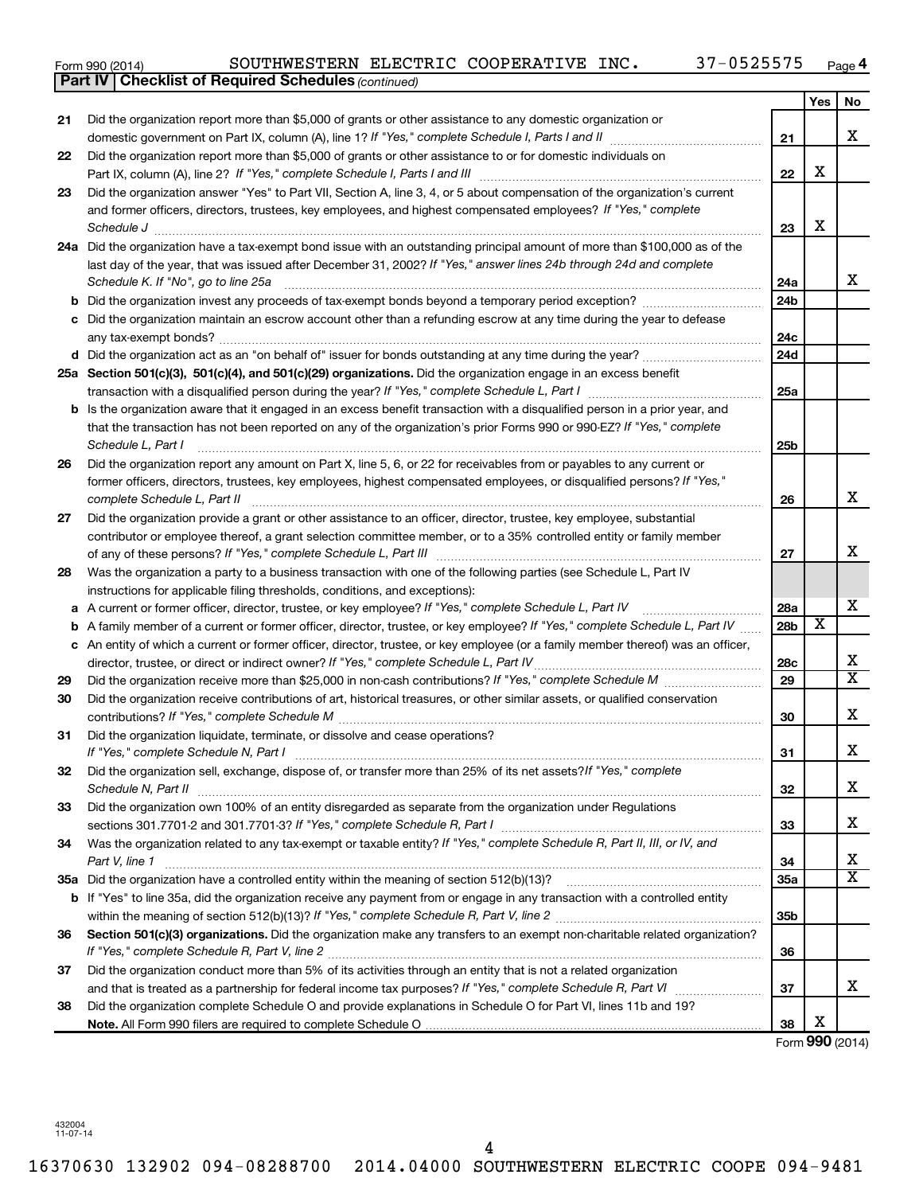| Form 990 (2014) |  | SOUTHWESTERN ELECTRIC COOPERATIVE INC. |  |  |  | 37-0525575 | Page |
|-----------------|--|----------------------------------------|--|--|--|------------|------|
|-----------------|--|----------------------------------------|--|--|--|------------|------|

|    | <b>Part IV   Checklist of Required Schedules (continued)</b>                                                                      |                 |                         |                         |
|----|-----------------------------------------------------------------------------------------------------------------------------------|-----------------|-------------------------|-------------------------|
|    |                                                                                                                                   |                 | Yes                     | No.                     |
| 21 | Did the organization report more than \$5,000 of grants or other assistance to any domestic organization or                       |                 |                         |                         |
|    |                                                                                                                                   | 21              |                         | х                       |
| 22 | Did the organization report more than \$5,000 of grants or other assistance to or for domestic individuals on                     |                 |                         |                         |
|    |                                                                                                                                   | 22              | X                       |                         |
| 23 | Did the organization answer "Yes" to Part VII, Section A, line 3, 4, or 5 about compensation of the organization's current        |                 |                         |                         |
|    | and former officers, directors, trustees, key employees, and highest compensated employees? If "Yes," complete                    |                 |                         |                         |
|    | Schedule J <b>Execute Schedule J Execute Schedule J</b>                                                                           | 23              | X                       |                         |
|    | 24a Did the organization have a tax-exempt bond issue with an outstanding principal amount of more than \$100,000 as of the       |                 |                         |                         |
|    | last day of the year, that was issued after December 31, 2002? If "Yes," answer lines 24b through 24d and complete                |                 |                         |                         |
|    | Schedule K. If "No", go to line 25a                                                                                               | 24a             |                         | x                       |
| b  |                                                                                                                                   | 24 <sub>b</sub> |                         |                         |
|    | Did the organization maintain an escrow account other than a refunding escrow at any time during the year to defease              |                 |                         |                         |
|    |                                                                                                                                   | 24c             |                         |                         |
|    |                                                                                                                                   | 24 <sub>d</sub> |                         |                         |
|    | 25a Section 501(c)(3), 501(c)(4), and 501(c)(29) organizations. Did the organization engage in an excess benefit                  |                 |                         |                         |
|    |                                                                                                                                   | 25a             |                         |                         |
| b  | Is the organization aware that it engaged in an excess benefit transaction with a disqualified person in a prior year, and        |                 |                         |                         |
|    | that the transaction has not been reported on any of the organization's prior Forms 990 or 990-EZ? If "Yes," complete             |                 |                         |                         |
|    | Schedule L, Part I                                                                                                                | 25b             |                         |                         |
| 26 | Did the organization report any amount on Part X, line 5, 6, or 22 for receivables from or payables to any current or             |                 |                         |                         |
|    | former officers, directors, trustees, key employees, highest compensated employees, or disqualified persons? If "Yes,"            |                 |                         |                         |
|    | complete Schedule L, Part II                                                                                                      | 26              |                         | x                       |
| 27 | Did the organization provide a grant or other assistance to an officer, director, trustee, key employee, substantial              |                 |                         |                         |
|    | contributor or employee thereof, a grant selection committee member, or to a 35% controlled entity or family member               |                 |                         |                         |
|    |                                                                                                                                   | 27              |                         | x                       |
| 28 | Was the organization a party to a business transaction with one of the following parties (see Schedule L, Part IV                 |                 |                         |                         |
|    | instructions for applicable filing thresholds, conditions, and exceptions):                                                       |                 |                         |                         |
| а  | A current or former officer, director, trustee, or key employee? If "Yes," complete Schedule L, Part IV                           | 28a             |                         | х                       |
| b  | A family member of a current or former officer, director, trustee, or key employee? If "Yes," complete Schedule L, Part IV        | 28b             | $\overline{\textbf{x}}$ |                         |
|    | c An entity of which a current or former officer, director, trustee, or key employee (or a family member thereof) was an officer, |                 |                         |                         |
|    | director, trustee, or direct or indirect owner? If "Yes," complete Schedule L, Part IV                                            | 28c             |                         | х                       |
| 29 |                                                                                                                                   | 29              |                         | $\overline{\text{X}}$   |
| 30 | Did the organization receive contributions of art, historical treasures, or other similar assets, or qualified conservation       |                 |                         |                         |
|    |                                                                                                                                   | 30              |                         | х                       |
| 31 | Did the organization liquidate, terminate, or dissolve and cease operations?                                                      |                 |                         |                         |
|    | If "Yes," complete Schedule N, Part I                                                                                             | 31              |                         | Χ                       |
| 32 | Did the organization sell, exchange, dispose of, or transfer more than 25% of its net assets?/f "Yes," complete                   |                 |                         |                         |
|    | Schedule N, Part II                                                                                                               | 32              |                         | х                       |
| 33 | Did the organization own 100% of an entity disregarded as separate from the organization under Regulations                        |                 |                         |                         |
|    |                                                                                                                                   | 33              |                         | х                       |
| 34 | Was the organization related to any tax-exempt or taxable entity? If "Yes," complete Schedule R, Part II, III, or IV, and         |                 |                         |                         |
|    | Part V, line 1                                                                                                                    | 34              |                         | х                       |
|    |                                                                                                                                   | 35a             |                         | $\overline{\textbf{X}}$ |
| b  | If "Yes" to line 35a, did the organization receive any payment from or engage in any transaction with a controlled entity         |                 |                         |                         |
|    |                                                                                                                                   | 35 <sub>b</sub> |                         |                         |
| 36 | Section 501(c)(3) organizations. Did the organization make any transfers to an exempt non-charitable related organization?        |                 |                         |                         |
|    |                                                                                                                                   | 36              |                         |                         |
| 37 | Did the organization conduct more than 5% of its activities through an entity that is not a related organization                  |                 |                         |                         |
|    |                                                                                                                                   | 37              |                         | x.                      |
| 38 | Did the organization complete Schedule O and provide explanations in Schedule O for Part VI, lines 11b and 19?                    |                 |                         |                         |
|    |                                                                                                                                   | 38              | X                       |                         |

Form (2014) **990**

432004 11-07-14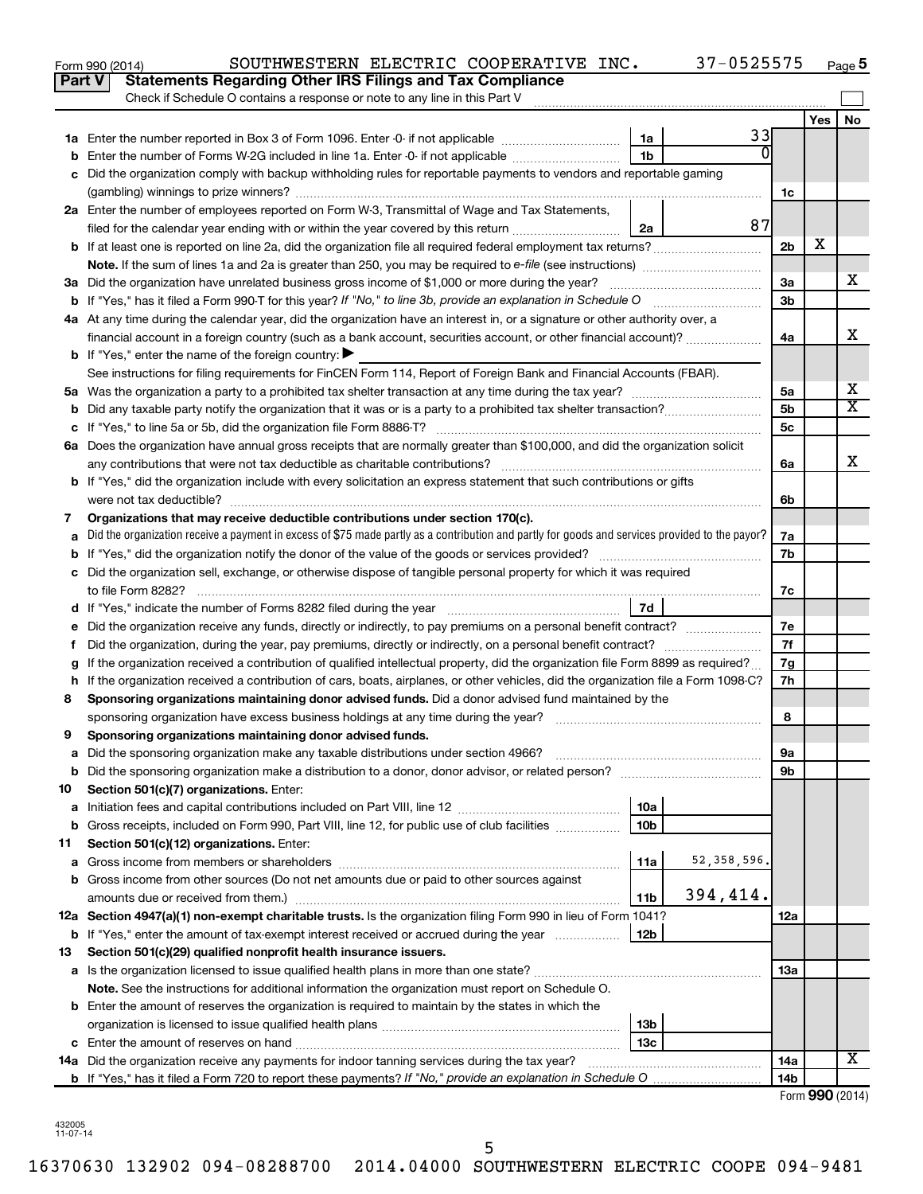|        | 37-0525575<br>SOUTHWESTERN ELECTRIC COOPERATIVE INC.<br>Form 990 (2014)                                                                         |                 |                 | Page 5                  |
|--------|-------------------------------------------------------------------------------------------------------------------------------------------------|-----------------|-----------------|-------------------------|
| Part V | <b>Statements Regarding Other IRS Filings and Tax Compliance</b>                                                                                |                 |                 |                         |
|        | Check if Schedule O contains a response or note to any line in this Part V                                                                      |                 |                 |                         |
|        |                                                                                                                                                 |                 | Yes             | No                      |
|        | 33<br>1a                                                                                                                                        |                 |                 |                         |
|        | $\overline{0}$<br>1 <sub>b</sub><br><b>b</b> Enter the number of Forms W-2G included in line 1a. Enter -0- if not applicable                    |                 |                 |                         |
|        | c Did the organization comply with backup withholding rules for reportable payments to vendors and reportable gaming                            |                 |                 |                         |
|        |                                                                                                                                                 | 1c              |                 |                         |
|        | 2a Enter the number of employees reported on Form W-3, Transmittal of Wage and Tax Statements,                                                  |                 |                 |                         |
|        | 87<br>filed for the calendar year ending with or within the year covered by this return<br>2a                                                   |                 |                 |                         |
|        | b If at least one is reported on line 2a, did the organization file all required federal employment tax returns?                                | 2 <sub>b</sub>  | х               |                         |
|        |                                                                                                                                                 |                 |                 |                         |
|        | 3a Did the organization have unrelated business gross income of \$1,000 or more during the year?                                                | 3a              |                 | x                       |
|        | <b>b</b> If "Yes," has it filed a Form 990-T for this year? If "No," to line 3b, provide an explanation in Schedule O manumum                   | 3 <sub>b</sub>  |                 |                         |
|        | 4a At any time during the calendar year, did the organization have an interest in, or a signature or other authority over, a                    |                 |                 |                         |
|        | financial account in a foreign country (such as a bank account, securities account, or other financial account)?                                | 4a              |                 | х                       |
|        | <b>b</b> If "Yes," enter the name of the foreign country: $\blacktriangleright$                                                                 |                 |                 |                         |
|        | See instructions for filing requirements for FinCEN Form 114, Report of Foreign Bank and Financial Accounts (FBAR).                             |                 |                 |                         |
|        |                                                                                                                                                 | 5a              |                 | х                       |
|        |                                                                                                                                                 | 5 <sub>b</sub>  |                 | $\overline{\textbf{X}}$ |
|        |                                                                                                                                                 | 5 <sub>c</sub>  |                 |                         |
|        | 6a Does the organization have annual gross receipts that are normally greater than \$100,000, and did the organization solicit                  |                 |                 |                         |
|        |                                                                                                                                                 | 6а              |                 | х                       |
|        | <b>b</b> If "Yes," did the organization include with every solicitation an express statement that such contributions or gifts                   |                 |                 |                         |
|        | were not tax deductible?                                                                                                                        | 6b              |                 |                         |
| 7      | Organizations that may receive deductible contributions under section 170(c).                                                                   |                 |                 |                         |
| а      | Did the organization receive a payment in excess of \$75 made partly as a contribution and partly for goods and services provided to the payor? | 7a              |                 |                         |
|        |                                                                                                                                                 | 7b              |                 |                         |
|        | c Did the organization sell, exchange, or otherwise dispose of tangible personal property for which it was required                             |                 |                 |                         |
|        |                                                                                                                                                 | 7с              |                 |                         |
|        | d If "Yes," indicate the number of Forms 8282 filed during the year manufactured and result of 7d                                               |                 |                 |                         |
| е      |                                                                                                                                                 | 7e              |                 |                         |
| f      | Did the organization, during the year, pay premiums, directly or indirectly, on a personal benefit contract?                                    | 7f              |                 |                         |
|        | If the organization received a contribution of qualified intellectual property, did the organization file Form 8899 as required?                | 7g              |                 |                         |
|        | h If the organization received a contribution of cars, boats, airplanes, or other vehicles, did the organization file a Form 1098-C?            | 7h              |                 |                         |
| 8      | Sponsoring organizations maintaining donor advised funds. Did a donor advised fund maintained by the                                            |                 |                 |                         |
|        |                                                                                                                                                 | 8               |                 |                         |
|        | Sponsoring organizations maintaining donor advised funds.                                                                                       |                 |                 |                         |
| а      | Did the sponsoring organization make any taxable distributions under section 4966?                                                              | 9а              |                 |                         |
| b      |                                                                                                                                                 | 9b              |                 |                         |
| 10     | Section 501(c)(7) organizations. Enter:                                                                                                         |                 |                 |                         |
| а      | 10a                                                                                                                                             |                 |                 |                         |
| b      | 10 <sub>b</sub><br>Gross receipts, included on Form 990, Part VIII, line 12, for public use of club facilities                                  |                 |                 |                         |
| 11     | Section 501(c)(12) organizations. Enter:                                                                                                        |                 |                 |                         |
| а      | 52, 358, 596.<br>11a<br>Gross income from members or shareholders                                                                               |                 |                 |                         |
|        | b Gross income from other sources (Do not net amounts due or paid to other sources against                                                      |                 |                 |                         |
|        | 394,414.<br>amounts due or received from them.)<br>11b                                                                                          |                 |                 |                         |
|        | 12a Section 4947(a)(1) non-exempt charitable trusts. Is the organization filing Form 990 in lieu of Form 1041?                                  | 12a             |                 |                         |
|        | 12b<br><b>b</b> If "Yes," enter the amount of tax-exempt interest received or accrued during the year                                           |                 |                 |                         |
| 13     | Section 501(c)(29) qualified nonprofit health insurance issuers.                                                                                |                 |                 |                         |
|        |                                                                                                                                                 | 13a             |                 |                         |
|        | Note. See the instructions for additional information the organization must report on Schedule O.                                               |                 |                 |                         |
|        | <b>b</b> Enter the amount of reserves the organization is required to maintain by the states in which the                                       |                 |                 |                         |
|        | 13b                                                                                                                                             |                 |                 |                         |
|        | 13с                                                                                                                                             |                 |                 |                         |
|        | 14a Did the organization receive any payments for indoor tanning services during the tax year?                                                  | 14a             |                 | x                       |
|        |                                                                                                                                                 | 14 <sub>b</sub> |                 |                         |
|        |                                                                                                                                                 |                 | Form 990 (2014) |                         |

| 432005   |
|----------|
|          |
| 11-07-14 |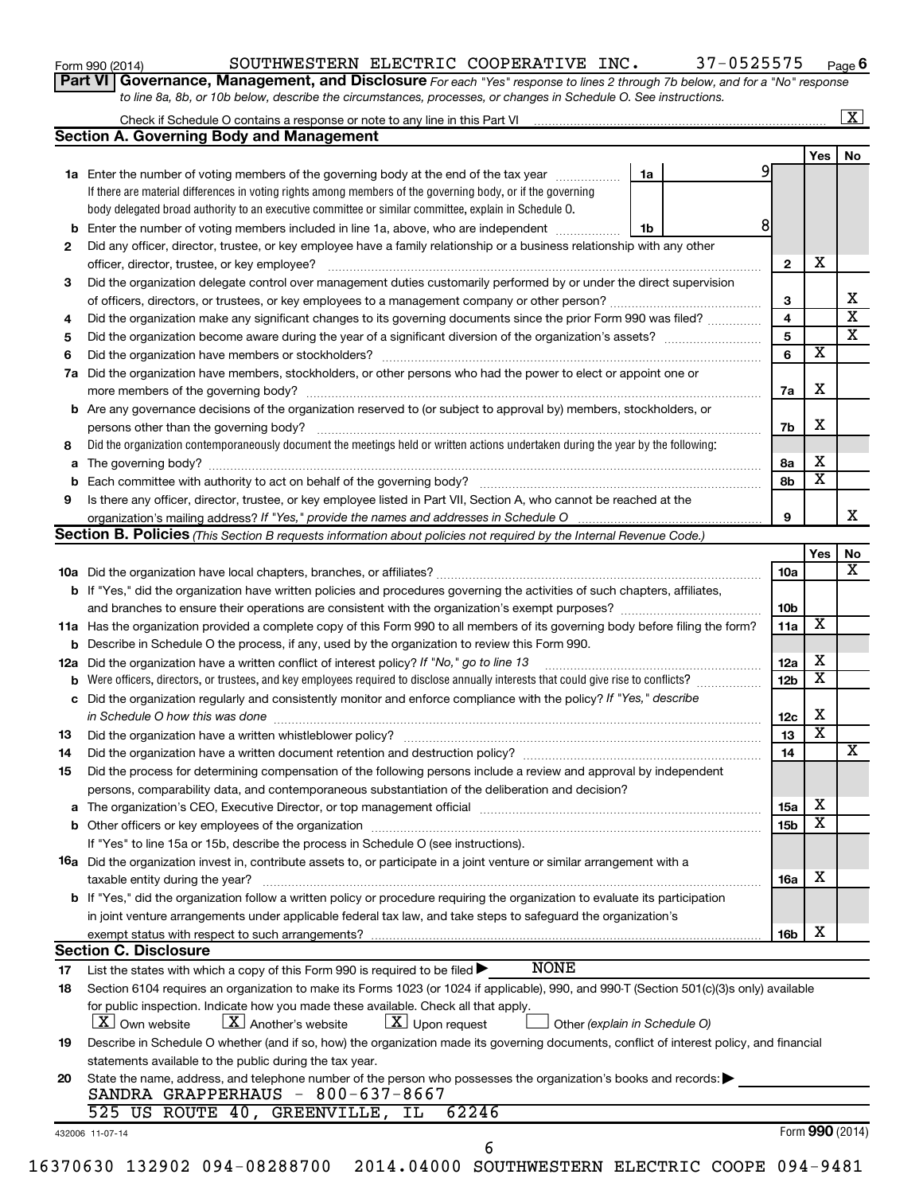| Form 990 (2014) |  |
|-----------------|--|
|-----------------|--|

#### Form 990 (2014) Page SOUTHWESTERN ELECTRIC COOPERATIVE INC. 37-0525575

**Part VI** Governance, Management, and Disclosure For each "Yes" response to lines 2 through 7b below, and for a "No" response *to line 8a, 8b, or 10b below, describe the circumstances, processes, or changes in Schedule O. See instructions.*

|    | <b>Section A. Governing Body and Management</b>                                                                                                                             |                               |                 |                         | $\boxed{\textbf{X}}$    |
|----|-----------------------------------------------------------------------------------------------------------------------------------------------------------------------------|-------------------------------|-----------------|-------------------------|-------------------------|
|    |                                                                                                                                                                             |                               |                 | Yes $ $                 | No                      |
|    | 1a Enter the number of voting members of the governing body at the end of the tax year                                                                                      | 1a                            | 9               |                         |                         |
|    | If there are material differences in voting rights among members of the governing body, or if the governing                                                                 |                               |                 |                         |                         |
|    | body delegated broad authority to an executive committee or similar committee, explain in Schedule O.                                                                       |                               |                 |                         |                         |
|    | <b>b</b> Enter the number of voting members included in line 1a, above, who are independent                                                                                 | 1b                            | 8               |                         |                         |
| 2  | Did any officer, director, trustee, or key employee have a family relationship or a business relationship with any other                                                    |                               |                 |                         |                         |
|    |                                                                                                                                                                             |                               | 2               | х                       |                         |
| 3  | Did the organization delegate control over management duties customarily performed by or under the direct supervision                                                       |                               |                 |                         |                         |
|    |                                                                                                                                                                             |                               | 3               |                         | х                       |
| 4  | Did the organization make any significant changes to its governing documents since the prior Form 990 was filed?                                                            |                               | 4               |                         | $\overline{\mathbf{x}}$ |
| 5  |                                                                                                                                                                             |                               | 5               |                         | $\overline{\text{x}}$   |
| 6  |                                                                                                                                                                             |                               | 6               | $\overline{\mathbf{x}}$ |                         |
|    | Did the organization have members, stockholders, or other persons who had the power to elect or appoint one or                                                              |                               |                 |                         |                         |
| 7a |                                                                                                                                                                             |                               |                 | X                       |                         |
|    |                                                                                                                                                                             |                               | 7a              |                         |                         |
|    | <b>b</b> Are any governance decisions of the organization reserved to (or subject to approval by) members, stockholders, or                                                 |                               |                 | X                       |                         |
|    | persons other than the governing body?<br>Did the organization contemporaneously document the meetings held or written actions undertaken during the year by the following: |                               | 7b              |                         |                         |
| 8  |                                                                                                                                                                             |                               |                 | х                       |                         |
|    |                                                                                                                                                                             |                               | 8a              | $\overline{\textbf{x}}$ |                         |
|    |                                                                                                                                                                             |                               | 8b              |                         |                         |
| 9  | Is there any officer, director, trustee, or key employee listed in Part VII, Section A, who cannot be reached at the                                                        |                               |                 |                         |                         |
|    |                                                                                                                                                                             |                               | 9               |                         |                         |
|    | Section B. Policies (This Section B requests information about policies not required by the Internal Revenue Code.)                                                         |                               |                 |                         |                         |
|    |                                                                                                                                                                             |                               |                 | Yes                     |                         |
|    |                                                                                                                                                                             |                               | <b>10a</b>      |                         |                         |
|    | <b>b</b> If "Yes," did the organization have written policies and procedures governing the activities of such chapters, affiliates,                                         |                               |                 |                         |                         |
|    |                                                                                                                                                                             |                               | 10b             |                         |                         |
|    | 11a Has the organization provided a complete copy of this Form 990 to all members of its governing body before filing the form?                                             |                               | 11a             | X                       |                         |
|    | <b>b</b> Describe in Schedule O the process, if any, used by the organization to review this Form 990.                                                                      |                               |                 |                         |                         |
|    | 12a Did the organization have a written conflict of interest policy? If "No," go to line 13                                                                                 |                               | 12a             | х                       |                         |
| b  |                                                                                                                                                                             |                               | 12 <sub>b</sub> | $\overline{\textbf{x}}$ |                         |
|    | c Did the organization regularly and consistently monitor and enforce compliance with the policy? If "Yes," describe                                                        |                               |                 |                         |                         |
|    | in Schedule O how this was done <i>machine and a continuum continuum continuum continuum continuum continuum continuum</i>                                                  |                               | 12c             | х                       |                         |
| 13 |                                                                                                                                                                             |                               | 13              | $\overline{\text{x}}$   |                         |
| 14 | Did the organization have a written document retention and destruction policy? [11] manufaction manufaction in                                                              |                               | 14              |                         |                         |
| 15 | Did the process for determining compensation of the following persons include a review and approval by independent                                                          |                               |                 |                         |                         |
|    | persons, comparability data, and contemporaneous substantiation of the deliberation and decision?                                                                           |                               |                 |                         |                         |
|    |                                                                                                                                                                             |                               | 15a             | х                       |                         |
|    |                                                                                                                                                                             |                               | 15b             | $\overline{\textbf{x}}$ |                         |
|    | If "Yes" to line 15a or 15b, describe the process in Schedule O (see instructions).                                                                                         |                               |                 |                         |                         |
|    | 16a Did the organization invest in, contribute assets to, or participate in a joint venture or similar arrangement with a                                                   |                               |                 |                         |                         |
|    | taxable entity during the year?                                                                                                                                             |                               | 16a             | х                       |                         |
|    | b If "Yes," did the organization follow a written policy or procedure requiring the organization to evaluate its participation                                              |                               |                 |                         |                         |
|    | in joint venture arrangements under applicable federal tax law, and take steps to safeguard the organization's                                                              |                               |                 |                         |                         |
|    | exempt status with respect to such arrangements?                                                                                                                            |                               | 16b             | х                       |                         |
|    | <b>Section C. Disclosure</b>                                                                                                                                                |                               |                 |                         |                         |
| 17 | <b>NONE</b><br>List the states with which a copy of this Form 990 is required to be filed >                                                                                 |                               |                 |                         |                         |
| 18 | Section 6104 requires an organization to make its Forms 1023 (or 1024 if applicable), 990, and 990-T (Section 501(c)(3)s only) available                                    |                               |                 |                         |                         |
|    | for public inspection. Indicate how you made these available. Check all that apply.                                                                                         |                               |                 |                         |                         |
|    | $\lfloor x \rfloor$ Upon request<br><b>X</b> Own website<br>$\lfloor X \rfloor$ Another's website                                                                           | Other (explain in Schedule O) |                 |                         |                         |
| 19 | Describe in Schedule O whether (and if so, how) the organization made its governing documents, conflict of interest policy, and financial                                   |                               |                 |                         |                         |
|    | statements available to the public during the tax year.                                                                                                                     |                               |                 |                         |                         |
| 20 | State the name, address, and telephone number of the person who possesses the organization's books and records:                                                             |                               |                 |                         |                         |
|    | SANDRA GRAPPERHAUS - 800-637-8667                                                                                                                                           |                               |                 |                         |                         |
|    | US ROUTE 40, GREENVILLE, IL<br>62246<br>525.                                                                                                                                |                               |                 |                         |                         |
|    | 432006 11-07-14                                                                                                                                                             |                               |                 | Form 990 (2014)         |                         |
|    | 6                                                                                                                                                                           |                               |                 |                         |                         |
|    | 16370630 132902 094-08288700 2014.04000 SOUTHWESTERN ELECTRIC COOPE 094-9481                                                                                                |                               |                 |                         |                         |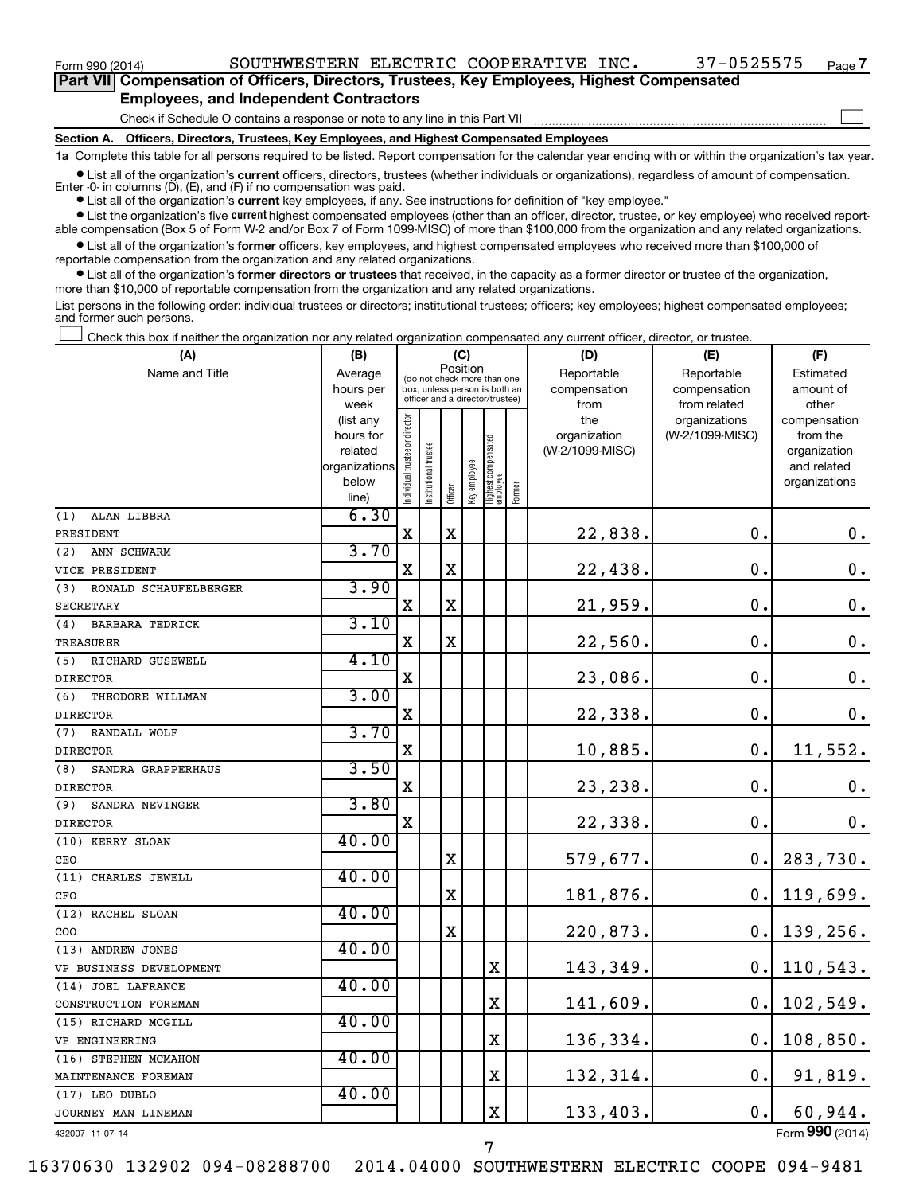$\Box$ 

| Part VII Compensation of Officers, Directors, Trustees, Key Employees, Highest Compensated |  |  |
|--------------------------------------------------------------------------------------------|--|--|
| <b>Employees, and Independent Contractors</b>                                              |  |  |

Check if Schedule O contains a response or note to any line in this Part VII

**Section A. Officers, Directors, Trustees, Key Employees, and Highest Compensated Employees**

**1a**  Complete this table for all persons required to be listed. Report compensation for the calendar year ending with or within the organization's tax year.

**•** List all of the organization's current officers, directors, trustees (whether individuals or organizations), regardless of amount of compensation. Enter -0- in columns  $(D)$ ,  $(E)$ , and  $(F)$  if no compensation was paid.

**•** List all of the organization's **current** key employees, if any. See instructions for definition of "key employee."

**•** List the organization's five current highest compensated employees (other than an officer, director, trustee, or key employee) who received reportable compensation (Box 5 of Form W-2 and/or Box 7 of Form 1099-MISC) of more than \$100,000 from the organization and any related organizations.

**•** List all of the organization's former officers, key employees, and highest compensated employees who received more than \$100,000 of reportable compensation from the organization and any related organizations.

**•** List all of the organization's former directors or trustees that received, in the capacity as a former director or trustee of the organization, more than \$10,000 of reportable compensation from the organization and any related organizations.

List persons in the following order: individual trustees or directors; institutional trustees; officers; key employees; highest compensated employees; and former such persons.

Check this box if neither the organization nor any related organization compensated any current officer, director, or trustee.  $\Box$ 

| (A)                           | (B)               |                                |                                                                  | (C)         |              |                                   |        | (D)             | (E)                           | (F)                   |
|-------------------------------|-------------------|--------------------------------|------------------------------------------------------------------|-------------|--------------|-----------------------------------|--------|-----------------|-------------------------------|-----------------------|
| Name and Title                | Average           |                                | (do not check more than one                                      |             | Position     |                                   |        | Reportable      | Reportable                    | Estimated             |
|                               | hours per         |                                | box, unless person is both an<br>officer and a director/trustee) |             |              |                                   |        | compensation    | compensation                  | amount of             |
|                               | week<br>(list any |                                |                                                                  |             |              |                                   |        | from<br>the     | from related<br>organizations | other<br>compensation |
|                               | hours for         |                                |                                                                  |             |              |                                   |        | organization    | (W-2/1099-MISC)               | from the              |
|                               | related           |                                | trustee                                                          |             |              |                                   |        | (W-2/1099-MISC) |                               | organization          |
|                               | organizations     |                                |                                                                  |             |              |                                   |        |                 |                               | and related           |
|                               | below             | Individual trustee or director | Institutional t                                                  |             | Key employee | Highest compensated<br>  employee | Former |                 |                               | organizations         |
|                               | line)             |                                |                                                                  | Officer     |              |                                   |        |                 |                               |                       |
| ALAN LIBBRA<br>(1)            | 6.30              |                                |                                                                  |             |              |                                   |        |                 |                               |                       |
| PRESIDENT                     |                   | $\mathbf X$                    |                                                                  | $\mathbf X$ |              |                                   |        | 22,838.         | $\mathbf 0$ .                 | $0$ .                 |
| ANN SCHWARM<br>(2)            | 3.70              |                                |                                                                  |             |              |                                   |        |                 |                               |                       |
| VICE PRESIDENT                |                   | $\mathbf X$                    |                                                                  | $\mathbf X$ |              |                                   |        | 22,438.         | О.                            | 0.                    |
| (3)<br>RONALD SCHAUFELBERGER  | 3.90              |                                |                                                                  |             |              |                                   |        |                 |                               |                       |
| <b>SECRETARY</b>              |                   | X                              |                                                                  | $\mathbf X$ |              |                                   |        | 21,959.         | $\mathbf 0$ .                 | $\mathbf 0$ .         |
| <b>BARBARA TEDRICK</b><br>(4) | 3.10              |                                |                                                                  |             |              |                                   |        |                 |                               |                       |
| <b>TREASURER</b>              |                   | $\mathbf X$                    |                                                                  | $\mathbf X$ |              |                                   |        | 22,560.         | $\mathbf 0$ .                 | $\mathbf 0$ .         |
| (5) RICHARD GUSEWELL          | 4.10              |                                |                                                                  |             |              |                                   |        |                 |                               |                       |
| <b>DIRECTOR</b>               |                   | $\mathbf X$                    |                                                                  |             |              |                                   |        | 23,086.         | $\mathbf 0$ .                 | 0.                    |
| (6)<br>THEODORE WILLMAN       | 3.00              |                                |                                                                  |             |              |                                   |        |                 |                               |                       |
| <b>DIRECTOR</b>               |                   | $\mathbf X$                    |                                                                  |             |              |                                   |        | 22,338.         | $\mathbf 0$ .                 | 0.                    |
| RANDALL WOLF<br>(7)           | 3.70              |                                |                                                                  |             |              |                                   |        |                 |                               |                       |
| <b>DIRECTOR</b>               |                   | X                              |                                                                  |             |              |                                   |        | 10,885.         | 0.                            | 11,552.               |
| (8)<br>SANDRA GRAPPERHAUS     | 3.50              |                                |                                                                  |             |              |                                   |        |                 |                               |                       |
| <b>DIRECTOR</b>               |                   | $\mathbf X$                    |                                                                  |             |              |                                   |        | 23,238.         | $\mathbf 0$ .                 | 0.                    |
| (9)<br>SANDRA NEVINGER        | 3.80              |                                |                                                                  |             |              |                                   |        |                 |                               |                       |
| <b>DIRECTOR</b>               |                   | $\mathbf X$                    |                                                                  |             |              |                                   |        | 22,338.         | $\mathbf 0$ .                 | 0.                    |
| (10) KERRY SLOAN              | 40.00             |                                |                                                                  |             |              |                                   |        |                 |                               |                       |
| CEO                           |                   |                                |                                                                  | $\mathbf X$ |              |                                   |        | 579,677.        | 0.                            | 283,730.              |
| (11) CHARLES JEWELL           | 40.00             |                                |                                                                  |             |              |                                   |        |                 |                               |                       |
| CFO                           |                   |                                |                                                                  | X           |              |                                   |        | 181,876.        | 0.                            | 119,699.              |
| (12) RACHEL SLOAN             | 40.00             |                                |                                                                  |             |              |                                   |        |                 |                               |                       |
| COO                           |                   |                                |                                                                  | $\mathbf x$ |              |                                   |        | 220,873.        | 0.                            | 139,256.              |
| (13) ANDREW JONES             | 40.00             |                                |                                                                  |             |              |                                   |        |                 |                               |                       |
| VP BUSINESS DEVELOPMENT       |                   |                                |                                                                  |             |              | X                                 |        | 143,349.        | 0.                            | 110, 543.             |
| (14) JOEL LAFRANCE            | 40.00             |                                |                                                                  |             |              |                                   |        |                 |                               |                       |
| CONSTRUCTION FOREMAN          |                   |                                |                                                                  |             |              | $\mathbf X$                       |        | 141,609.        | 0.                            | 102,549.              |
| (15) RICHARD MCGILL           | 40.00             |                                |                                                                  |             |              |                                   |        |                 |                               |                       |
| VP ENGINEERING                |                   |                                |                                                                  |             |              | $\rm X$                           |        | 136,334.        | 0.                            | 108,850.              |
| (16) STEPHEN MCMAHON          | 40.00             |                                |                                                                  |             |              |                                   |        |                 |                               |                       |
| MAINTENANCE FOREMAN           |                   |                                |                                                                  |             |              | $\mathbf X$                       |        | 132,314.        | 0.                            | 91,819.               |
| (17) LEO DUBLO                | 40.00             |                                |                                                                  |             |              |                                   |        |                 |                               |                       |
| JOURNEY MAN LINEMAN           |                   |                                |                                                                  |             |              | $\mathbf X$                       |        | 133,403.        | 0.                            | 60,944.               |
|                               |                   |                                |                                                                  |             |              |                                   |        |                 |                               |                       |

432007 11-07-14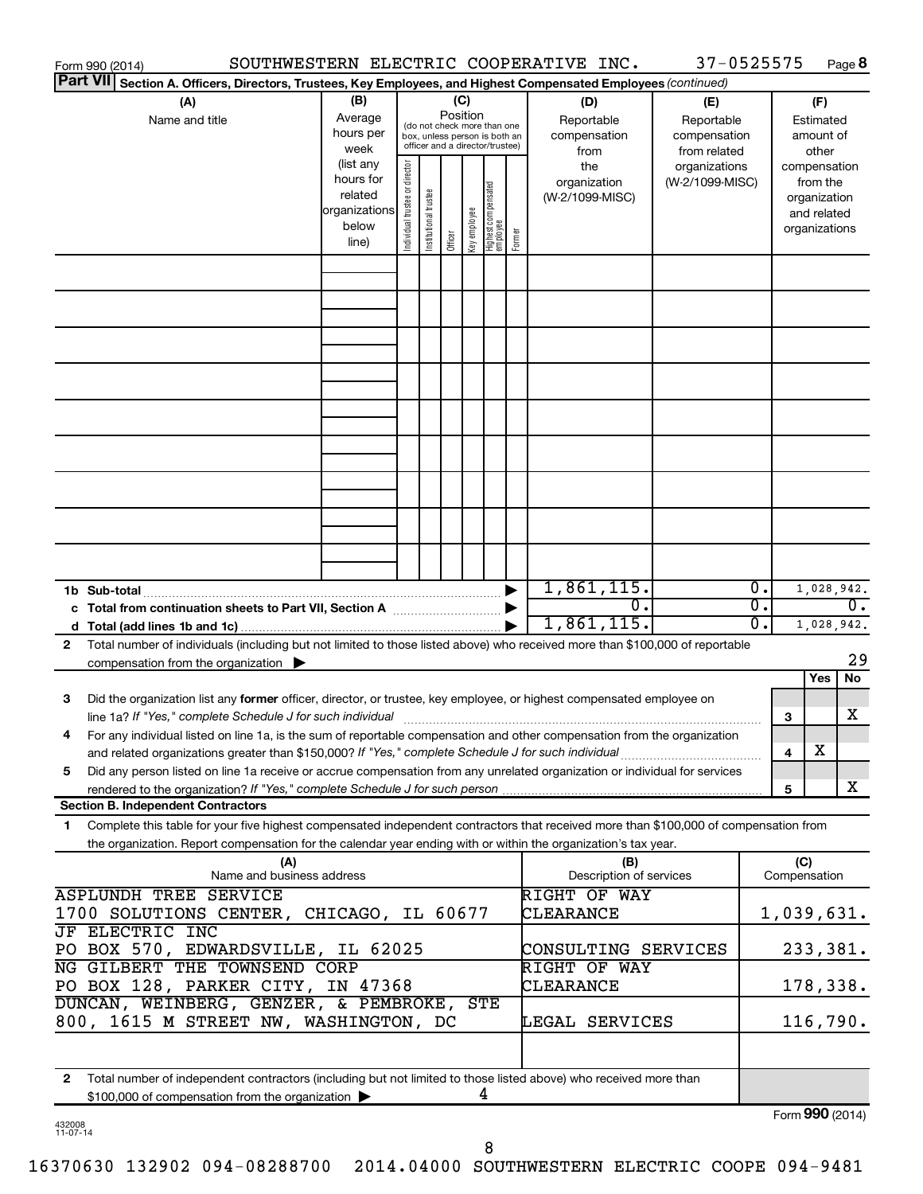| Form 990 (2014)                                                                                                                                                                                                                |                           |                                |                       |          |              |                                   |        | SOUTHWESTERN ELECTRIC COOPERATIVE INC. | 37-0525575      |                  |                 |               | Page 8 |
|--------------------------------------------------------------------------------------------------------------------------------------------------------------------------------------------------------------------------------|---------------------------|--------------------------------|-----------------------|----------|--------------|-----------------------------------|--------|----------------------------------------|-----------------|------------------|-----------------|---------------|--------|
| <b>Part VII</b><br>Section A. Officers, Directors, Trustees, Key Employees, and Highest Compensated Employees (continued)                                                                                                      |                           |                                |                       |          |              |                                   |        |                                        |                 |                  |                 |               |        |
| (A)                                                                                                                                                                                                                            | (B)                       |                                |                       | (C)      |              |                                   |        | (D)                                    | (E)             |                  |                 | (F)           |        |
| Name and title                                                                                                                                                                                                                 | Average                   |                                |                       | Position |              | (do not check more than one       |        | Reportable                             | Reportable      |                  |                 | Estimated     |        |
|                                                                                                                                                                                                                                | hours per                 |                                |                       |          |              | box, unless person is both an     |        | compensation                           | compensation    |                  |                 | amount of     |        |
|                                                                                                                                                                                                                                | week                      |                                |                       |          |              | officer and a director/trustee)   |        | from                                   | from related    |                  |                 | other         |        |
|                                                                                                                                                                                                                                | (list any                 |                                |                       |          |              |                                   |        | the                                    | organizations   |                  |                 | compensation  |        |
|                                                                                                                                                                                                                                | hours for                 |                                |                       |          |              |                                   |        | organization                           | (W-2/1099-MISC) |                  |                 | from the      |        |
|                                                                                                                                                                                                                                | related                   |                                |                       |          |              |                                   |        | (W-2/1099-MISC)                        |                 |                  |                 | organization  |        |
|                                                                                                                                                                                                                                | organizations             |                                |                       |          |              |                                   |        |                                        |                 |                  |                 | and related   |        |
|                                                                                                                                                                                                                                | below                     | Individual trustee or director | Institutional trustee |          | Key employee |                                   | Former |                                        |                 |                  |                 | organizations |        |
|                                                                                                                                                                                                                                | line)                     |                                |                       | Officer  |              | Highest compensated<br>  employee |        |                                        |                 |                  |                 |               |        |
|                                                                                                                                                                                                                                |                           |                                |                       |          |              |                                   |        |                                        |                 |                  |                 |               |        |
|                                                                                                                                                                                                                                |                           |                                |                       |          |              |                                   |        |                                        |                 |                  |                 |               |        |
|                                                                                                                                                                                                                                |                           |                                |                       |          |              |                                   |        |                                        |                 |                  |                 |               |        |
|                                                                                                                                                                                                                                |                           |                                |                       |          |              |                                   |        |                                        |                 |                  |                 |               |        |
|                                                                                                                                                                                                                                |                           |                                |                       |          |              |                                   |        |                                        |                 |                  |                 |               |        |
|                                                                                                                                                                                                                                |                           |                                |                       |          |              |                                   |        |                                        |                 |                  |                 |               |        |
|                                                                                                                                                                                                                                |                           |                                |                       |          |              |                                   |        |                                        |                 |                  |                 |               |        |
|                                                                                                                                                                                                                                |                           |                                |                       |          |              |                                   |        |                                        |                 |                  |                 |               |        |
|                                                                                                                                                                                                                                |                           |                                |                       |          |              |                                   |        |                                        |                 |                  |                 |               |        |
|                                                                                                                                                                                                                                |                           |                                |                       |          |              |                                   |        |                                        |                 |                  |                 |               |        |
|                                                                                                                                                                                                                                |                           |                                |                       |          |              |                                   |        |                                        |                 |                  |                 |               |        |
|                                                                                                                                                                                                                                |                           |                                |                       |          |              |                                   |        |                                        |                 |                  |                 |               |        |
|                                                                                                                                                                                                                                |                           |                                |                       |          |              |                                   |        |                                        |                 |                  |                 |               |        |
|                                                                                                                                                                                                                                |                           |                                |                       |          |              |                                   |        |                                        |                 |                  |                 |               |        |
|                                                                                                                                                                                                                                |                           |                                |                       |          |              |                                   |        |                                        |                 |                  |                 |               |        |
|                                                                                                                                                                                                                                |                           |                                |                       |          |              |                                   |        |                                        |                 |                  |                 |               |        |
|                                                                                                                                                                                                                                |                           |                                |                       |          |              |                                   |        |                                        |                 |                  |                 |               |        |
|                                                                                                                                                                                                                                |                           |                                |                       |          |              |                                   |        |                                        |                 |                  |                 |               |        |
|                                                                                                                                                                                                                                |                           |                                |                       |          |              |                                   |        | 1,861,115.                             |                 | $\overline{0}$ . |                 |               |        |
| 1b Sub-total                                                                                                                                                                                                                   |                           |                                |                       |          |              |                                   |        | σ.                                     |                 | $\overline{0}$ . |                 | 1,028,942.    |        |
|                                                                                                                                                                                                                                |                           |                                |                       |          |              |                                   |        |                                        |                 |                  |                 |               | $0$ .  |
|                                                                                                                                                                                                                                |                           |                                |                       |          |              |                                   |        | 1,861,115.                             |                 | 0.               |                 | 1,028,942.    |        |
| Total number of individuals (including but not limited to those listed above) who received more than \$100,000 of reportable<br>2                                                                                              |                           |                                |                       |          |              |                                   |        |                                        |                 |                  |                 |               |        |
| compensation from the organization $\blacktriangleright$                                                                                                                                                                       |                           |                                |                       |          |              |                                   |        |                                        |                 |                  |                 |               | 29     |
|                                                                                                                                                                                                                                |                           |                                |                       |          |              |                                   |        |                                        |                 |                  |                 | Yes           | No     |
| Did the organization list any former officer, director, or trustee, key employee, or highest compensated employee on<br>3                                                                                                      |                           |                                |                       |          |              |                                   |        |                                        |                 |                  |                 |               |        |
| line 1a? If "Yes," complete Schedule J for such individual manufacture content to the set of the set of the such that the set of the set of the set of the set of the set of the set of the set of the set of the set of the s |                           |                                |                       |          |              |                                   |        |                                        |                 |                  | З               |               | х      |
| For any individual listed on line 1a, is the sum of reportable compensation and other compensation from the organization                                                                                                       |                           |                                |                       |          |              |                                   |        |                                        |                 |                  |                 |               |        |
| and related organizations greater than \$150,000? If "Yes," complete Schedule J for such individual                                                                                                                            |                           |                                |                       |          |              |                                   |        |                                        |                 |                  | 4               | х             |        |
| Did any person listed on line 1a receive or accrue compensation from any unrelated organization or individual for services<br>5                                                                                                |                           |                                |                       |          |              |                                   |        |                                        |                 |                  |                 |               |        |
|                                                                                                                                                                                                                                |                           |                                |                       |          |              |                                   |        |                                        |                 |                  | 5               |               | x      |
| <b>Section B. Independent Contractors</b>                                                                                                                                                                                      |                           |                                |                       |          |              |                                   |        |                                        |                 |                  |                 |               |        |
| Complete this table for your five highest compensated independent contractors that received more than \$100,000 of compensation from<br>1.                                                                                     |                           |                                |                       |          |              |                                   |        |                                        |                 |                  |                 |               |        |
| the organization. Report compensation for the calendar year ending with or within the organization's tax year.                                                                                                                 |                           |                                |                       |          |              |                                   |        |                                        |                 |                  |                 |               |        |
|                                                                                                                                                                                                                                | (A)                       |                                |                       |          |              |                                   |        | (B)                                    |                 |                  | (C)             |               |        |
|                                                                                                                                                                                                                                | Name and business address |                                |                       |          |              |                                   |        | Description of services                |                 |                  | Compensation    |               |        |
| <b>ASPLUNDH TREE SERVICE</b>                                                                                                                                                                                                   |                           |                                |                       |          |              |                                   |        | <b>RIGHT OF WAY</b>                    |                 |                  |                 |               |        |
| 1700 SOLUTIONS CENTER, CHICAGO, IL 60677                                                                                                                                                                                       |                           |                                |                       |          |              |                                   |        | CLEARANCE                              |                 |                  | 1,039,631.      |               |        |
| <b>JF ELECTRIC INC</b>                                                                                                                                                                                                         |                           |                                |                       |          |              |                                   |        |                                        |                 |                  |                 |               |        |
| PO BOX 570, EDWARDSVILLE, IL 62025                                                                                                                                                                                             |                           |                                |                       |          |              |                                   |        | CONSULTING SERVICES                    |                 |                  |                 | 233,381.      |        |
| NG GILBERT THE TOWNSEND CORP                                                                                                                                                                                                   |                           |                                |                       |          |              |                                   |        | RIGHT OF WAY                           |                 |                  |                 |               |        |
| PO BOX 128, PARKER CITY, IN 47368                                                                                                                                                                                              |                           |                                |                       |          |              |                                   |        | CLEARANCE                              |                 |                  |                 | 178,338.      |        |
| DUNCAN, WEINBERG, GENZER, & PEMBROKE,                                                                                                                                                                                          |                           |                                |                       |          |              | <b>STE</b>                        |        |                                        |                 |                  |                 |               |        |
|                                                                                                                                                                                                                                |                           |                                |                       |          |              |                                   |        |                                        |                 |                  |                 |               |        |
| 800, 1615 M STREET NW, WASHINGTON, DC                                                                                                                                                                                          |                           |                                |                       |          |              |                                   |        | LEGAL SERVICES                         |                 |                  |                 | 116,790.      |        |
|                                                                                                                                                                                                                                |                           |                                |                       |          |              |                                   |        |                                        |                 |                  |                 |               |        |
|                                                                                                                                                                                                                                |                           |                                |                       |          |              |                                   |        |                                        |                 |                  |                 |               |        |
| Total number of independent contractors (including but not limited to those listed above) who received more than<br>$\mathbf{2}$                                                                                               |                           |                                |                       |          |              |                                   |        |                                        |                 |                  |                 |               |        |
| \$100,000 of compensation from the organization                                                                                                                                                                                |                           |                                |                       |          |              | 4                                 |        |                                        |                 |                  |                 |               |        |
|                                                                                                                                                                                                                                |                           |                                |                       |          |              |                                   |        |                                        |                 |                  | Form 990 (2014) |               |        |

432008 11-07-14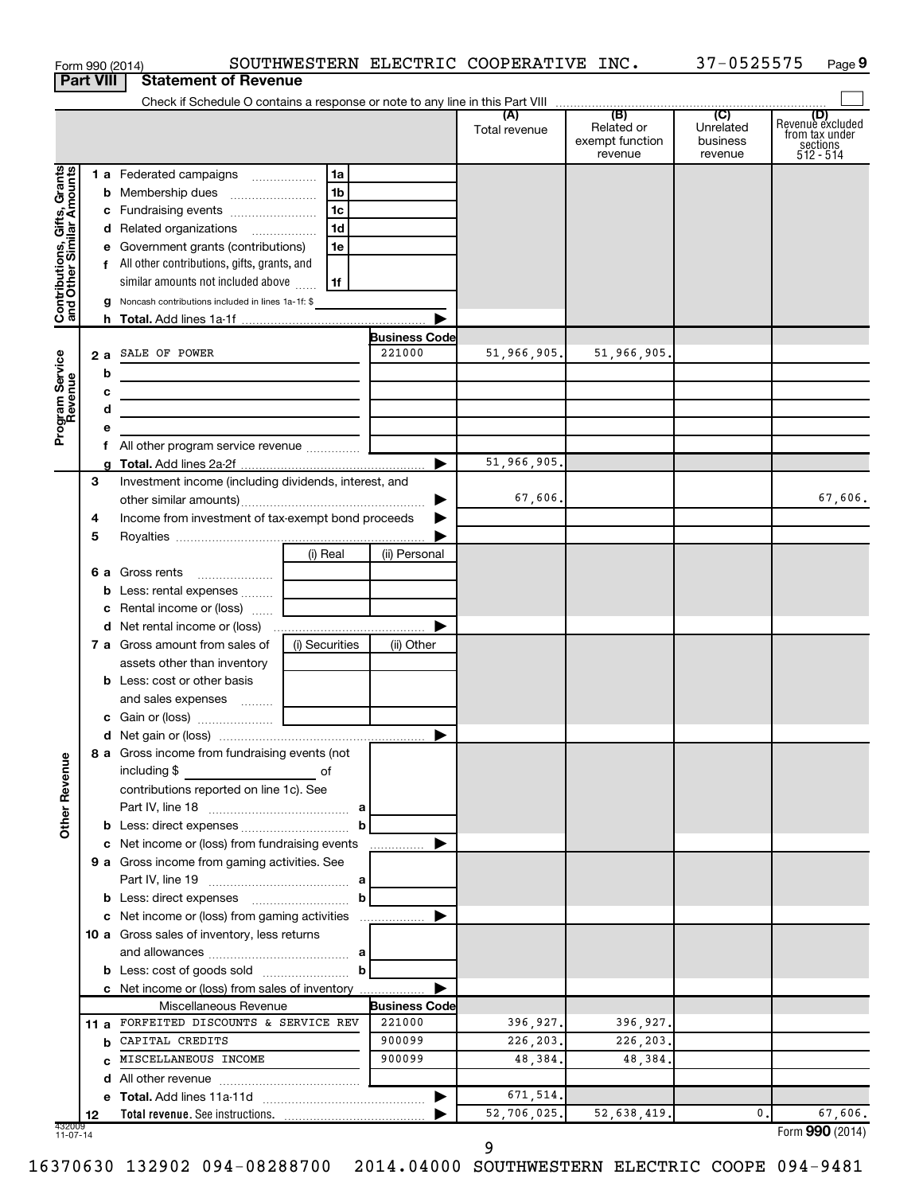|                                                           |                  | Form 990 (2014)                                                                                                      |                |                      | SOUTHWESTERN ELECTRIC COOPERATIVE INC. |                                                 | 37-0525575                                         | Page 9                                                      |
|-----------------------------------------------------------|------------------|----------------------------------------------------------------------------------------------------------------------|----------------|----------------------|----------------------------------------|-------------------------------------------------|----------------------------------------------------|-------------------------------------------------------------|
|                                                           | <b>Part VIII</b> | <b>Statement of Revenue</b>                                                                                          |                |                      |                                        |                                                 |                                                    |                                                             |
|                                                           |                  |                                                                                                                      |                |                      |                                        |                                                 |                                                    |                                                             |
|                                                           |                  |                                                                                                                      |                |                      | (A)<br>Total revenue                   | (B)<br>Related or<br>exempt function<br>revenue | $\overline{C}$<br>Unrelated<br>business<br>revenue | Revenue excluded<br>trom tax under<br>sections<br>512 - 514 |
| Contributions, Gifts, Grants<br>and Other Similar Amounts |                  | 1 a Federated campaigns                                                                                              | 1a             |                      |                                        |                                                 |                                                    |                                                             |
|                                                           |                  | <b>b</b> Membership dues                                                                                             | 1 <sub>b</sub> |                      |                                        |                                                 |                                                    |                                                             |
|                                                           |                  | c Fundraising events                                                                                                 | 1c             |                      |                                        |                                                 |                                                    |                                                             |
|                                                           |                  | d Related organizations                                                                                              | 1 <sub>d</sub> |                      |                                        |                                                 |                                                    |                                                             |
|                                                           |                  | e Government grants (contributions)                                                                                  | 1e             |                      |                                        |                                                 |                                                    |                                                             |
|                                                           |                  | f All other contributions, gifts, grants, and                                                                        |                |                      |                                        |                                                 |                                                    |                                                             |
|                                                           |                  | similar amounts not included above                                                                                   | 1f             |                      |                                        |                                                 |                                                    |                                                             |
|                                                           |                  | <b>g</b> Noncash contributions included in lines 1a-1f: \$                                                           |                |                      |                                        |                                                 |                                                    |                                                             |
|                                                           |                  |                                                                                                                      |                |                      |                                        |                                                 |                                                    |                                                             |
|                                                           |                  |                                                                                                                      |                | <b>Business Code</b> |                                        |                                                 |                                                    |                                                             |
|                                                           |                  | 2 a SALE OF POWER                                                                                                    |                | 221000               | 51,966,905.                            | 51,966,905.                                     |                                                    |                                                             |
|                                                           |                  |                                                                                                                      |                |                      |                                        |                                                 |                                                    |                                                             |
|                                                           | b                | <u> 1989 - Johann Barbara, martin amerikan basar dan basa dalam pengaran basar dalam basa dalam basa dalam basa </u> |                |                      |                                        |                                                 |                                                    |                                                             |
|                                                           | с                |                                                                                                                      |                |                      |                                        |                                                 |                                                    |                                                             |
| Program Service<br>Revenue                                | d                | the contract of the contract of the contract of the contract of                                                      |                |                      |                                        |                                                 |                                                    |                                                             |
|                                                           | е                |                                                                                                                      |                |                      |                                        |                                                 |                                                    |                                                             |
|                                                           |                  |                                                                                                                      |                |                      |                                        |                                                 |                                                    |                                                             |
|                                                           |                  |                                                                                                                      |                | ▶                    | 51,966,905.                            |                                                 |                                                    |                                                             |
|                                                           | З                | Investment income (including dividends, interest, and                                                                |                |                      |                                        |                                                 |                                                    |                                                             |
|                                                           |                  |                                                                                                                      |                | ▶                    | 67,606.                                |                                                 |                                                    | 67,606.                                                     |
|                                                           | 4                | Income from investment of tax-exempt bond proceeds                                                                   |                |                      |                                        |                                                 |                                                    |                                                             |
|                                                           | 5                |                                                                                                                      |                |                      |                                        |                                                 |                                                    |                                                             |
|                                                           |                  |                                                                                                                      | (i) Real       | (ii) Personal        |                                        |                                                 |                                                    |                                                             |
|                                                           |                  | <b>6 a</b> Gross rents                                                                                               |                |                      |                                        |                                                 |                                                    |                                                             |
|                                                           | b                |                                                                                                                      |                |                      |                                        |                                                 |                                                    |                                                             |
|                                                           | с                | Rental income or (loss)                                                                                              |                |                      |                                        |                                                 |                                                    |                                                             |
|                                                           |                  |                                                                                                                      |                | ▶                    |                                        |                                                 |                                                    |                                                             |
|                                                           |                  | 7 a Gross amount from sales of                                                                                       | (i) Securities | (ii) Other           |                                        |                                                 |                                                    |                                                             |
|                                                           |                  | assets other than inventory                                                                                          |                |                      |                                        |                                                 |                                                    |                                                             |
|                                                           |                  | <b>b</b> Less: cost or other basis                                                                                   |                |                      |                                        |                                                 |                                                    |                                                             |
|                                                           |                  | and sales expenses  [ _____________                                                                                  |                |                      |                                        |                                                 |                                                    |                                                             |
|                                                           |                  |                                                                                                                      |                |                      |                                        |                                                 |                                                    |                                                             |
|                                                           |                  |                                                                                                                      |                |                      |                                        |                                                 |                                                    |                                                             |
| <b>Other Revenue</b>                                      |                  | 8 a Gross income from fundraising events (not<br>including \$                                                        |                |                      |                                        |                                                 |                                                    |                                                             |
|                                                           |                  | <u>na sa sa sa salala sa salala di</u><br>contributions reported on line 1c). See                                    |                |                      |                                        |                                                 |                                                    |                                                             |
|                                                           |                  |                                                                                                                      |                |                      |                                        |                                                 |                                                    |                                                             |
|                                                           |                  |                                                                                                                      | b              |                      |                                        |                                                 |                                                    |                                                             |
|                                                           |                  |                                                                                                                      |                | ▶                    |                                        |                                                 |                                                    |                                                             |
|                                                           |                  | c Net income or (loss) from fundraising events                                                                       |                |                      |                                        |                                                 |                                                    |                                                             |
|                                                           |                  | 9 a Gross income from gaming activities. See                                                                         |                |                      |                                        |                                                 |                                                    |                                                             |
|                                                           |                  |                                                                                                                      |                |                      |                                        |                                                 |                                                    |                                                             |
|                                                           |                  |                                                                                                                      | b              |                      |                                        |                                                 |                                                    |                                                             |
|                                                           |                  | c Net income or (loss) from gaming activities                                                                        |                | ▶                    |                                        |                                                 |                                                    |                                                             |
|                                                           |                  | 10 a Gross sales of inventory, less returns                                                                          |                |                      |                                        |                                                 |                                                    |                                                             |
|                                                           |                  |                                                                                                                      |                |                      |                                        |                                                 |                                                    |                                                             |
|                                                           |                  |                                                                                                                      |                |                      |                                        |                                                 |                                                    |                                                             |
|                                                           |                  | c Net income or (loss) from sales of inventory                                                                       |                | ▶                    |                                        |                                                 |                                                    |                                                             |
|                                                           |                  | Miscellaneous Revenue                                                                                                |                | <b>Business Code</b> |                                        |                                                 |                                                    |                                                             |
|                                                           | 11 a             | FORFEITED DISCOUNTS & SERVICE REV                                                                                    |                | 221000               | 396,927.                               | 396,927.                                        |                                                    |                                                             |
|                                                           | b                | CAPITAL CREDITS                                                                                                      |                | 900099               | 226, 203.                              | 226,203.                                        |                                                    |                                                             |
|                                                           | C.               | MISCELLANEOUS INCOME                                                                                                 |                | 900099               | 48,384.                                | 48,384.                                         |                                                    |                                                             |
|                                                           | d                |                                                                                                                      |                |                      |                                        |                                                 |                                                    |                                                             |
|                                                           |                  |                                                                                                                      |                | ▶                    | 671,514.                               |                                                 |                                                    |                                                             |
|                                                           | 12               |                                                                                                                      |                |                      | 52,706,025.                            | 52,638,419.                                     | 0.                                                 | 67,606.                                                     |
| 432009<br>11-07-14                                        |                  |                                                                                                                      |                |                      |                                        |                                                 |                                                    | Form 990 (2014)                                             |

16370630 132902 094-08288700 2014.04000 SOUTHWESTERN ELECTRIC COOPE 094-9481

9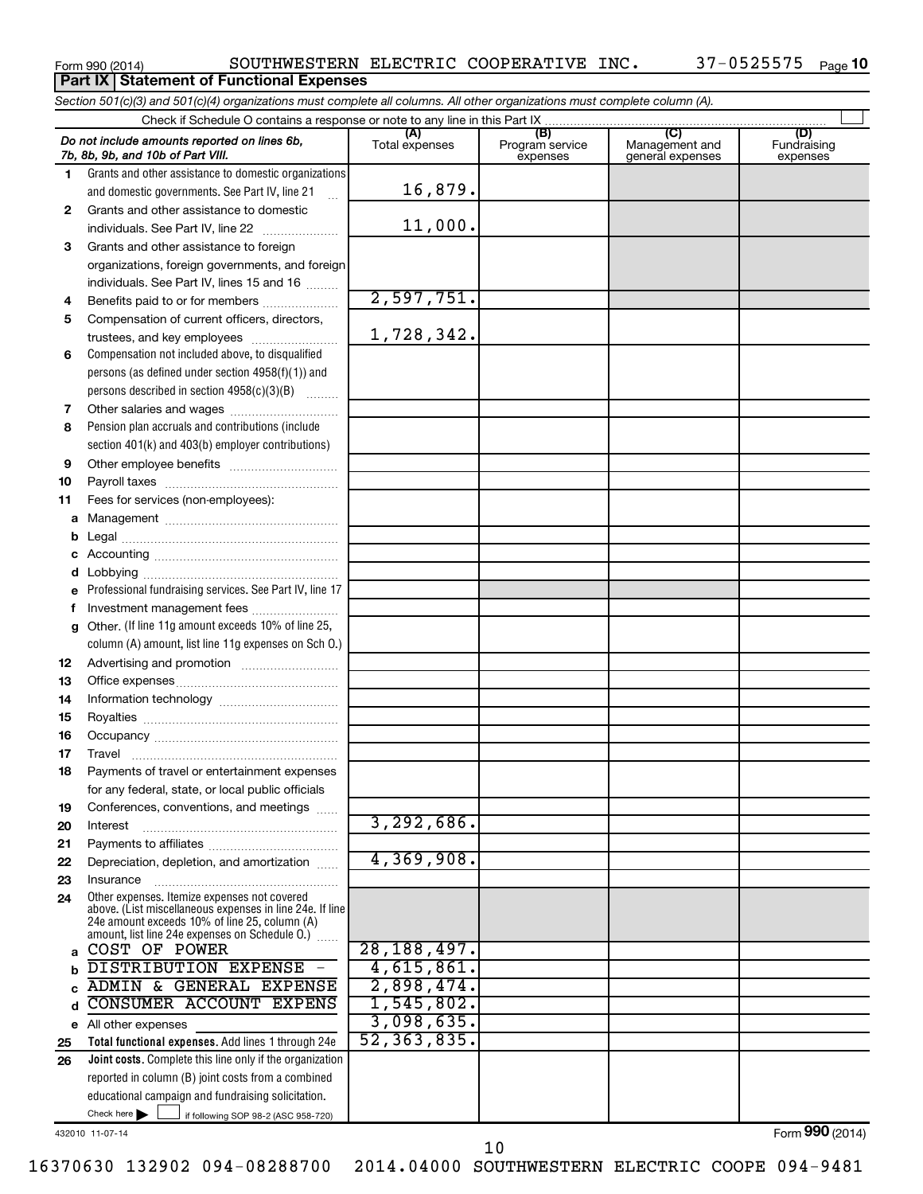**Part IX | Statement of Functional Expenses** 

Form 990 (2014)  $\,$  SOUTHWESTERN ELECTRIC COOPERATIVE INC.  $\,$  37-0525575  $\,$  Page

|              | Section 501(c)(3) and 501(c)(4) organizations must complete all columns. All other organizations must complete column (A). |                       |                                    |                                           |                                |
|--------------|----------------------------------------------------------------------------------------------------------------------------|-----------------------|------------------------------------|-------------------------------------------|--------------------------------|
|              |                                                                                                                            |                       |                                    |                                           |                                |
|              | Do not include amounts reported on lines 6b,<br>7b, 8b, 9b, and 10b of Part VIII.                                          | (A)<br>Total expenses | (B)<br>Program service<br>expenses | (C)<br>Management and<br>general expenses | (D)<br>Fundraising<br>expenses |
| 1.           | Grants and other assistance to domestic organizations                                                                      |                       |                                    |                                           |                                |
|              | and domestic governments. See Part IV, line 21                                                                             | 16,879.               |                                    |                                           |                                |
| $\mathbf{2}$ | Grants and other assistance to domestic                                                                                    |                       |                                    |                                           |                                |
|              | individuals. See Part IV, line 22<br>$\overline{\phantom{a}}$                                                              | 11,000.               |                                    |                                           |                                |
| 3            | Grants and other assistance to foreign                                                                                     |                       |                                    |                                           |                                |
|              | organizations, foreign governments, and foreign                                                                            |                       |                                    |                                           |                                |
|              | individuals. See Part IV, lines 15 and 16                                                                                  |                       |                                    |                                           |                                |
| 4            | Benefits paid to or for members                                                                                            | 2,597,751.            |                                    |                                           |                                |
| 5            | Compensation of current officers, directors,                                                                               |                       |                                    |                                           |                                |
|              | trustees, and key employees                                                                                                | 1,728,342.            |                                    |                                           |                                |
| 6            | Compensation not included above, to disqualified                                                                           |                       |                                    |                                           |                                |
|              | persons (as defined under section 4958(f)(1)) and                                                                          |                       |                                    |                                           |                                |
|              | persons described in section 4958(c)(3)(B)                                                                                 |                       |                                    |                                           |                                |
| 7            | Other salaries and wages                                                                                                   |                       |                                    |                                           |                                |
| 8            | Pension plan accruals and contributions (include                                                                           |                       |                                    |                                           |                                |
|              | section 401(k) and 403(b) employer contributions)                                                                          |                       |                                    |                                           |                                |
| 9            |                                                                                                                            |                       |                                    |                                           |                                |
| 10           |                                                                                                                            |                       |                                    |                                           |                                |
| 11           | Fees for services (non-employees):                                                                                         |                       |                                    |                                           |                                |
| a            |                                                                                                                            |                       |                                    |                                           |                                |
| b            |                                                                                                                            |                       |                                    |                                           |                                |
|              |                                                                                                                            |                       |                                    |                                           |                                |
| d            |                                                                                                                            |                       |                                    |                                           |                                |
| e            | Professional fundraising services. See Part IV, line 17                                                                    |                       |                                    |                                           |                                |
| f            | Investment management fees                                                                                                 |                       |                                    |                                           |                                |
| g            | Other. (If line 11g amount exceeds 10% of line 25,                                                                         |                       |                                    |                                           |                                |
|              | column (A) amount, list line 11g expenses on Sch O.)                                                                       |                       |                                    |                                           |                                |
| 12           |                                                                                                                            |                       |                                    |                                           |                                |
| 13           |                                                                                                                            |                       |                                    |                                           |                                |
| 14           |                                                                                                                            |                       |                                    |                                           |                                |
| 15           |                                                                                                                            |                       |                                    |                                           |                                |
| 16           |                                                                                                                            |                       |                                    |                                           |                                |
| 17           |                                                                                                                            |                       |                                    |                                           |                                |
|              | Payments of travel or entertainment expenses                                                                               |                       |                                    |                                           |                                |
|              | for any federal, state, or local public officials                                                                          |                       |                                    |                                           |                                |
| 19<br>20     | Conferences, conventions, and meetings<br>Interest                                                                         | 3,292,686.            |                                    |                                           |                                |
| 21           |                                                                                                                            |                       |                                    |                                           |                                |
| 22           | Depreciation, depletion, and amortization                                                                                  | 4,369,908.            |                                    |                                           |                                |
| 23           | Insurance                                                                                                                  |                       |                                    |                                           |                                |
| 24           | Other expenses. Itemize expenses not covered                                                                               |                       |                                    |                                           |                                |
|              | above. (List miscellaneous expenses in line 24e. If line                                                                   |                       |                                    |                                           |                                |
|              | 24e amount exceeds 10% of line 25, column (A)<br>amount, list line 24e expenses on Schedule O.) [                          |                       |                                    |                                           |                                |
| a            | COST OF POWER                                                                                                              | 28,188,497.           |                                    |                                           |                                |
| b            | DISTRIBUTION EXPENSE                                                                                                       | 4,615,861.            |                                    |                                           |                                |
|              | ADMIN & GENERAL EXPENSE                                                                                                    | 2,898,474.            |                                    |                                           |                                |
| d            | CONSUMER ACCOUNT EXPENS                                                                                                    | 1,545,802.            |                                    |                                           |                                |
|              | e All other expenses                                                                                                       | 3,098,635.            |                                    |                                           |                                |
| 25           | Total functional expenses. Add lines 1 through 24e                                                                         | 52, 363, 835.         |                                    |                                           |                                |
| 26           | Joint costs. Complete this line only if the organization                                                                   |                       |                                    |                                           |                                |
|              | reported in column (B) joint costs from a combined                                                                         |                       |                                    |                                           |                                |
|              | educational campaign and fundraising solicitation.                                                                         |                       |                                    |                                           |                                |
|              | Check here $\blacktriangleright$<br>if following SOP 98-2 (ASC 958-720)                                                    |                       |                                    |                                           |                                |

432010 11-07-14

Form (2014) **990**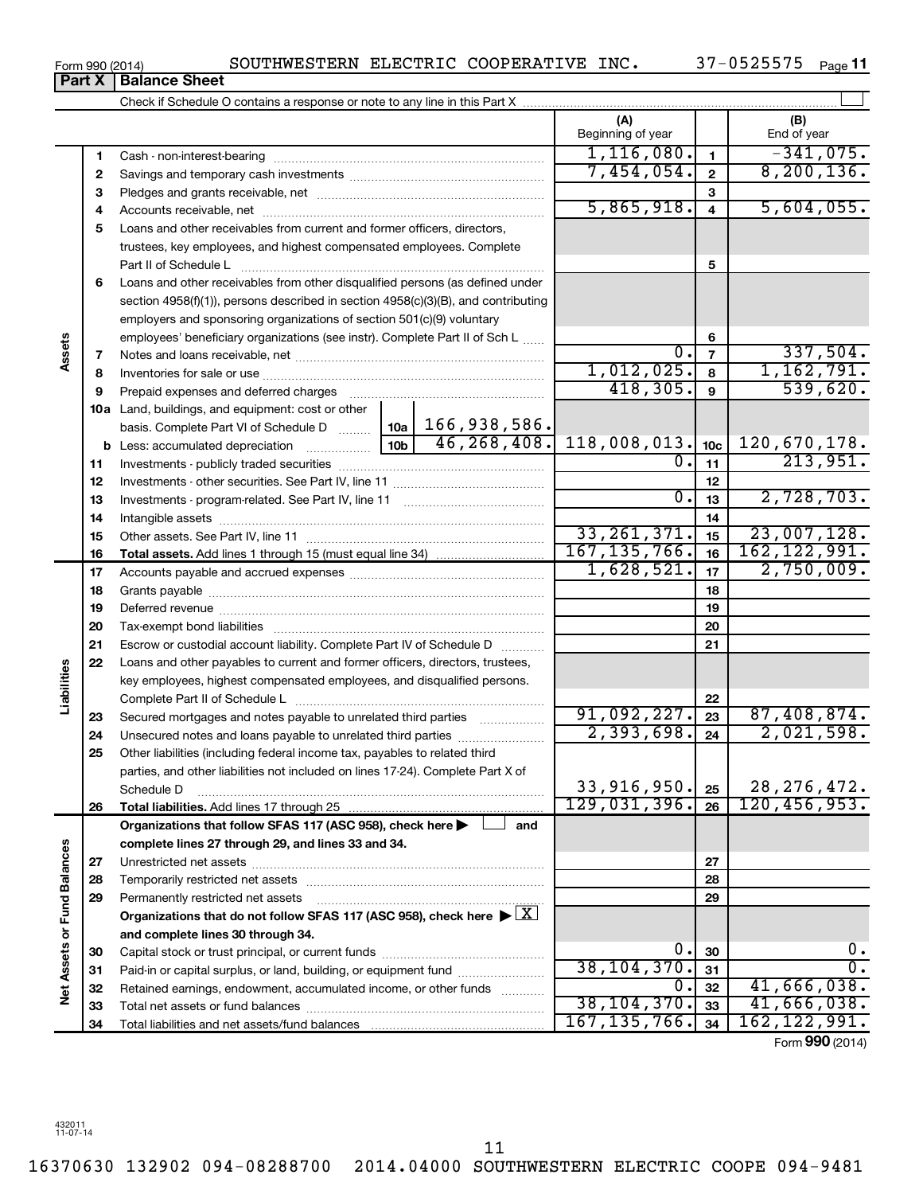16370630 132902 094-08288700 2014.04000 SOUTHWESTERN ELECTRIC COOPE 094-9481

**Part X** | **Balance Sheet** 

**(A) (B) 1 2 3** Pledges and grants receivable, net ~~~~~~~~~~~~~~~~~~~~~ **4** Accounts receivable, net ~~~~~~~~~~~~~~~~~~~~~~~~~~ **5** Loans and other receivables from current and former officers, directors, **6** Loans and other receivables from other disqualified persons (as defined under **7 8 9 10 a** Land, buildings, and equipment: cost or other **11** Investments - publicly traded securities ~~~~~~~~~~~~~~~~~~~ **12** Investments - other securities. See Part IV, line 11 ~~~~~~~~~~~~~~ **13 14 15 16 17 18 19 20 21 22 23 24 25 26 27 28 29 30 31 32 33 34 1 2 3 4 5 6 7 8 9 10c 11 12 13 14 15 16 17 18 19 20 21 22 23 24 25 26 b** Less: accumulated depreciation  $\ldots$  [10b basis. Complete Part VI of Schedule D  $\frac{1}{10}$  10a **Total assets.**  Add lines 1 through 15 (must equal line 34) **Total liabilities.**  Add lines 17 through 25 **Organizations that follow SFAS 117 (ASC 958), check here and** | † **complete lines 27 through 29, and lines 33 and 34. 27 28 29** Organizations that do not follow SFAS 117 (ASC 958), check here  $\blacktriangleright \boxed{\text{X}}$ **and complete lines 30 through 34. 30 31 32 33 34 Net Assets or Fund Balances** Check if Schedule O contains a response or note to any line in this Part X Beginning of year  $\parallel$  | End of year Cash - non-interest-bearing ~~~~~~~~~~~~~~~~~~~~~~~~~ Savings and temporary cash investments ~~~~~~~~~~~~~~~~~~ trustees, key employees, and highest compensated employees. Complete Part II of Schedule L ~~~~~~~~~~~~~~~~~~~~~~~~~~~~ section 4958(f)(1)), persons described in section 4958(c)(3)(B), and contributing employers and sponsoring organizations of section 501(c)(9) voluntary employees' beneficiary organizations (see instr). Complete Part II of Sch L Notes and loans receivable, net ~~~~~~~~~~~~~~~~~~~~~~~ Inventories for sale or use ~~~~~~~~~~~~~~~~~~~~~~~~~~ Prepaid expenses and deferred charges ~~~~~~~~~~~~~~~~~~ Investments - program-related. See Part IV, line 11 ~~~~~~~~~~~~~ Intangible assets ~~~~~~~~~~~~~~~~~~~~~~~~~~~~~~ Other assets. See Part IV, line 11 ~~~~~~~~~~~~~~~~~~~~~~ Accounts payable and accrued expenses ~~~~~~~~~~~~~~~~~~ Grants payable ~~~~~~~~~~~~~~~~~~~~~~~~~~~~~~~ Deferred revenue ~~~~~~~~~~~~~~~~~~~~~~~~~~~~~~ Tax-exempt bond liabilities ~~~~~~~~~~~~~~~~~~~~~~~~~ Escrow or custodial account liability. Complete Part IV of Schedule D ........... Loans and other payables to current and former officers, directors, trustees, key employees, highest compensated employees, and disqualified persons. Complete Part II of Schedule L ~~~~~~~~~~~~~~~~~~~~~~~ Secured mortgages and notes payable to unrelated third parties  $\ldots$ ................. Unsecured notes and loans payable to unrelated third parties ~~~~~~~~ Other liabilities (including federal income tax, payables to related third parties, and other liabilities not included on lines 17-24). Complete Part X of Schedule D ~~~~~~~~~~~~~~~~~~~~~~~~~~~~~~~~ Unrestricted net assets ~~~~~~~~~~~~~~~~~~~~~~~~~~~ Temporarily restricted net assets ~~~~~~~~~~~~~~~~~~~~~~ Permanently restricted net assets ~~~~~~~~~~~~~~~~~~~~~ Capital stock or trust principal, or current funds ~~~~~~~~~~~~~~~ Paid-in or capital surplus, or land, building, or equipment fund ....................... Retained earnings, endowment, accumulated income, or other funds ............ Total net assets or fund balances ~~~~~~~~~~~~~~~~~~~~~~ Total liabilities and net assets/fund balances  $\perp$  $1,116,080.$   $1$   $-341,075.$ 7,454,054. 8,200,136.  $5,865,918.$  4 5,604,055.  $0.\vert 7 \vert 337,504.$ 1,012,025. 1,162,791.  $418,305.$  9 539,620. 166,938,586.  $\begin{array}{|c|c|c|c|c|c|} \hline 46,268,408. & 118,008,013. & _{\bf 10c} & 120,670,178. \hline \end{array}$  $0.1_{11}$  213,951.  $0. |13| 2,728,703.$ 33,261,371. <sub>15</sub> 23,007,128. 167,135,766. 16 162,122,991.  $1,628,521.$  17  $2,750,009.$ 91,092,227. 23 87,408,874. 2,393,698. 2,021,598. 33,916,950. 25 | 28,276,472. 129,031,396. 120,456,953.  $0.30$  0.  $38, 104, 370$ .  $31$  0.  $0.$ |  $32$  |  $41,666,038$ . 38,104,370. 41,666,038. 167,135,766. 162,122,991.

Form (2014) **990**

11

**Assets**

**Liabilities**

**Vet Assets or Fund Balances**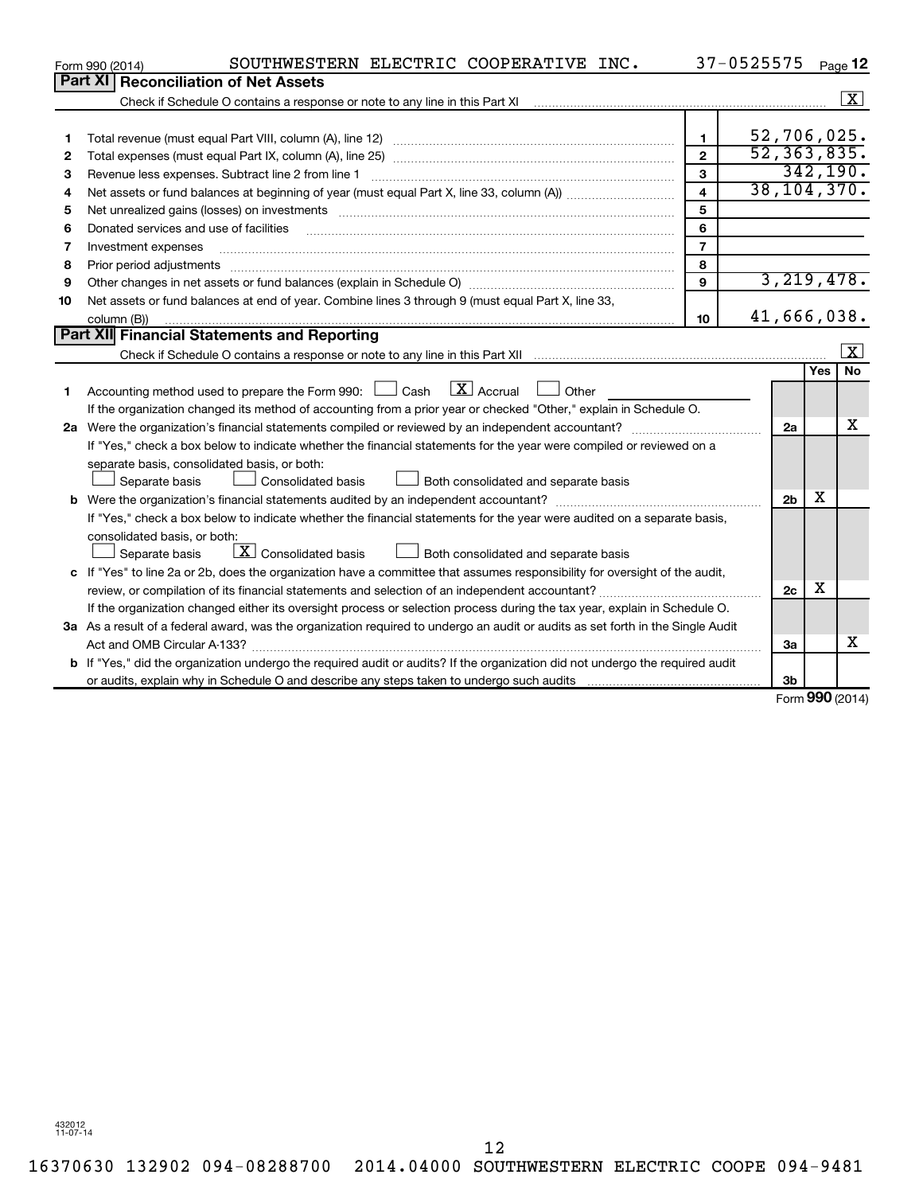| Part XI   Reconciliation of Net Assets<br>$\boxed{\text{X}}$<br>52,706,025.<br>1.<br>1<br>52, 363, 835.<br>$\overline{2}$<br>2<br>342, 190.<br>3<br>Revenue less expenses. Subtract line 2 from line 1<br>3<br>38, 104, 370.<br>$\overline{\mathbf{4}}$<br>4<br>5<br>5<br>6<br>Donated services and use of facilities<br>6<br>$\overline{7}$<br>Investment expenses<br>7<br>8<br>Prior period adjustments<br>8<br>3, 219, 478.<br>9<br>9<br>Net assets or fund balances at end of year. Combine lines 3 through 9 (must equal Part X, line 33,<br>10<br>41,666,038.<br>10<br>column (B))<br><b>Part XII</b> Financial Statements and Reporting<br>$\overline{\mathbf{x}}$<br><b>No</b><br><b>Yes</b><br>Accounting method used to prepare the Form 990: $\Box$ Cash $\Box$ Accrual<br><b>Other</b><br>1<br>If the organization changed its method of accounting from a prior year or checked "Other," explain in Schedule O.<br>х<br>2a<br>If "Yes," check a box below to indicate whether the financial statements for the year were compiled or reviewed on a<br>separate basis, consolidated basis, or both:<br>Both consolidated and separate basis<br>Separate basis<br>Consolidated basis<br>х<br>2 <sub>b</sub><br>If "Yes," check a box below to indicate whether the financial statements for the year were audited on a separate basis,<br>consolidated basis, or both:<br>$\lfloor \underline{X} \rfloor$ Consolidated basis<br>Separate basis<br>Both consolidated and separate basis<br>c If "Yes" to line 2a or 2b, does the organization have a committee that assumes responsibility for oversight of the audit,<br>X<br>2 <sub>c</sub><br>If the organization changed either its oversight process or selection process during the tax year, explain in Schedule O.<br>3a As a result of a federal award, was the organization required to undergo an audit or audits as set forth in the Single Audit<br>x<br>За | SOUTHWESTERN ELECTRIC COOPERATIVE INC.<br>Form 990 (2014)                                                                            | 37-0525575 |  | Page 12 |
|------------------------------------------------------------------------------------------------------------------------------------------------------------------------------------------------------------------------------------------------------------------------------------------------------------------------------------------------------------------------------------------------------------------------------------------------------------------------------------------------------------------------------------------------------------------------------------------------------------------------------------------------------------------------------------------------------------------------------------------------------------------------------------------------------------------------------------------------------------------------------------------------------------------------------------------------------------------------------------------------------------------------------------------------------------------------------------------------------------------------------------------------------------------------------------------------------------------------------------------------------------------------------------------------------------------------------------------------------------------------------------------------------------------------------------------------------------------------------------------------------------------------------------------------------------------------------------------------------------------------------------------------------------------------------------------------------------------------------------------------------------------------------------------------------------------------------------------------------------------------------------------------------------------------------------|--------------------------------------------------------------------------------------------------------------------------------------|------------|--|---------|
|                                                                                                                                                                                                                                                                                                                                                                                                                                                                                                                                                                                                                                                                                                                                                                                                                                                                                                                                                                                                                                                                                                                                                                                                                                                                                                                                                                                                                                                                                                                                                                                                                                                                                                                                                                                                                                                                                                                                    |                                                                                                                                      |            |  |         |
|                                                                                                                                                                                                                                                                                                                                                                                                                                                                                                                                                                                                                                                                                                                                                                                                                                                                                                                                                                                                                                                                                                                                                                                                                                                                                                                                                                                                                                                                                                                                                                                                                                                                                                                                                                                                                                                                                                                                    |                                                                                                                                      |            |  |         |
|                                                                                                                                                                                                                                                                                                                                                                                                                                                                                                                                                                                                                                                                                                                                                                                                                                                                                                                                                                                                                                                                                                                                                                                                                                                                                                                                                                                                                                                                                                                                                                                                                                                                                                                                                                                                                                                                                                                                    |                                                                                                                                      |            |  |         |
|                                                                                                                                                                                                                                                                                                                                                                                                                                                                                                                                                                                                                                                                                                                                                                                                                                                                                                                                                                                                                                                                                                                                                                                                                                                                                                                                                                                                                                                                                                                                                                                                                                                                                                                                                                                                                                                                                                                                    |                                                                                                                                      |            |  |         |
|                                                                                                                                                                                                                                                                                                                                                                                                                                                                                                                                                                                                                                                                                                                                                                                                                                                                                                                                                                                                                                                                                                                                                                                                                                                                                                                                                                                                                                                                                                                                                                                                                                                                                                                                                                                                                                                                                                                                    |                                                                                                                                      |            |  |         |
|                                                                                                                                                                                                                                                                                                                                                                                                                                                                                                                                                                                                                                                                                                                                                                                                                                                                                                                                                                                                                                                                                                                                                                                                                                                                                                                                                                                                                                                                                                                                                                                                                                                                                                                                                                                                                                                                                                                                    |                                                                                                                                      |            |  |         |
|                                                                                                                                                                                                                                                                                                                                                                                                                                                                                                                                                                                                                                                                                                                                                                                                                                                                                                                                                                                                                                                                                                                                                                                                                                                                                                                                                                                                                                                                                                                                                                                                                                                                                                                                                                                                                                                                                                                                    |                                                                                                                                      |            |  |         |
|                                                                                                                                                                                                                                                                                                                                                                                                                                                                                                                                                                                                                                                                                                                                                                                                                                                                                                                                                                                                                                                                                                                                                                                                                                                                                                                                                                                                                                                                                                                                                                                                                                                                                                                                                                                                                                                                                                                                    |                                                                                                                                      |            |  |         |
|                                                                                                                                                                                                                                                                                                                                                                                                                                                                                                                                                                                                                                                                                                                                                                                                                                                                                                                                                                                                                                                                                                                                                                                                                                                                                                                                                                                                                                                                                                                                                                                                                                                                                                                                                                                                                                                                                                                                    |                                                                                                                                      |            |  |         |
|                                                                                                                                                                                                                                                                                                                                                                                                                                                                                                                                                                                                                                                                                                                                                                                                                                                                                                                                                                                                                                                                                                                                                                                                                                                                                                                                                                                                                                                                                                                                                                                                                                                                                                                                                                                                                                                                                                                                    |                                                                                                                                      |            |  |         |
|                                                                                                                                                                                                                                                                                                                                                                                                                                                                                                                                                                                                                                                                                                                                                                                                                                                                                                                                                                                                                                                                                                                                                                                                                                                                                                                                                                                                                                                                                                                                                                                                                                                                                                                                                                                                                                                                                                                                    |                                                                                                                                      |            |  |         |
|                                                                                                                                                                                                                                                                                                                                                                                                                                                                                                                                                                                                                                                                                                                                                                                                                                                                                                                                                                                                                                                                                                                                                                                                                                                                                                                                                                                                                                                                                                                                                                                                                                                                                                                                                                                                                                                                                                                                    |                                                                                                                                      |            |  |         |
|                                                                                                                                                                                                                                                                                                                                                                                                                                                                                                                                                                                                                                                                                                                                                                                                                                                                                                                                                                                                                                                                                                                                                                                                                                                                                                                                                                                                                                                                                                                                                                                                                                                                                                                                                                                                                                                                                                                                    |                                                                                                                                      |            |  |         |
|                                                                                                                                                                                                                                                                                                                                                                                                                                                                                                                                                                                                                                                                                                                                                                                                                                                                                                                                                                                                                                                                                                                                                                                                                                                                                                                                                                                                                                                                                                                                                                                                                                                                                                                                                                                                                                                                                                                                    |                                                                                                                                      |            |  |         |
|                                                                                                                                                                                                                                                                                                                                                                                                                                                                                                                                                                                                                                                                                                                                                                                                                                                                                                                                                                                                                                                                                                                                                                                                                                                                                                                                                                                                                                                                                                                                                                                                                                                                                                                                                                                                                                                                                                                                    |                                                                                                                                      |            |  |         |
|                                                                                                                                                                                                                                                                                                                                                                                                                                                                                                                                                                                                                                                                                                                                                                                                                                                                                                                                                                                                                                                                                                                                                                                                                                                                                                                                                                                                                                                                                                                                                                                                                                                                                                                                                                                                                                                                                                                                    |                                                                                                                                      |            |  |         |
|                                                                                                                                                                                                                                                                                                                                                                                                                                                                                                                                                                                                                                                                                                                                                                                                                                                                                                                                                                                                                                                                                                                                                                                                                                                                                                                                                                                                                                                                                                                                                                                                                                                                                                                                                                                                                                                                                                                                    |                                                                                                                                      |            |  |         |
|                                                                                                                                                                                                                                                                                                                                                                                                                                                                                                                                                                                                                                                                                                                                                                                                                                                                                                                                                                                                                                                                                                                                                                                                                                                                                                                                                                                                                                                                                                                                                                                                                                                                                                                                                                                                                                                                                                                                    |                                                                                                                                      |            |  |         |
|                                                                                                                                                                                                                                                                                                                                                                                                                                                                                                                                                                                                                                                                                                                                                                                                                                                                                                                                                                                                                                                                                                                                                                                                                                                                                                                                                                                                                                                                                                                                                                                                                                                                                                                                                                                                                                                                                                                                    |                                                                                                                                      |            |  |         |
|                                                                                                                                                                                                                                                                                                                                                                                                                                                                                                                                                                                                                                                                                                                                                                                                                                                                                                                                                                                                                                                                                                                                                                                                                                                                                                                                                                                                                                                                                                                                                                                                                                                                                                                                                                                                                                                                                                                                    |                                                                                                                                      |            |  |         |
|                                                                                                                                                                                                                                                                                                                                                                                                                                                                                                                                                                                                                                                                                                                                                                                                                                                                                                                                                                                                                                                                                                                                                                                                                                                                                                                                                                                                                                                                                                                                                                                                                                                                                                                                                                                                                                                                                                                                    |                                                                                                                                      |            |  |         |
|                                                                                                                                                                                                                                                                                                                                                                                                                                                                                                                                                                                                                                                                                                                                                                                                                                                                                                                                                                                                                                                                                                                                                                                                                                                                                                                                                                                                                                                                                                                                                                                                                                                                                                                                                                                                                                                                                                                                    |                                                                                                                                      |            |  |         |
|                                                                                                                                                                                                                                                                                                                                                                                                                                                                                                                                                                                                                                                                                                                                                                                                                                                                                                                                                                                                                                                                                                                                                                                                                                                                                                                                                                                                                                                                                                                                                                                                                                                                                                                                                                                                                                                                                                                                    |                                                                                                                                      |            |  |         |
|                                                                                                                                                                                                                                                                                                                                                                                                                                                                                                                                                                                                                                                                                                                                                                                                                                                                                                                                                                                                                                                                                                                                                                                                                                                                                                                                                                                                                                                                                                                                                                                                                                                                                                                                                                                                                                                                                                                                    |                                                                                                                                      |            |  |         |
|                                                                                                                                                                                                                                                                                                                                                                                                                                                                                                                                                                                                                                                                                                                                                                                                                                                                                                                                                                                                                                                                                                                                                                                                                                                                                                                                                                                                                                                                                                                                                                                                                                                                                                                                                                                                                                                                                                                                    |                                                                                                                                      |            |  |         |
|                                                                                                                                                                                                                                                                                                                                                                                                                                                                                                                                                                                                                                                                                                                                                                                                                                                                                                                                                                                                                                                                                                                                                                                                                                                                                                                                                                                                                                                                                                                                                                                                                                                                                                                                                                                                                                                                                                                                    |                                                                                                                                      |            |  |         |
|                                                                                                                                                                                                                                                                                                                                                                                                                                                                                                                                                                                                                                                                                                                                                                                                                                                                                                                                                                                                                                                                                                                                                                                                                                                                                                                                                                                                                                                                                                                                                                                                                                                                                                                                                                                                                                                                                                                                    |                                                                                                                                      |            |  |         |
|                                                                                                                                                                                                                                                                                                                                                                                                                                                                                                                                                                                                                                                                                                                                                                                                                                                                                                                                                                                                                                                                                                                                                                                                                                                                                                                                                                                                                                                                                                                                                                                                                                                                                                                                                                                                                                                                                                                                    |                                                                                                                                      |            |  |         |
|                                                                                                                                                                                                                                                                                                                                                                                                                                                                                                                                                                                                                                                                                                                                                                                                                                                                                                                                                                                                                                                                                                                                                                                                                                                                                                                                                                                                                                                                                                                                                                                                                                                                                                                                                                                                                                                                                                                                    |                                                                                                                                      |            |  |         |
|                                                                                                                                                                                                                                                                                                                                                                                                                                                                                                                                                                                                                                                                                                                                                                                                                                                                                                                                                                                                                                                                                                                                                                                                                                                                                                                                                                                                                                                                                                                                                                                                                                                                                                                                                                                                                                                                                                                                    |                                                                                                                                      |            |  |         |
|                                                                                                                                                                                                                                                                                                                                                                                                                                                                                                                                                                                                                                                                                                                                                                                                                                                                                                                                                                                                                                                                                                                                                                                                                                                                                                                                                                                                                                                                                                                                                                                                                                                                                                                                                                                                                                                                                                                                    |                                                                                                                                      |            |  |         |
|                                                                                                                                                                                                                                                                                                                                                                                                                                                                                                                                                                                                                                                                                                                                                                                                                                                                                                                                                                                                                                                                                                                                                                                                                                                                                                                                                                                                                                                                                                                                                                                                                                                                                                                                                                                                                                                                                                                                    |                                                                                                                                      |            |  |         |
|                                                                                                                                                                                                                                                                                                                                                                                                                                                                                                                                                                                                                                                                                                                                                                                                                                                                                                                                                                                                                                                                                                                                                                                                                                                                                                                                                                                                                                                                                                                                                                                                                                                                                                                                                                                                                                                                                                                                    | <b>b</b> If "Yes," did the organization undergo the required audit or audits? If the organization did not undergo the required audit |            |  |         |
| 3b<br>$\mathbf{A}$                                                                                                                                                                                                                                                                                                                                                                                                                                                                                                                                                                                                                                                                                                                                                                                                                                                                                                                                                                                                                                                                                                                                                                                                                                                                                                                                                                                                                                                                                                                                                                                                                                                                                                                                                                                                                                                                                                                 |                                                                                                                                      |            |  |         |

Form (2014) **990**

432012 11-07-14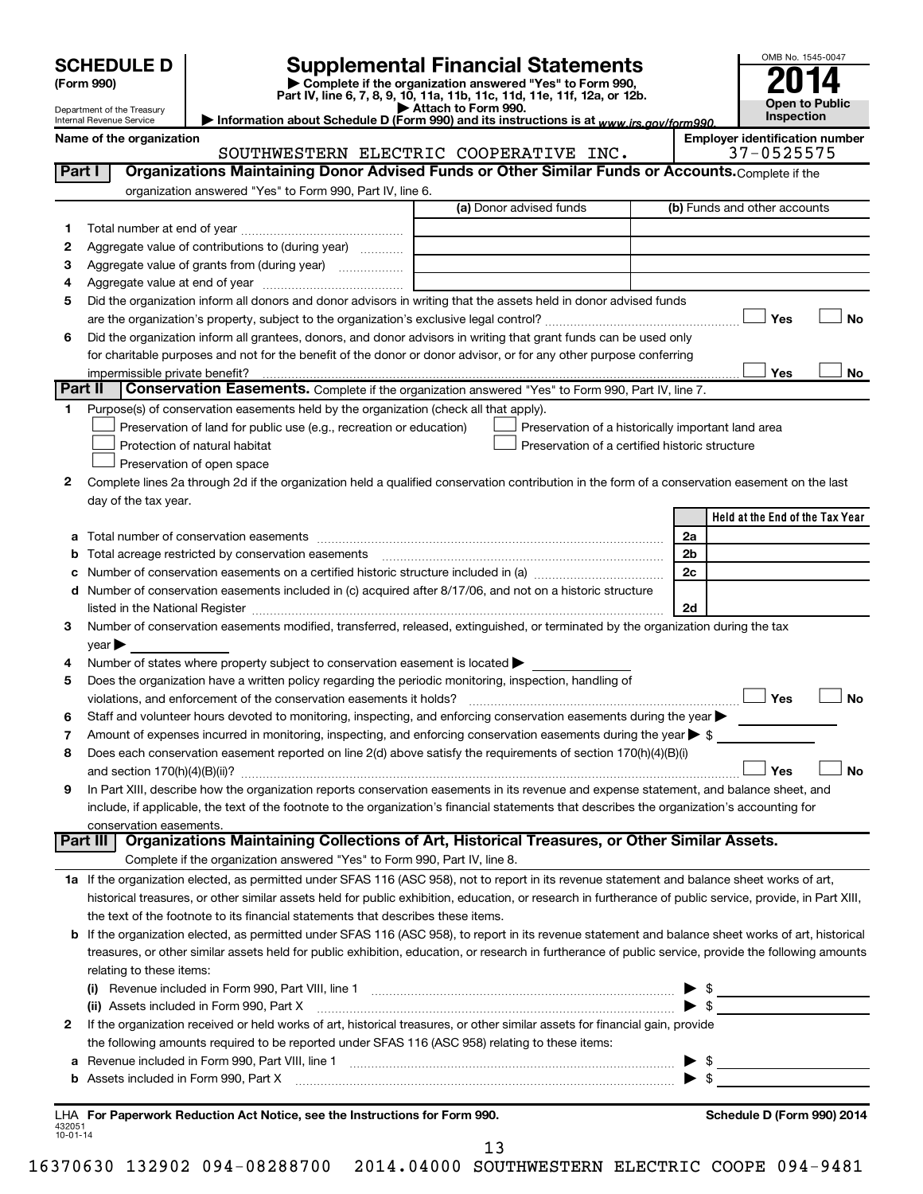| Name of the organization<br>Part I | SOUTHWESTERN ELECTRIC COOPERATIVE INC.                                                            |                                                                                                                                                                                                                                                                      |                                                                                                                                                                                         |                                                                                                                                                                                                                                                                                                                                                                                                                                                                                                                                                                                                                                                                                                                                  |
|------------------------------------|---------------------------------------------------------------------------------------------------|----------------------------------------------------------------------------------------------------------------------------------------------------------------------------------------------------------------------------------------------------------------------|-----------------------------------------------------------------------------------------------------------------------------------------------------------------------------------------|----------------------------------------------------------------------------------------------------------------------------------------------------------------------------------------------------------------------------------------------------------------------------------------------------------------------------------------------------------------------------------------------------------------------------------------------------------------------------------------------------------------------------------------------------------------------------------------------------------------------------------------------------------------------------------------------------------------------------------|
|                                    |                                                                                                   |                                                                                                                                                                                                                                                                      |                                                                                                                                                                                         | <b>Employer identification number</b><br>37-0525575                                                                                                                                                                                                                                                                                                                                                                                                                                                                                                                                                                                                                                                                              |
|                                    | Organizations Maintaining Donor Advised Funds or Other Similar Funds or Accounts. Complete if the |                                                                                                                                                                                                                                                                      |                                                                                                                                                                                         |                                                                                                                                                                                                                                                                                                                                                                                                                                                                                                                                                                                                                                                                                                                                  |
|                                    | organization answered "Yes" to Form 990, Part IV, line 6.                                         |                                                                                                                                                                                                                                                                      |                                                                                                                                                                                         | (b) Funds and other accounts                                                                                                                                                                                                                                                                                                                                                                                                                                                                                                                                                                                                                                                                                                     |
|                                    |                                                                                                   |                                                                                                                                                                                                                                                                      |                                                                                                                                                                                         |                                                                                                                                                                                                                                                                                                                                                                                                                                                                                                                                                                                                                                                                                                                                  |
|                                    |                                                                                                   |                                                                                                                                                                                                                                                                      |                                                                                                                                                                                         |                                                                                                                                                                                                                                                                                                                                                                                                                                                                                                                                                                                                                                                                                                                                  |
|                                    |                                                                                                   |                                                                                                                                                                                                                                                                      |                                                                                                                                                                                         |                                                                                                                                                                                                                                                                                                                                                                                                                                                                                                                                                                                                                                                                                                                                  |
|                                    |                                                                                                   |                                                                                                                                                                                                                                                                      |                                                                                                                                                                                         |                                                                                                                                                                                                                                                                                                                                                                                                                                                                                                                                                                                                                                                                                                                                  |
|                                    |                                                                                                   |                                                                                                                                                                                                                                                                      |                                                                                                                                                                                         |                                                                                                                                                                                                                                                                                                                                                                                                                                                                                                                                                                                                                                                                                                                                  |
|                                    |                                                                                                   |                                                                                                                                                                                                                                                                      |                                                                                                                                                                                         | Yes<br><b>No</b>                                                                                                                                                                                                                                                                                                                                                                                                                                                                                                                                                                                                                                                                                                                 |
|                                    |                                                                                                   |                                                                                                                                                                                                                                                                      |                                                                                                                                                                                         |                                                                                                                                                                                                                                                                                                                                                                                                                                                                                                                                                                                                                                                                                                                                  |
|                                    |                                                                                                   |                                                                                                                                                                                                                                                                      |                                                                                                                                                                                         |                                                                                                                                                                                                                                                                                                                                                                                                                                                                                                                                                                                                                                                                                                                                  |
|                                    |                                                                                                   |                                                                                                                                                                                                                                                                      |                                                                                                                                                                                         | Yes<br>No                                                                                                                                                                                                                                                                                                                                                                                                                                                                                                                                                                                                                                                                                                                        |
|                                    |                                                                                                   |                                                                                                                                                                                                                                                                      |                                                                                                                                                                                         |                                                                                                                                                                                                                                                                                                                                                                                                                                                                                                                                                                                                                                                                                                                                  |
|                                    |                                                                                                   |                                                                                                                                                                                                                                                                      |                                                                                                                                                                                         |                                                                                                                                                                                                                                                                                                                                                                                                                                                                                                                                                                                                                                                                                                                                  |
|                                    |                                                                                                   |                                                                                                                                                                                                                                                                      |                                                                                                                                                                                         |                                                                                                                                                                                                                                                                                                                                                                                                                                                                                                                                                                                                                                                                                                                                  |
|                                    |                                                                                                   |                                                                                                                                                                                                                                                                      |                                                                                                                                                                                         |                                                                                                                                                                                                                                                                                                                                                                                                                                                                                                                                                                                                                                                                                                                                  |
|                                    |                                                                                                   |                                                                                                                                                                                                                                                                      |                                                                                                                                                                                         |                                                                                                                                                                                                                                                                                                                                                                                                                                                                                                                                                                                                                                                                                                                                  |
|                                    |                                                                                                   |                                                                                                                                                                                                                                                                      |                                                                                                                                                                                         |                                                                                                                                                                                                                                                                                                                                                                                                                                                                                                                                                                                                                                                                                                                                  |
|                                    |                                                                                                   |                                                                                                                                                                                                                                                                      |                                                                                                                                                                                         |                                                                                                                                                                                                                                                                                                                                                                                                                                                                                                                                                                                                                                                                                                                                  |
|                                    |                                                                                                   |                                                                                                                                                                                                                                                                      |                                                                                                                                                                                         | Held at the End of the Tax Year                                                                                                                                                                                                                                                                                                                                                                                                                                                                                                                                                                                                                                                                                                  |
|                                    | Part II                                                                                           | Aggregate value of contributions to (during year)<br>Aggregate value of grants from (during year)<br>impermissible private benefit?<br>Protection of natural habitat<br>Preservation of open space<br>day of the tax year.<br>Total number of conservation easements | (a) Donor advised funds<br>Purpose(s) of conservation easements held by the organization (check all that apply).<br>Preservation of land for public use (e.g., recreation or education) | Did the organization inform all donors and donor advisors in writing that the assets held in donor advised funds<br>Did the organization inform all grantees, donors, and donor advisors in writing that grant funds can be used only<br>for charitable purposes and not for the benefit of the donor or donor advisor, or for any other purpose conferring<br>Conservation Easements. Complete if the organization answered "Yes" to Form 990, Part IV, line 7.<br>Preservation of a historically important land area<br>Preservation of a certified historic structure<br>Complete lines 2a through 2d if the organization held a qualified conservation contribution in the form of a conservation easement on the last<br>2a |

|   | TULAI HUITINGI UI CUITSCI VALIUIT CASCITICITLS                                                                                                                                                                                 | 2a               |
|---|--------------------------------------------------------------------------------------------------------------------------------------------------------------------------------------------------------------------------------|------------------|
|   |                                                                                                                                                                                                                                | 2 <sub>b</sub>   |
|   | Number of conservation easements on a certified historic structure included in (a) manufacture included in (a)                                                                                                                 | 2c               |
| d | Number of conservation easements included in (c) acquired after 8/17/06, and not on a historic structure                                                                                                                       |                  |
|   | listed in the National Register [111] in the National Register [11] in the National Register [11] in the National Register [11] in the National Register [11] in the National Register [11] in the National Register [11] in t | 2d               |
| 3 | Number of conservation easements modified, transferred, released, extinguished, or terminated by the organization during the tax                                                                                               |                  |
|   | $\vee$ ear $\blacktriangleright$                                                                                                                                                                                               |                  |
| 4 | Number of states where property subject to conservation easement is located >                                                                                                                                                  |                  |
| 5 | Does the organization have a written policy regarding the periodic monitoring, inspection, handling of                                                                                                                         |                  |
|   | violations, and enforcement of the conservation easements it holds?                                                                                                                                                            | Yes<br>No        |
| 6 | Staff and volunteer hours devoted to monitoring, inspecting, and enforcing conservation easements during the year                                                                                                              |                  |
|   | Amount of expenses incurred in monitoring, inspecting, and enforcing conservation easements during the year $\triangleright$ \$                                                                                                |                  |
| 8 | Does each conservation easement reported on line 2(d) above satisfy the requirements of section 170(h)(4)(B)(i)                                                                                                                |                  |
|   |                                                                                                                                                                                                                                | Yes<br><b>No</b> |
| 9 | In Part XIII, describe how the organization reports conservation easements in its revenue and expense statement, and balance sheet, and                                                                                        |                  |
|   | include, if applicable, the text of the footnote to the organization's financial statements that describes the organization's accounting for                                                                                   |                  |
|   | conservation easements.                                                                                                                                                                                                        |                  |
|   | Organizations Maintaining Collections of Art, Historical Treasures, or Other Similar Assets.<br><b>Part III</b>                                                                                                                |                  |
|   | Complete if the organization answered "Yes" to Form 990, Part IV, line 8.                                                                                                                                                      |                  |
|   | 1a If the organization elected, as permitted under SFAS 116 (ASC 958), not to report in its revenue statement and balance sheet works of art,                                                                                  |                  |
|   | historical treasures, or other similar assets held for public exhibition, education, or research in furtherance of public service, provide, in Part XIII,                                                                      |                  |
|   | the text of the footnote to its financial statements that describes these items.                                                                                                                                               |                  |
|   | <b>b</b> If the organization elected, as permitted under SFAS 116 (ASC 958), to report in its revenue statement and balance sheet works of art, historical                                                                     |                  |
|   | treasures, or other similar assets held for public exhibition, education, or research in furtherance of public service, provide the following amounts                                                                          |                  |
|   |                                                                                                                                                                                                                                |                  |

| relating to these items:                                                                                                       |  |
|--------------------------------------------------------------------------------------------------------------------------------|--|
| Revenue included in Form 990, Part VIII, line 1<br>(i)                                                                         |  |
| (ii) Assets included in Form 990, Part X [11] Marting the Content of the State of the Martin Content of the Ma                 |  |
| 2 If the organization received or held works of art, historical treasures, or other similar assets for financial gain, provide |  |
| the following amounts required to be reported under SFAS 116 (ASC 958) relating to these items:                                |  |
| a Revenue included in Form 990, Part VIII, line 1                                                                              |  |
| <b>b</b> Assets included in Form 990, Part X                                                                                   |  |
|                                                                                                                                |  |

13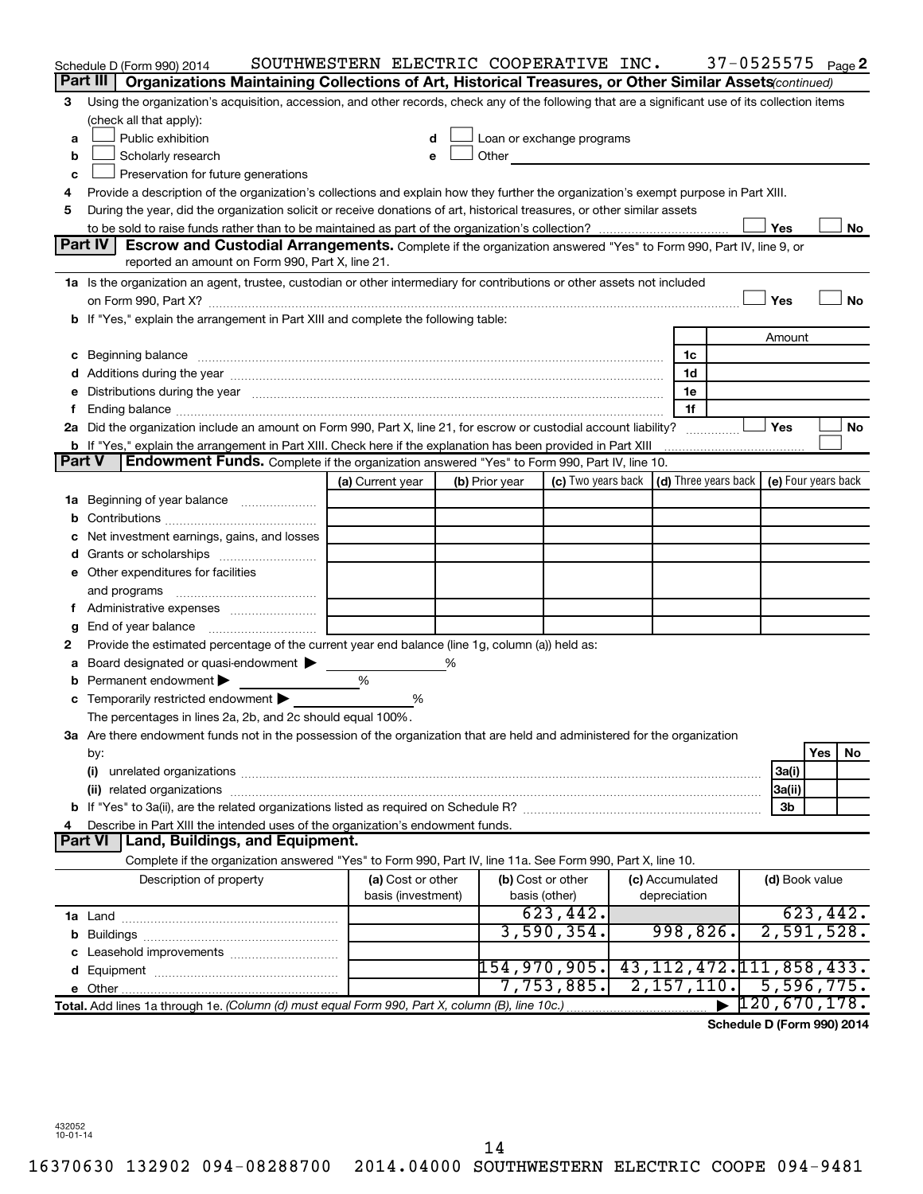|    |                | Schedule D (Form 990) 2014                                                                                                                                                                                                     | SOUTHWESTERN ELECTRIC COOPERATIVE INC. |   |                |                           |                 | $37 - 0525575$ Page 2                                    |                |     |          |
|----|----------------|--------------------------------------------------------------------------------------------------------------------------------------------------------------------------------------------------------------------------------|----------------------------------------|---|----------------|---------------------------|-----------------|----------------------------------------------------------|----------------|-----|----------|
|    | Part III       | Organizations Maintaining Collections of Art, Historical Treasures, or Other Similar Assets (continued)                                                                                                                        |                                        |   |                |                           |                 |                                                          |                |     |          |
| З  |                | Using the organization's acquisition, accession, and other records, check any of the following that are a significant use of its collection items                                                                              |                                        |   |                |                           |                 |                                                          |                |     |          |
|    |                | (check all that apply):                                                                                                                                                                                                        |                                        |   |                |                           |                 |                                                          |                |     |          |
| a  |                | Public exhibition                                                                                                                                                                                                              |                                        |   |                | Loan or exchange programs |                 |                                                          |                |     |          |
| b  |                | Scholarly research                                                                                                                                                                                                             |                                        |   | Other          |                           |                 |                                                          |                |     |          |
| c  |                | Preservation for future generations                                                                                                                                                                                            |                                        |   |                |                           |                 |                                                          |                |     |          |
| 4  |                | Provide a description of the organization's collections and explain how they further the organization's exempt purpose in Part XIII.                                                                                           |                                        |   |                |                           |                 |                                                          |                |     |          |
| 5  |                | During the year, did the organization solicit or receive donations of art, historical treasures, or other similar assets                                                                                                       |                                        |   |                |                           |                 |                                                          |                |     |          |
|    |                |                                                                                                                                                                                                                                |                                        |   |                |                           |                 |                                                          | Yes            |     | No       |
|    | Part IV        | <b>Escrow and Custodial Arrangements.</b> Complete if the organization answered "Yes" to Form 990, Part IV, line 9, or                                                                                                         |                                        |   |                |                           |                 |                                                          |                |     |          |
|    |                | reported an amount on Form 990, Part X, line 21.                                                                                                                                                                               |                                        |   |                |                           |                 |                                                          |                |     |          |
|    |                | 1a Is the organization an agent, trustee, custodian or other intermediary for contributions or other assets not included                                                                                                       |                                        |   |                |                           |                 |                                                          |                |     |          |
|    |                |                                                                                                                                                                                                                                |                                        |   |                |                           |                 |                                                          | Yes            |     | No       |
|    |                | b If "Yes," explain the arrangement in Part XIII and complete the following table:                                                                                                                                             |                                        |   |                |                           |                 |                                                          |                |     |          |
|    |                |                                                                                                                                                                                                                                |                                        |   |                |                           |                 |                                                          | Amount         |     |          |
| c  |                | Beginning balance measurements and contain the contract of the contract of the contract of the contract of the                                                                                                                 |                                        |   |                |                           | 1c<br>1d        |                                                          |                |     |          |
|    |                | Distributions during the year measurement contains and all the year measurement of the state of the state of the state of the state of the state of the state of the state of the state of the state of the state of the state |                                        |   |                |                           | 1e              |                                                          |                |     |          |
| t. |                |                                                                                                                                                                                                                                |                                        |   |                |                           | 1f              |                                                          |                |     |          |
|    |                | 2a Did the organization include an amount on Form 990, Part X, line 21, for escrow or custodial account liability?                                                                                                             |                                        |   |                |                           |                 |                                                          | Yes            |     | No       |
|    |                | <b>b</b> If "Yes," explain the arrangement in Part XIII. Check here if the explanation has been provided in Part XIII                                                                                                          |                                        |   |                |                           |                 |                                                          |                |     |          |
|    | Part V         | Endowment Funds. Complete if the organization answered "Yes" to Form 990, Part IV, line 10.                                                                                                                                    |                                        |   |                |                           |                 |                                                          |                |     |          |
|    |                |                                                                                                                                                                                                                                | (a) Current year                       |   | (b) Prior year | (c) Two years back        |                 | $\vert$ (d) Three years back $\vert$ (e) Four years back |                |     |          |
| 1a |                | Beginning of year balance                                                                                                                                                                                                      |                                        |   |                |                           |                 |                                                          |                |     |          |
| b  |                |                                                                                                                                                                                                                                |                                        |   |                |                           |                 |                                                          |                |     |          |
|    |                | Net investment earnings, gains, and losses                                                                                                                                                                                     |                                        |   |                |                           |                 |                                                          |                |     |          |
| d  |                | Grants or scholarships                                                                                                                                                                                                         |                                        |   |                |                           |                 |                                                          |                |     |          |
|    |                | e Other expenditures for facilities                                                                                                                                                                                            |                                        |   |                |                           |                 |                                                          |                |     |          |
|    |                |                                                                                                                                                                                                                                |                                        |   |                |                           |                 |                                                          |                |     |          |
|    |                |                                                                                                                                                                                                                                |                                        |   |                |                           |                 |                                                          |                |     |          |
| g  |                |                                                                                                                                                                                                                                |                                        |   |                |                           |                 |                                                          |                |     |          |
| 2  |                | Provide the estimated percentage of the current year end balance (line 1g, column (a)) held as:                                                                                                                                |                                        |   |                |                           |                 |                                                          |                |     |          |
| а  |                | Board designated or quasi-endowment                                                                                                                                                                                            |                                        | % |                |                           |                 |                                                          |                |     |          |
| b  |                | Permanent endowment                                                                                                                                                                                                            | %                                      |   |                |                           |                 |                                                          |                |     |          |
|    |                | Temporarily restricted endowment                                                                                                                                                                                               | ℅                                      |   |                |                           |                 |                                                          |                |     |          |
|    |                | The percentages in lines 2a, 2b, and 2c should equal 100%.                                                                                                                                                                     |                                        |   |                |                           |                 |                                                          |                |     |          |
|    |                | 3a Are there endowment funds not in the possession of the organization that are held and administered for the organization                                                                                                     |                                        |   |                |                           |                 |                                                          |                |     |          |
|    | by:            |                                                                                                                                                                                                                                |                                        |   |                |                           |                 |                                                          |                | Yes | No.      |
|    | (i)            |                                                                                                                                                                                                                                |                                        |   |                |                           |                 |                                                          | 3a(i)          |     |          |
|    |                |                                                                                                                                                                                                                                |                                        |   |                |                           |                 |                                                          | 3a(ii)         |     |          |
|    |                | Describe in Part XIII the intended uses of the organization's endowment funds.                                                                                                                                                 |                                        |   |                |                           |                 |                                                          | 3b             |     |          |
|    | <b>Part VI</b> | Land, Buildings, and Equipment.                                                                                                                                                                                                |                                        |   |                |                           |                 |                                                          |                |     |          |
|    |                | Complete if the organization answered "Yes" to Form 990, Part IV, line 11a. See Form 990, Part X, line 10.                                                                                                                     |                                        |   |                |                           |                 |                                                          |                |     |          |
|    |                | Description of property                                                                                                                                                                                                        | (a) Cost or other                      |   |                | (b) Cost or other         | (c) Accumulated |                                                          | (d) Book value |     |          |
|    |                |                                                                                                                                                                                                                                | basis (investment)                     |   |                | basis (other)             | depreciation    |                                                          |                |     |          |
|    |                |                                                                                                                                                                                                                                |                                        |   |                | 623,442.                  |                 |                                                          |                |     | 623,442. |
| b  |                |                                                                                                                                                                                                                                |                                        |   |                | 3,590,354.                | 998,826.        |                                                          | 2,591,528.     |     |          |
|    |                | c Leasehold improvements                                                                                                                                                                                                       |                                        |   |                |                           |                 |                                                          |                |     |          |
|    |                |                                                                                                                                                                                                                                |                                        |   |                | 154,970,905 <b>.</b>      |                 | 43, 112, 472. 111, 858, 433.                             |                |     |          |
|    |                |                                                                                                                                                                                                                                |                                        |   |                | 7,753,885.                | 2,157,110.      |                                                          | 5,596,775.     |     |          |
|    |                | Total. Add lines 1a through 1e. (Column (d) must equal Form 990, Part X, column (B), line 10c.)                                                                                                                                |                                        |   |                |                           |                 |                                                          | 120,670,178.   |     |          |
|    |                |                                                                                                                                                                                                                                |                                        |   |                |                           |                 | Schedule D (Form 990) 2014                               |                |     |          |

**Schedule D (Form 990) 2014**

432052 10-01-14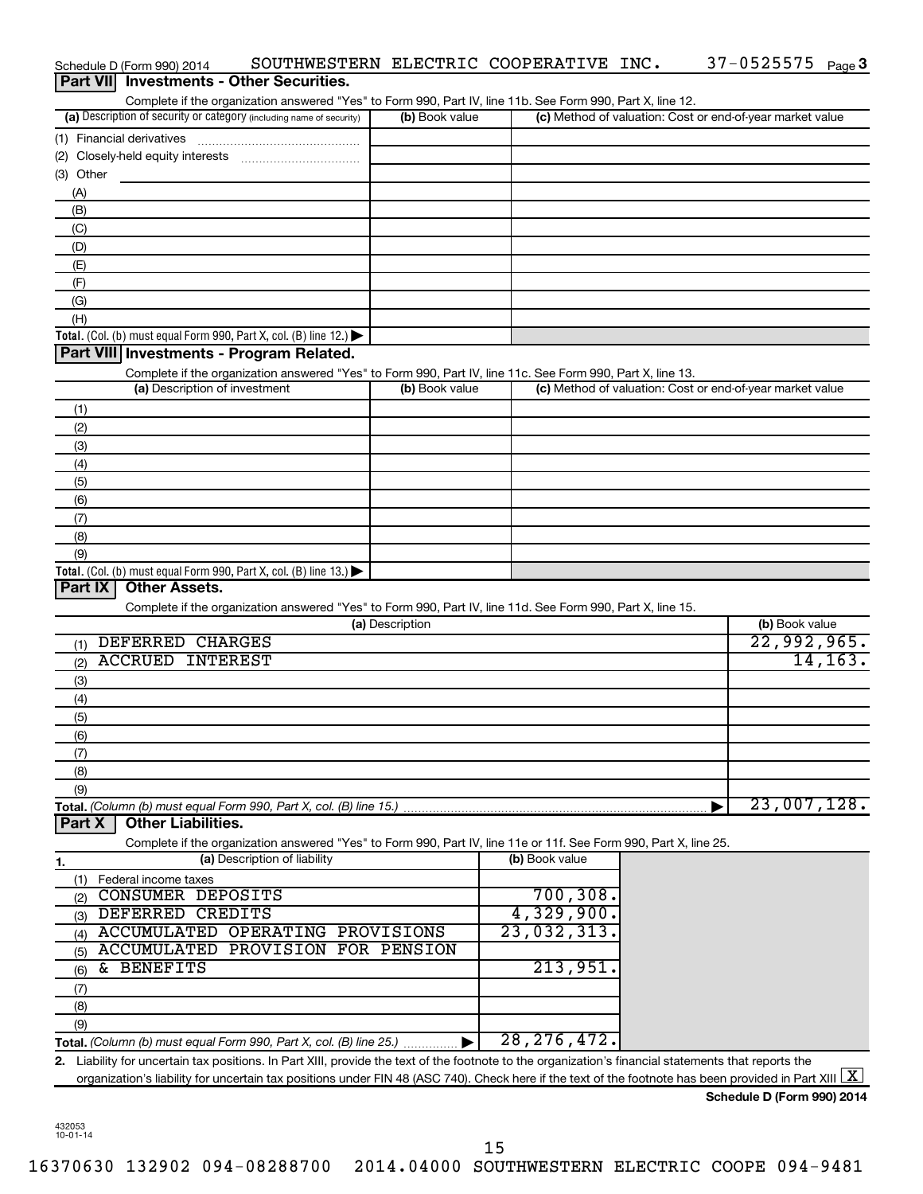| Part VII Investments - Other Securities.                                                                                                                                |                 |                                                           |                |
|-------------------------------------------------------------------------------------------------------------------------------------------------------------------------|-----------------|-----------------------------------------------------------|----------------|
| Complete if the organization answered "Yes" to Form 990, Part IV, line 11b. See Form 990, Part X, line 12.                                                              |                 |                                                           |                |
| (a) Description of security or category (including name of security)                                                                                                    | (b) Book value  | (c) Method of valuation: Cost or end-of-year market value |                |
| (1) Financial derivatives                                                                                                                                               |                 |                                                           |                |
|                                                                                                                                                                         |                 |                                                           |                |
| (3) Other                                                                                                                                                               |                 |                                                           |                |
| (A)<br>(B)                                                                                                                                                              |                 |                                                           |                |
| (C)                                                                                                                                                                     |                 |                                                           |                |
| (D)                                                                                                                                                                     |                 |                                                           |                |
| (E)                                                                                                                                                                     |                 |                                                           |                |
| (F)                                                                                                                                                                     |                 |                                                           |                |
| (G)                                                                                                                                                                     |                 |                                                           |                |
| (H)                                                                                                                                                                     |                 |                                                           |                |
| <b>Total.</b> (Col. (b) must equal Form 990, Part X, col. (B) line 12.) $\blacktriangleright$                                                                           |                 |                                                           |                |
| Part VIII Investments - Program Related.                                                                                                                                |                 |                                                           |                |
| Complete if the organization answered "Yes" to Form 990, Part IV, line 11c. See Form 990, Part X, line 13.                                                              |                 |                                                           |                |
| (a) Description of investment                                                                                                                                           | (b) Book value  | (c) Method of valuation: Cost or end-of-year market value |                |
| (1)                                                                                                                                                                     |                 |                                                           |                |
| (2)                                                                                                                                                                     |                 |                                                           |                |
| (3)                                                                                                                                                                     |                 |                                                           |                |
| (4)                                                                                                                                                                     |                 |                                                           |                |
| (5)                                                                                                                                                                     |                 |                                                           |                |
| (6)                                                                                                                                                                     |                 |                                                           |                |
| (7)<br>(8)                                                                                                                                                              |                 |                                                           |                |
| (9)                                                                                                                                                                     |                 |                                                           |                |
| Total. (Col. (b) must equal Form 990, Part X, col. (B) line $13.$ )                                                                                                     |                 |                                                           |                |
| <b>Other Assets.</b><br>Part IX                                                                                                                                         |                 |                                                           |                |
| Complete if the organization answered "Yes" to Form 990, Part IV, line 11d. See Form 990, Part X, line 15.                                                              |                 |                                                           |                |
|                                                                                                                                                                         | (a) Description |                                                           | (b) Book value |
| DEFERRED CHARGES<br>(1)                                                                                                                                                 |                 |                                                           | 22,992,965.    |
| <b>ACCRUED INTEREST</b><br>(2)                                                                                                                                          |                 |                                                           | 14, 163.       |
| (3)                                                                                                                                                                     |                 |                                                           |                |
| (4)                                                                                                                                                                     |                 |                                                           |                |
| (5)                                                                                                                                                                     |                 |                                                           |                |
| (6)                                                                                                                                                                     |                 |                                                           |                |
| (7)                                                                                                                                                                     |                 |                                                           |                |
| (8)                                                                                                                                                                     |                 |                                                           |                |
| (9)                                                                                                                                                                     |                 |                                                           | 23,007,128.    |
| Total. (Column (b) must equal Form 990, Part X, col. (B) line 15.)<br><b>Other Liabilities.</b><br>Part X                                                               |                 |                                                           |                |
| Complete if the organization answered "Yes" to Form 990, Part IV, line 11e or 11f. See Form 990, Part X, line 25.                                                       |                 |                                                           |                |
| (a) Description of liability<br>1.                                                                                                                                      |                 | (b) Book value                                            |                |
| Federal income taxes<br>(1)                                                                                                                                             |                 |                                                           |                |
| CONSUMER DEPOSITS<br>(2)                                                                                                                                                |                 | 700, 308.                                                 |                |
| DEFERRED CREDITS<br>(3)                                                                                                                                                 |                 | 4,329,900.                                                |                |
| ACCUMULATED OPERATING PROVISIONS<br>(4)                                                                                                                                 |                 | 23,032,313.                                               |                |
| ACCUMULATED PROVISION FOR PENSION<br>(5)                                                                                                                                |                 |                                                           |                |
| & BENEFITS<br>(6)                                                                                                                                                       |                 | 213,951                                                   |                |
| (7)                                                                                                                                                                     |                 |                                                           |                |
| (8)                                                                                                                                                                     |                 |                                                           |                |
| (9)                                                                                                                                                                     |                 |                                                           |                |
| Total. (Column (b) must equal Form 990, Part X, col. (B) line 25.)                                                                                                      |                 | 28, 276, 472.                                             |                |
| 2. Liability for uncertain tax positions. In Part XIII, provide the text of the footnote to the organization's financial statements that reports the                    |                 |                                                           |                |
| organization's liability for uncertain tax positions under FIN 48 (ASC 740). Check here if the text of the footnote has been provided in Part XIII $\boxed{\mathrm{X}}$ |                 |                                                           |                |

Schedule D (Form 990) 2014 SOUTHWESTERN ELECTRIC COOPERATIVE INC. 37-0525575 Page

37-0525575 Page 3

**Schedule D (Form 990) 2014**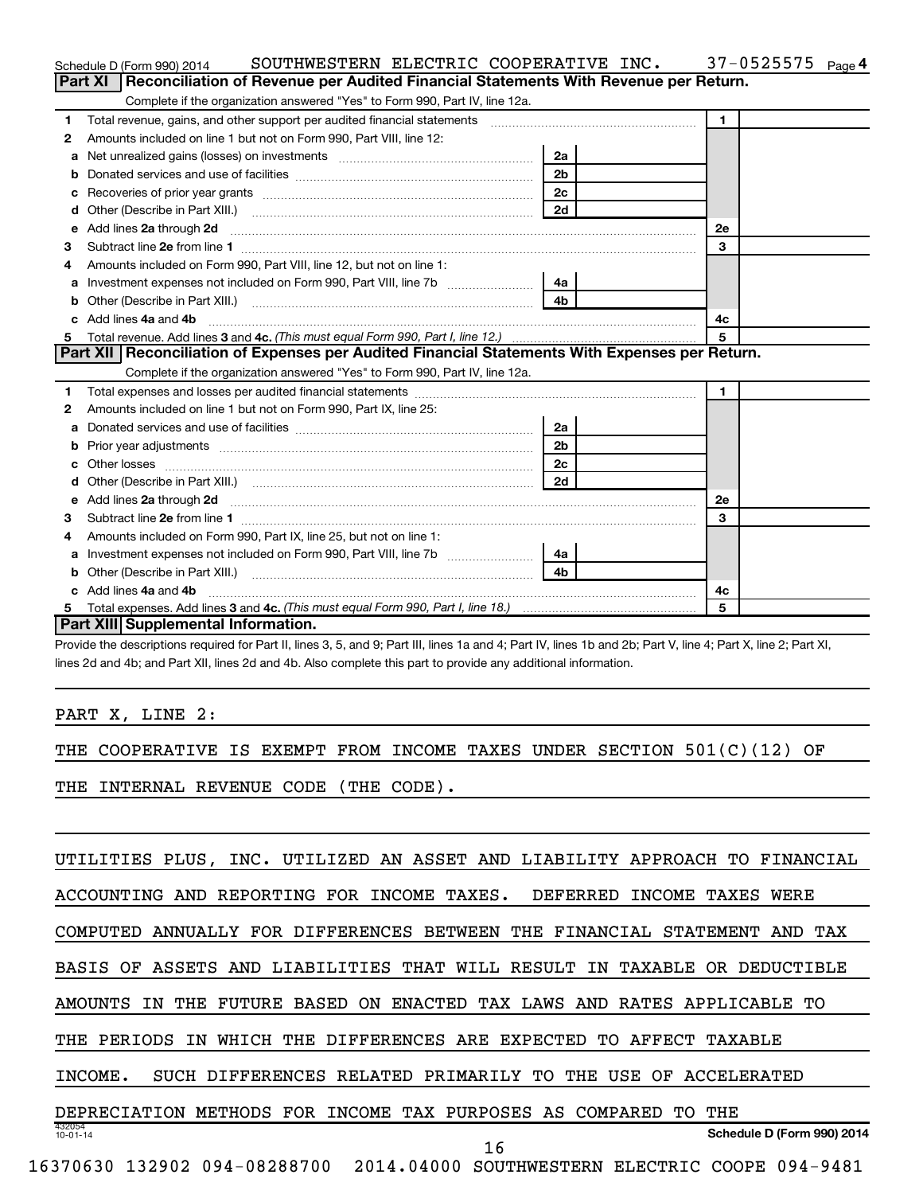|    | SOUTHWESTERN ELECTRIC COOPERATIVE INC.<br>Schedule D (Form 990) 2014                                                                                                                                                                |                | $37 - 0525575$<br>Page 4 |
|----|-------------------------------------------------------------------------------------------------------------------------------------------------------------------------------------------------------------------------------------|----------------|--------------------------|
|    | Reconciliation of Revenue per Audited Financial Statements With Revenue per Return.<br>Part XI                                                                                                                                      |                |                          |
|    | Complete if the organization answered "Yes" to Form 990, Part IV, line 12a.                                                                                                                                                         |                |                          |
| 1  | Total revenue, gains, and other support per audited financial statements [111] [11] Total revenue, gains, and other support per audited financial statements                                                                        |                | $\mathbf{1}$             |
| 2  | Amounts included on line 1 but not on Form 990, Part VIII, line 12:                                                                                                                                                                 |                |                          |
| a  |                                                                                                                                                                                                                                     | 2a             |                          |
|    |                                                                                                                                                                                                                                     | 2 <sub>b</sub> |                          |
|    |                                                                                                                                                                                                                                     | 2c             |                          |
| d  | Other (Describe in Part XIII.) <b>2006</b> 2007 2010 2010 2010 2010 2011 2012 2013 2014 2015 2016 2017 2018 2019 2016 2016 2017 2018 2019 2016 2017 2018 2019 2016 2017 2018 2019 2018 2019 2016 2017 2018 2019 2018 2019 2018 2019 | 2d             |                          |
| е  | Add lines 2a through 2d                                                                                                                                                                                                             |                | 2е                       |
| З  |                                                                                                                                                                                                                                     |                | 3                        |
| 4  | Amounts included on Form 990, Part VIII, line 12, but not on line 1:                                                                                                                                                                |                |                          |
|    | Investment expenses not included on Form 990, Part VIII, line 7b [11, 111, 120]                                                                                                                                                     | 4a             |                          |
| b  | Other (Describe in Part XIII.) (2000) (2000) (2000) (2010) (2010) (2010) (2010) (2010) (2010) (2010) (2010) (20                                                                                                                     | 4 <sub>b</sub> |                          |
| c. | Add lines 4a and 4b                                                                                                                                                                                                                 |                | 4c                       |
|    |                                                                                                                                                                                                                                     |                | 5                        |
|    |                                                                                                                                                                                                                                     |                |                          |
|    | Part XII   Reconciliation of Expenses per Audited Financial Statements With Expenses per Return.                                                                                                                                    |                |                          |
|    | Complete if the organization answered "Yes" to Form 990, Part IV, line 12a.                                                                                                                                                         |                |                          |
| 1  |                                                                                                                                                                                                                                     |                | $\blacksquare$           |
| 2  | Amounts included on line 1 but not on Form 990, Part IX, line 25:                                                                                                                                                                   |                |                          |
| a  |                                                                                                                                                                                                                                     | 2a             |                          |
| b  |                                                                                                                                                                                                                                     | 2 <sub>b</sub> |                          |
|    |                                                                                                                                                                                                                                     | 2 <sub>c</sub> |                          |
| d  |                                                                                                                                                                                                                                     | 2d             |                          |
| е  |                                                                                                                                                                                                                                     |                | <b>2e</b>                |
| з  |                                                                                                                                                                                                                                     |                | 3                        |
| 4  | Amounts included on Form 990, Part IX, line 25, but not on line 1:                                                                                                                                                                  |                |                          |
| a  |                                                                                                                                                                                                                                     | 4a l           |                          |
| b  |                                                                                                                                                                                                                                     | 4 <sub>h</sub> |                          |
| c. | Add lines 4a and 4b                                                                                                                                                                                                                 |                | 4с                       |
|    | Part XIII Supplemental Information.                                                                                                                                                                                                 |                | 5                        |

Provide the descriptions required for Part II, lines 3, 5, and 9; Part III, lines 1a and 4; Part IV, lines 1b and 2b; Part V, line 4; Part X, line 2; Part XI, lines 2d and 4b; and Part XII, lines 2d and 4b. Also complete this part to provide any additional information.

PART X, LINE 2:

THE COOPERATIVE IS EXEMPT FROM INCOME TAXES UNDER SECTION 501(C)(12) OF

THE INTERNAL REVENUE CODE (THE CODE).

| UTILITIES PLUS <i>.</i><br>INC.               | UTILIZED AN ASSET AND<br>LIABILITY APPROACH TO<br>FINANCIAL        |
|-----------------------------------------------|--------------------------------------------------------------------|
| ACCOUNTING                                    | AND REPORTING FOR INCOME TAXES. DEFERRED<br>INCOME TAXES<br>WERE   |
| ANNUALLY FOR DIFFERENCES BETWEEN<br>COMPUTED  | THE<br>FINANCIAL<br>STATEMENT<br>TAX<br>AND                        |
| AND LIABILITIES THAT<br>BASIS<br>OF<br>ASSETS | RESULT<br>WILL<br>TAXABLE<br>ΙN<br>OR.<br>DEDUCTIBLE               |
| FUTURE<br>BASED<br>THE<br>0N<br>AMOUNTS<br>ΙN | <b>ENACTED</b><br>TAX LAWS AND RATES APPLICABLE<br>TО              |
| PERIODS<br>WHICH<br>TN                        | THE DIFFERENCES ARE<br>EXPECTED<br>TO.<br>AFFECT<br>TAXABLE        |
| INCOME.<br>SUCH DIFFERENCES RELATED PRIMARILY | TO<br>THE<br>USE<br>OF<br>ACCELERATED                              |
| METHODS<br><b>FOR</b><br>DEPRECIATION         | INCOME TAX PURPOSES AS<br>COMPARED<br>THE<br>ͲO                    |
| 432054<br>$10 - 01 - 14$                      | Schedule D (Form 990) 2014<br>16                                   |
| 16370630<br>132902 094-08288700               | 2014.04000<br>094-9481<br>ELECTRIC<br>SOUTHWESTERN<br><b>COOPE</b> |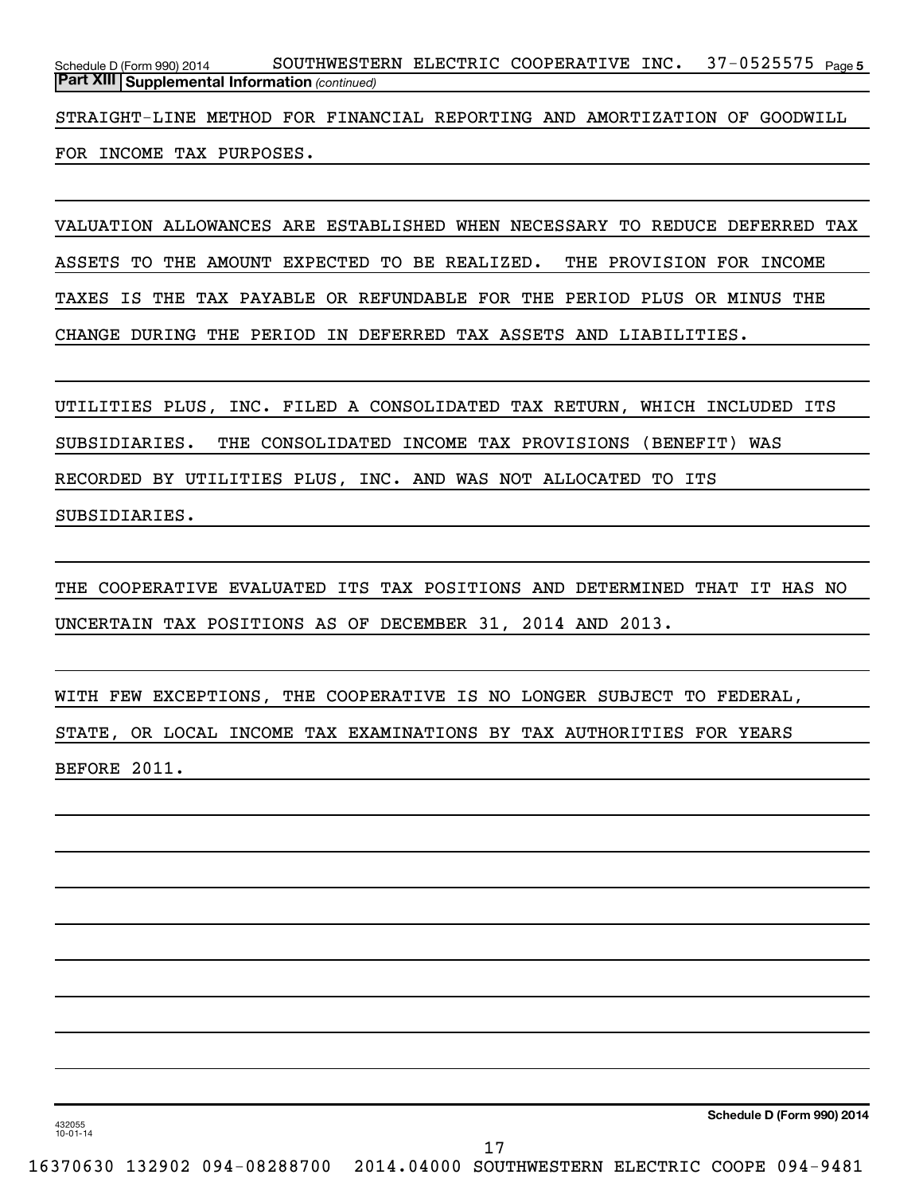37-0525575 <sub>Page 5</sub> *(continued)* **Part XIII Supplemental Information**  Schedule D (Form 990) 2014 SOUTHWESTERN ELECTRIC COOPERATIVE INC. 37-0525575  $_{\sf Page}$ 

STRAIGHT-LINE METHOD FOR FINANCIAL REPORTING AND AMORTIZATION OF GOODWILL FOR INCOME TAX PURPOSES.

VALUATION ALLOWANCES ARE ESTABLISHED WHEN NECESSARY TO REDUCE DEFERRED TAX ASSETS TO THE AMOUNT EXPECTED TO BE REALIZED. THE PROVISION FOR INCOME TAXES IS THE TAX PAYABLE OR REFUNDABLE FOR THE PERIOD PLUS OR MINUS THE CHANGE DURING THE PERIOD IN DEFERRED TAX ASSETS AND LIABILITIES.

UTILITIES PLUS, INC. FILED A CONSOLIDATED TAX RETURN, WHICH INCLUDED ITS SUBSIDIARIES. THE CONSOLIDATED INCOME TAX PROVISIONS (BENEFIT) WAS RECORDED BY UTILITIES PLUS, INC. AND WAS NOT ALLOCATED TO ITS SUBSIDIARIES.

THE COOPERATIVE EVALUATED ITS TAX POSITIONS AND DETERMINED THAT IT HAS NO UNCERTAIN TAX POSITIONS AS OF DECEMBER 31, 2014 AND 2013.

WITH FEW EXCEPTIONS, THE COOPERATIVE IS NO LONGER SUBJECT TO FEDERAL, STATE, OR LOCAL INCOME TAX EXAMINATIONS BY TAX AUTHORITIES FOR YEARS BEFORE 2011.

**Schedule D (Form 990) 2014**

432055 10-01-14

17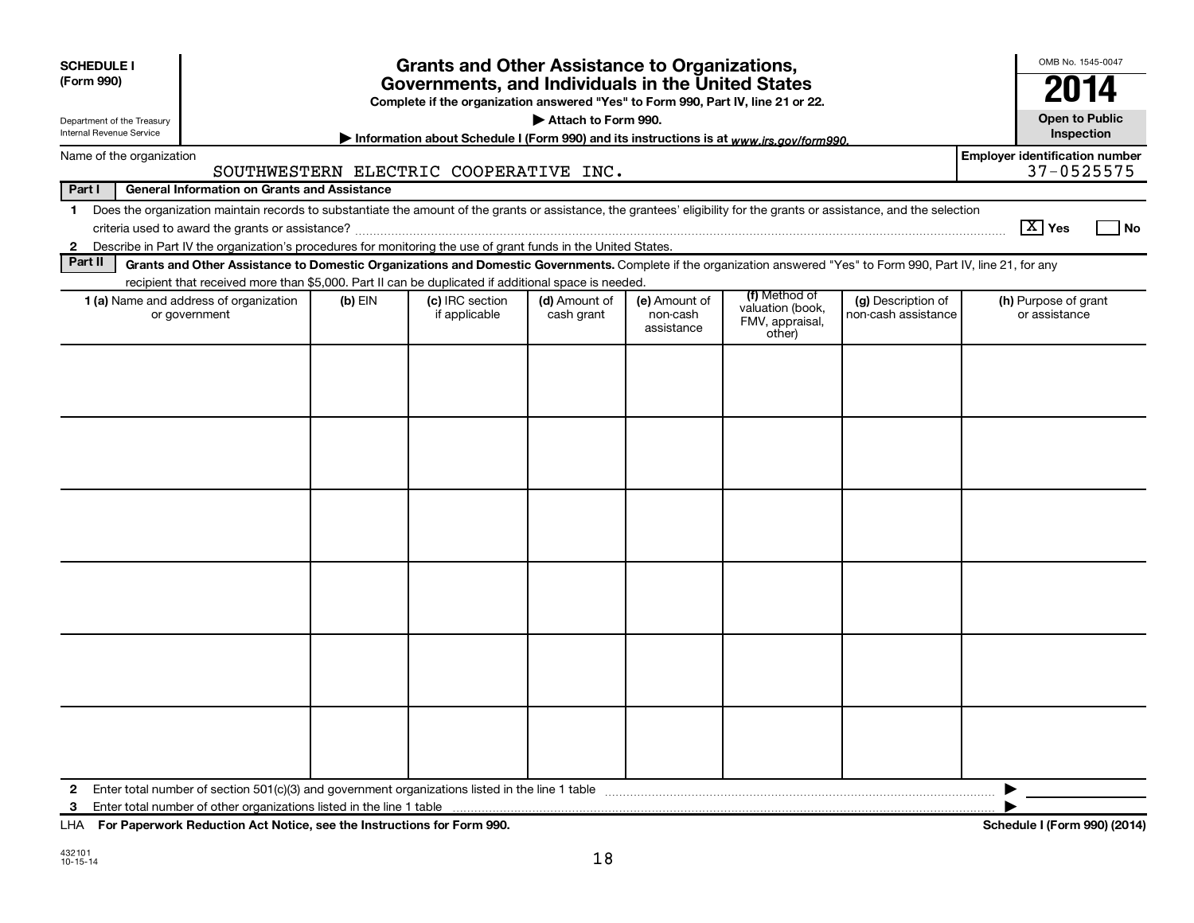| <b>SCHEDULE I</b><br>(Form 990)<br>Department of the Treasury                                                                                                                                                                                                                                                            |                                                                                                                                                                    | <b>Grants and Other Assistance to Organizations,</b><br>Governments, and Individuals in the United States<br>Complete if the organization answered "Yes" to Form 990, Part IV, line 21 or 22. | Attach to Form 990.         |                                         |                                                                |                                           | OMB No. 1545-0047<br>20<br><b>Open to Public</b>    |
|--------------------------------------------------------------------------------------------------------------------------------------------------------------------------------------------------------------------------------------------------------------------------------------------------------------------------|--------------------------------------------------------------------------------------------------------------------------------------------------------------------|-----------------------------------------------------------------------------------------------------------------------------------------------------------------------------------------------|-----------------------------|-----------------------------------------|----------------------------------------------------------------|-------------------------------------------|-----------------------------------------------------|
| Internal Revenue Service                                                                                                                                                                                                                                                                                                 |                                                                                                                                                                    | Information about Schedule I (Form 990) and its instructions is at www.irs.gov/form990.                                                                                                       |                             |                                         |                                                                |                                           | Inspection                                          |
| Name of the organization                                                                                                                                                                                                                                                                                                 | SOUTHWESTERN ELECTRIC COOPERATIVE INC.                                                                                                                             |                                                                                                                                                                                               |                             |                                         |                                                                |                                           | <b>Employer identification number</b><br>37-0525575 |
| Part I                                                                                                                                                                                                                                                                                                                   | <b>General Information on Grants and Assistance</b>                                                                                                                |                                                                                                                                                                                               |                             |                                         |                                                                |                                           |                                                     |
| Does the organization maintain records to substantiate the amount of the grants or assistance, the grantees' eligibility for the grants or assistance, and the selection<br>$\mathbf 1$<br>Describe in Part IV the organization's procedures for monitoring the use of grant funds in the United States.<br>$\mathbf{2}$ |                                                                                                                                                                    |                                                                                                                                                                                               |                             |                                         |                                                                |                                           | $\boxed{\text{X}}$ Yes<br>l No                      |
| Part II                                                                                                                                                                                                                                                                                                                  | Grants and Other Assistance to Domestic Organizations and Domestic Governments. Complete if the organization answered "Yes" to Form 990, Part IV, line 21, for any |                                                                                                                                                                                               |                             |                                         |                                                                |                                           |                                                     |
| 1 (a) Name and address of organization<br>or government                                                                                                                                                                                                                                                                  | recipient that received more than \$5,000. Part II can be duplicated if additional space is needed.<br>$(b)$ EIN                                                   | (c) IRC section<br>if applicable                                                                                                                                                              | (d) Amount of<br>cash grant | (e) Amount of<br>non-cash<br>assistance | (f) Method of<br>valuation (book,<br>FMV, appraisal,<br>other) | (g) Description of<br>non-cash assistance | (h) Purpose of grant<br>or assistance               |
|                                                                                                                                                                                                                                                                                                                          |                                                                                                                                                                    |                                                                                                                                                                                               |                             |                                         |                                                                |                                           |                                                     |
| $\mathbf{2}$<br>3                                                                                                                                                                                                                                                                                                        |                                                                                                                                                                    |                                                                                                                                                                                               |                             |                                         |                                                                |                                           | ▶                                                   |

**For Paperwork Reduction Act Notice, see the Instructions for Form 990. Schedule I (Form 990) (2014)** LHA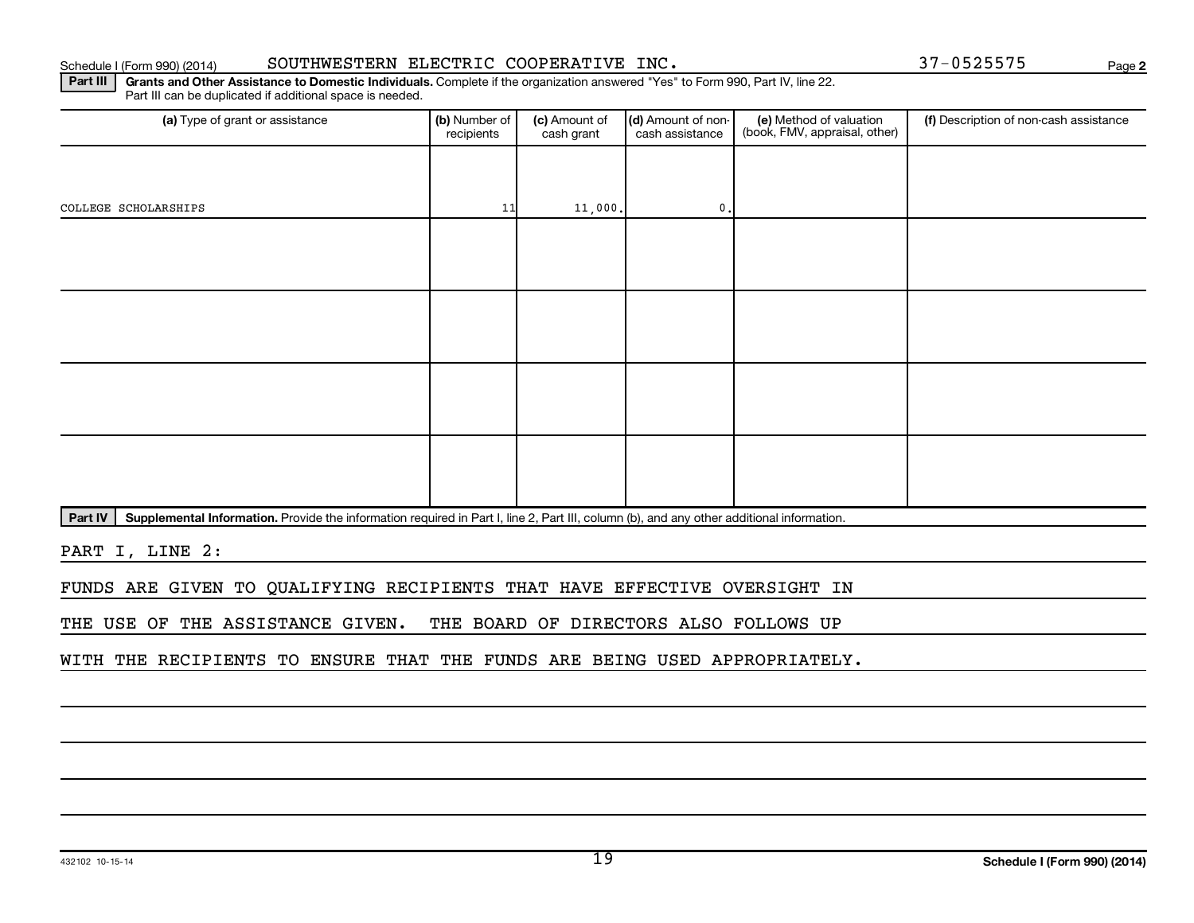COLLEGE SCHOLARSHIPS  $\begin{bmatrix} 11 & 11 & 000 \end{bmatrix}$  0.

Part IV | Supplemental Information. Provide the information required in Part I, line 2, Part III, column (b), and any other additional information.

PART I, LINE 2:

FUNDS ARE GIVEN TO QUALIFYING RECIPIENTS THAT HAVE EFFECTIVE OVERSIGHT IN

THE USE OF THE ASSISTANCE GIVEN. THE BOARD OF DIRECTORS ALSO FOLLOWS UP

WITH THE RECIPIENTS TO ENSURE THAT THE FUNDS ARE BEING USED APPROPRIATELY.

#### Part III | Grants and Other Assistance to Domestic Individuals. Complete if the organization answered "Yes" to Form 990, Part IV, line 22. Schedule I (Form 990) (2014) SOUTHWESTERN ELECTRIC COOPERATIVE INC . 37-0525575 Page

Part III can be duplicated if additional space is needed.

(a) Type of grant or assistance **(b)** Number of  $|$  **(c)** Amount of  $|$  **(d)** Amount of non- $|$  **(e)** Method of valuation  $|$  **(f)** recipients (c) Amount of cash grant

(d) Amount of noncash assistance

(e) Method of valuation (book, FMV, appraisal, other) **2**

(f) Description of non-cash assistance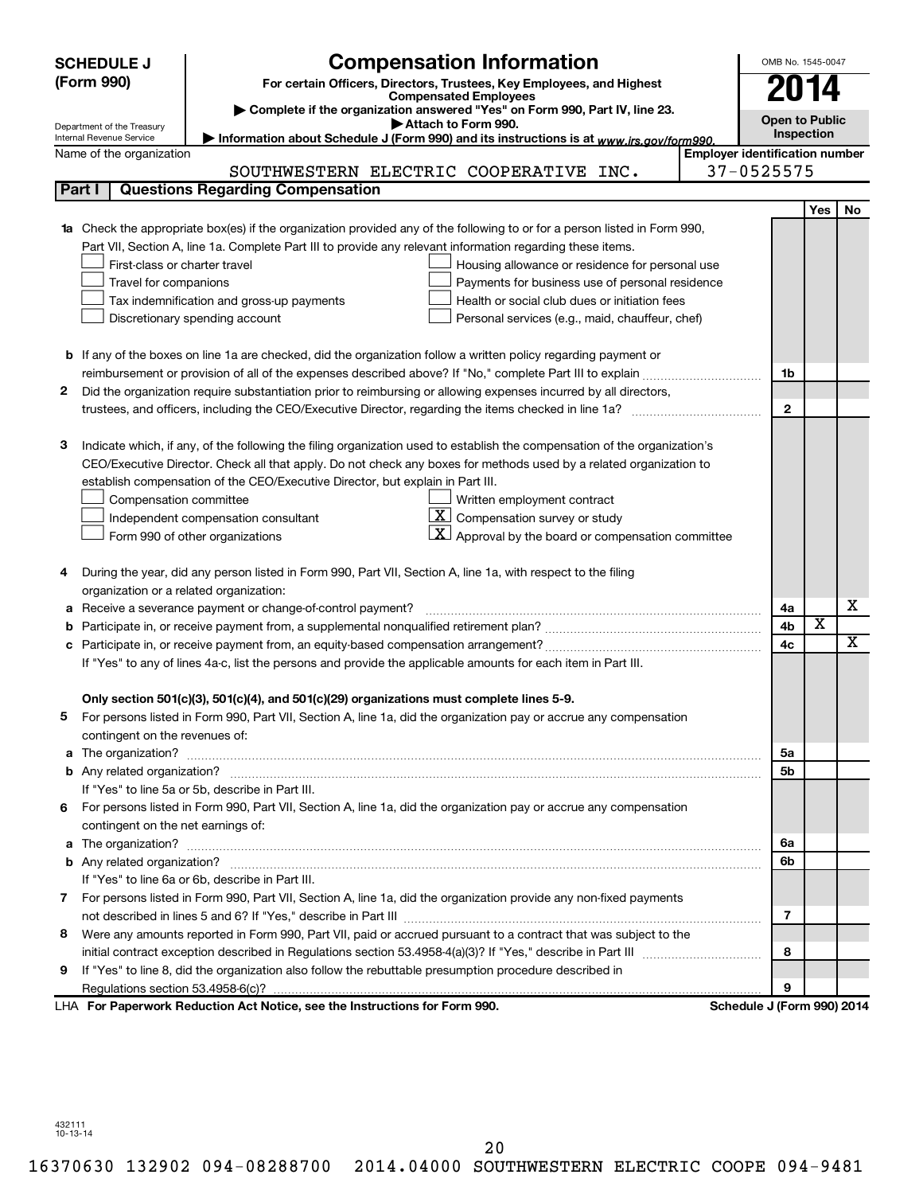|              | <b>SCHEDULE J</b>                                      | <b>Compensation Information</b>                                                                                                                                                     |                                       | OMB No. 1545-0047 |                         |                         |  |  |  |
|--------------|--------------------------------------------------------|-------------------------------------------------------------------------------------------------------------------------------------------------------------------------------------|---------------------------------------|-------------------|-------------------------|-------------------------|--|--|--|
|              | (Form 990)                                             |                                                                                                                                                                                     | 2014                                  |                   |                         |                         |  |  |  |
|              |                                                        | For certain Officers, Directors, Trustees, Key Employees, and Highest<br><b>Compensated Employees</b><br>Complete if the organization answered "Yes" on Form 990, Part IV, line 23. |                                       |                   |                         |                         |  |  |  |
|              |                                                        |                                                                                                                                                                                     | <b>Open to Public</b>                 |                   |                         |                         |  |  |  |
|              | Department of the Treasury<br>Internal Revenue Service | Attach to Form 990.<br>Information about Schedule J (Form 990) and its instructions is at www.irs.gov/form990.                                                                      |                                       | Inspection        |                         |                         |  |  |  |
|              | Name of the organization                               |                                                                                                                                                                                     | <b>Employer identification number</b> |                   |                         |                         |  |  |  |
|              |                                                        | SOUTHWESTERN ELECTRIC COOPERATIVE INC.                                                                                                                                              | 37-0525575                            |                   |                         |                         |  |  |  |
|              | Part I                                                 | <b>Questions Regarding Compensation</b>                                                                                                                                             |                                       |                   |                         |                         |  |  |  |
|              |                                                        |                                                                                                                                                                                     |                                       |                   | <b>Yes</b>              | No                      |  |  |  |
|              |                                                        | <b>1a</b> Check the appropriate box(es) if the organization provided any of the following to or for a person listed in Form 990,                                                    |                                       |                   |                         |                         |  |  |  |
|              |                                                        | Part VII, Section A, line 1a. Complete Part III to provide any relevant information regarding these items.                                                                          |                                       |                   |                         |                         |  |  |  |
|              | First-class or charter travel                          | Housing allowance or residence for personal use                                                                                                                                     |                                       |                   |                         |                         |  |  |  |
|              | Travel for companions                                  | Payments for business use of personal residence                                                                                                                                     |                                       |                   |                         |                         |  |  |  |
|              |                                                        | Health or social club dues or initiation fees<br>Tax indemnification and gross-up payments                                                                                          |                                       |                   |                         |                         |  |  |  |
|              |                                                        | Discretionary spending account<br>Personal services (e.g., maid, chauffeur, chef)                                                                                                   |                                       |                   |                         |                         |  |  |  |
|              |                                                        |                                                                                                                                                                                     |                                       |                   |                         |                         |  |  |  |
|              |                                                        | <b>b</b> If any of the boxes on line 1a are checked, did the organization follow a written policy regarding payment or                                                              |                                       |                   |                         |                         |  |  |  |
|              |                                                        |                                                                                                                                                                                     |                                       | 1b                |                         |                         |  |  |  |
| 2            |                                                        | Did the organization require substantiation prior to reimbursing or allowing expenses incurred by all directors,                                                                    |                                       |                   |                         |                         |  |  |  |
|              |                                                        |                                                                                                                                                                                     |                                       | $\mathbf{2}$      |                         |                         |  |  |  |
|              |                                                        |                                                                                                                                                                                     |                                       |                   |                         |                         |  |  |  |
| 3            |                                                        | Indicate which, if any, of the following the filing organization used to establish the compensation of the organization's                                                           |                                       |                   |                         |                         |  |  |  |
|              |                                                        | CEO/Executive Director. Check all that apply. Do not check any boxes for methods used by a related organization to                                                                  |                                       |                   |                         |                         |  |  |  |
|              |                                                        | establish compensation of the CEO/Executive Director, but explain in Part III.                                                                                                      |                                       |                   |                         |                         |  |  |  |
|              | Compensation committee                                 | Written employment contract                                                                                                                                                         |                                       |                   |                         |                         |  |  |  |
|              |                                                        | <u>x  </u><br>Compensation survey or study<br>Independent compensation consultant                                                                                                   |                                       |                   |                         |                         |  |  |  |
|              |                                                        | $\mathbf{X}$ Approval by the board or compensation committee<br>Form 990 of other organizations                                                                                     |                                       |                   |                         |                         |  |  |  |
|              |                                                        |                                                                                                                                                                                     |                                       |                   |                         |                         |  |  |  |
| 4            |                                                        | During the year, did any person listed in Form 990, Part VII, Section A, line 1a, with respect to the filing                                                                        |                                       |                   |                         |                         |  |  |  |
|              | organization or a related organization:                |                                                                                                                                                                                     |                                       |                   |                         |                         |  |  |  |
| а            |                                                        | Receive a severance payment or change-of-control payment?                                                                                                                           |                                       | 4a                |                         | х                       |  |  |  |
| b            |                                                        |                                                                                                                                                                                     |                                       | 4b                | $\overline{\textbf{x}}$ |                         |  |  |  |
| с            |                                                        |                                                                                                                                                                                     |                                       | 4c                |                         | $\overline{\mathbf{X}}$ |  |  |  |
|              |                                                        | If "Yes" to any of lines 4a-c, list the persons and provide the applicable amounts for each item in Part III.                                                                       |                                       |                   |                         |                         |  |  |  |
|              |                                                        |                                                                                                                                                                                     |                                       |                   |                         |                         |  |  |  |
|              |                                                        | Only section 501(c)(3), 501(c)(4), and 501(c)(29) organizations must complete lines 5-9.                                                                                            |                                       |                   |                         |                         |  |  |  |
|              |                                                        | For persons listed in Form 990, Part VII, Section A, line 1a, did the organization pay or accrue any compensation                                                                   |                                       |                   |                         |                         |  |  |  |
|              | contingent on the revenues of:                         |                                                                                                                                                                                     |                                       |                   |                         |                         |  |  |  |
|              |                                                        |                                                                                                                                                                                     |                                       | 5а                |                         |                         |  |  |  |
|              |                                                        |                                                                                                                                                                                     |                                       | 5b                |                         |                         |  |  |  |
|              |                                                        | If "Yes" to line 5a or 5b, describe in Part III.                                                                                                                                    |                                       |                   |                         |                         |  |  |  |
| 6.           |                                                        | For persons listed in Form 990, Part VII, Section A, line 1a, did the organization pay or accrue any compensation                                                                   |                                       |                   |                         |                         |  |  |  |
|              | contingent on the net earnings of:                     |                                                                                                                                                                                     |                                       |                   |                         |                         |  |  |  |
|              |                                                        |                                                                                                                                                                                     |                                       | 6a                |                         |                         |  |  |  |
|              |                                                        | If "Yes" to line 6a or 6b, describe in Part III.                                                                                                                                    |                                       | 6b                |                         |                         |  |  |  |
| $\mathbf{7}$ |                                                        | For persons listed in Form 990, Part VII, Section A, line 1a, did the organization provide any non-fixed payments                                                                   |                                       |                   |                         |                         |  |  |  |
|              |                                                        |                                                                                                                                                                                     |                                       | 7                 |                         |                         |  |  |  |
|              |                                                        | 8 Were any amounts reported in Form 990, Part VII, paid or accrued pursuant to a contract that was subject to the                                                                   |                                       |                   |                         |                         |  |  |  |
|              |                                                        |                                                                                                                                                                                     |                                       | 8                 |                         |                         |  |  |  |
| 9            |                                                        | If "Yes" to line 8, did the organization also follow the rebuttable presumption procedure described in                                                                              |                                       |                   |                         |                         |  |  |  |
|              |                                                        |                                                                                                                                                                                     |                                       | 9                 |                         |                         |  |  |  |
|              |                                                        | LHA For Paperwork Reduction Act Notice, see the Instructions for Form 990.                                                                                                          | Schedule J (Form 990) 2014            |                   |                         |                         |  |  |  |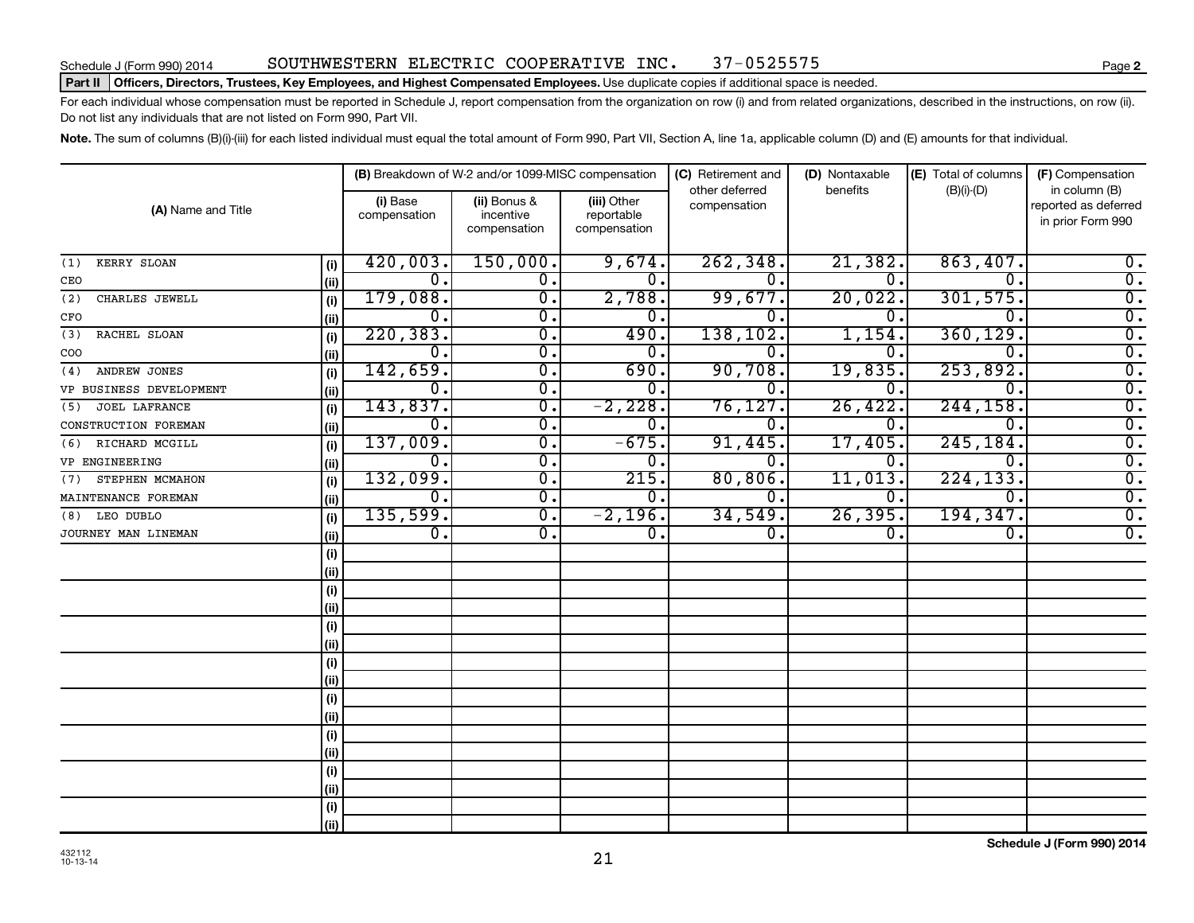#### Schedule J (Form 990) 2014 SOUTHWESTERN ELECTRIC COOPERATIVE INC. 37-0525575

#### Part II | Officers, Directors, Trustees, Key Employees, and Highest Compensated Employees. Use duplicate copies if additional space is needed.

For each individual whose compensation must be reported in Schedule J, report compensation from the organization on row (i) and from related organizations, described in the instructions, on row (ii). Do not list any individuals that are not listed on Form 990, Part VII.

Note. The sum of columns (B)(i)-(iii) for each listed individual must equal the total amount of Form 990, Part VII, Section A, line 1a, applicable column (D) and (E) amounts for that individual.

| (A) Name and Title          |      |                          | (B) Breakdown of W-2 and/or 1099-MISC compensation |                                           | (C) Retirement and             | (D) Nontaxable   | (E) Total of columns | (F) Compensation                                           |
|-----------------------------|------|--------------------------|----------------------------------------------------|-------------------------------------------|--------------------------------|------------------|----------------------|------------------------------------------------------------|
|                             |      | (i) Base<br>compensation | (ii) Bonus &<br>incentive<br>compensation          | (iii) Other<br>reportable<br>compensation | other deferred<br>compensation | benefits         | $(B)(i)-(D)$         | in column (B)<br>reported as deferred<br>in prior Form 990 |
| KERRY SLOAN<br>(1)          | (i)  | 420,003.                 | 150,000.                                           | 9,674.                                    | 262, 348.                      | 21,382.          | 863,407.             | $0$ .                                                      |
| CEO                         | (ii) | $\overline{0}$ .         | 0.                                                 | 0.                                        | $\overline{0}$ .               | 0.               | 0.                   | $\overline{0}$ .                                           |
| CHARLES JEWELL<br>(2)       | (i)  | 179,088.                 | $\overline{0}$ .                                   | 2,788.                                    | 99,677.                        | 20,022.          | 301,575.             | $\overline{0}$ .                                           |
| CFO                         | (ii) | 0.                       | $\mathbf 0$ .                                      | 0.                                        | $\overline{0}$ .               | Ω.               | 0                    | $\overline{0}$ .                                           |
| RACHEL SLOAN<br>(3)         | (i)  | 220, 383.                | $\overline{0}$ .                                   | 490.                                      | 138, 102.                      | 1,154            | 360, 129.            | $\overline{\mathfrak{o}}$ .                                |
| COO                         | (ii) | 0.                       | $\overline{0}$ .                                   | 0.                                        | 0.                             | 0                | $\Omega$ .           | $\overline{\mathfrak{o}}$ .                                |
| ANDREW JONES<br>(4)         | (i)  | 142,659.                 | $\overline{0}$ .                                   | 690.                                      | 90,708.                        | 19,835           | 253,892.             | $\overline{0}$ .                                           |
| VP BUSINESS DEVELOPMENT     | (ii) | 0.                       | $\overline{0}$ .                                   | 0.                                        | о.                             | 0.               | Ω.                   | $\overline{0}$ .                                           |
| <b>JOEL LAFRANCE</b><br>(5) | (i)  | 143,837.                 | $\overline{0}$ .                                   | $-2,228.$                                 | 76, 127.                       | 26,422.          | 244, 158.            | $\overline{0}$ .                                           |
| CONSTRUCTION FOREMAN        | (ii) | Ο.                       | $\overline{0}$ .                                   | $\overline{0}$ .                          | σ.                             | 0.               | 0.                   | $\overline{0}$ .                                           |
| RICHARD MCGILL<br>(6)       | (i)  | 137,009.                 | $\overline{0}$ .                                   | $-675.$                                   | 91,445.                        | 17,405.          | 245, 184.            | $\overline{0}$ .                                           |
| VP ENGINEERING              | (ii) | $\overline{0}$ .         | $\overline{0}$ .                                   | $\overline{0}$ .                          | $\overline{0}$ .               | ο.               | 0.                   | $\overline{0}$ .                                           |
| STEPHEN MCMAHON<br>(7)      | (i)  | 132,099.                 | $\overline{0}$ .                                   | 215.                                      | 80, 806.                       | 11,013.          | 224, 133.            | $\overline{0}$ .                                           |
| MAINTENANCE FOREMAN         | (ii) | $\overline{0}$ .         | $\overline{0}$ .                                   | 0.                                        | О.                             | 0.               | 0.                   | $\overline{0}$ .                                           |
| LEO DUBLO<br>(8)            | (i)  | 135,599.                 | σ.                                                 | $-2,196.$                                 | 34,549.                        | 26, 395.         | 194, 347.            | $\overline{0}$ .                                           |
| JOURNEY MAN LINEMAN         | (ii) | $\overline{0}$ .         | σ.                                                 | $\overline{0}$ .                          | $\overline{0}$ .               | $\overline{0}$ . | $\overline{0}$ .     | $\overline{0}$ .                                           |
|                             | (i)  |                          |                                                    |                                           |                                |                  |                      |                                                            |
|                             | (ii) |                          |                                                    |                                           |                                |                  |                      |                                                            |
|                             | (i)  |                          |                                                    |                                           |                                |                  |                      |                                                            |
|                             | (ii) |                          |                                                    |                                           |                                |                  |                      |                                                            |
|                             | (i)  |                          |                                                    |                                           |                                |                  |                      |                                                            |
|                             | (ii) |                          |                                                    |                                           |                                |                  |                      |                                                            |
|                             | (i)  |                          |                                                    |                                           |                                |                  |                      |                                                            |
|                             | (ii) |                          |                                                    |                                           |                                |                  |                      |                                                            |
|                             | (i)  |                          |                                                    |                                           |                                |                  |                      |                                                            |
|                             | (ii) |                          |                                                    |                                           |                                |                  |                      |                                                            |
|                             | (i)  |                          |                                                    |                                           |                                |                  |                      |                                                            |
|                             | (ii) |                          |                                                    |                                           |                                |                  |                      |                                                            |
|                             | (i)  |                          |                                                    |                                           |                                |                  |                      |                                                            |
|                             | (ii) |                          |                                                    |                                           |                                |                  |                      |                                                            |
|                             | (i)  |                          |                                                    |                                           |                                |                  |                      |                                                            |
|                             | (ii) |                          |                                                    |                                           |                                |                  |                      |                                                            |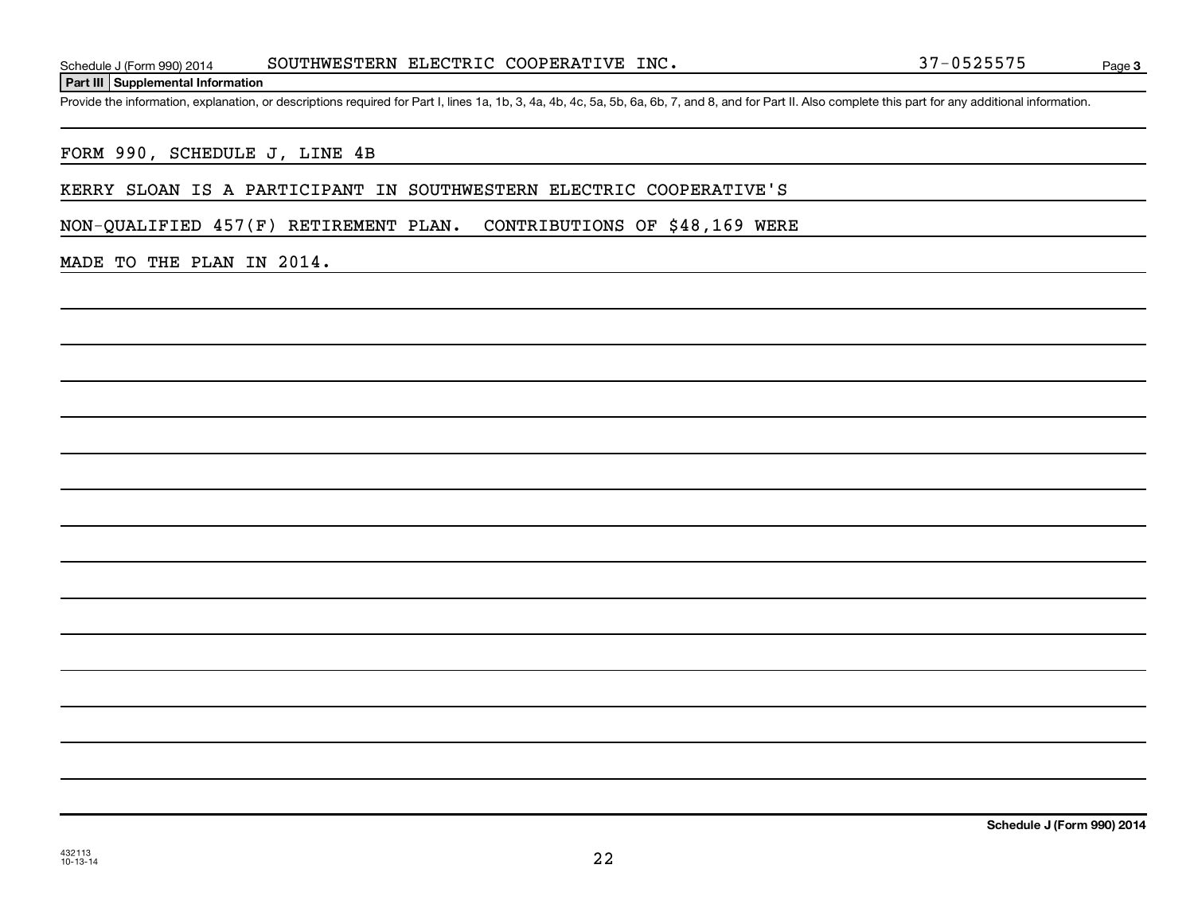Page 3

Provide the information, explanation, or descriptions required for Part I, lines 1a, 1b, 3, 4a, 4b, 4c, 5a, 5b, 6a, 6b, 7, and 8, and for Part II. Also complete this part for any additional information.

#### FORM 990, SCHEDULE J, LINE 4B

#### KERRY SLOAN IS A PARTICIPANT IN SOUTHWESTERN ELECTRIC COOPERATIVE'S

NON-QUALIFIED 457(F) RETIREMENT PLAN. CONTRIBUTIONS OF \$48,169 WERE

#### MADE TO THE PLAN IN 2014.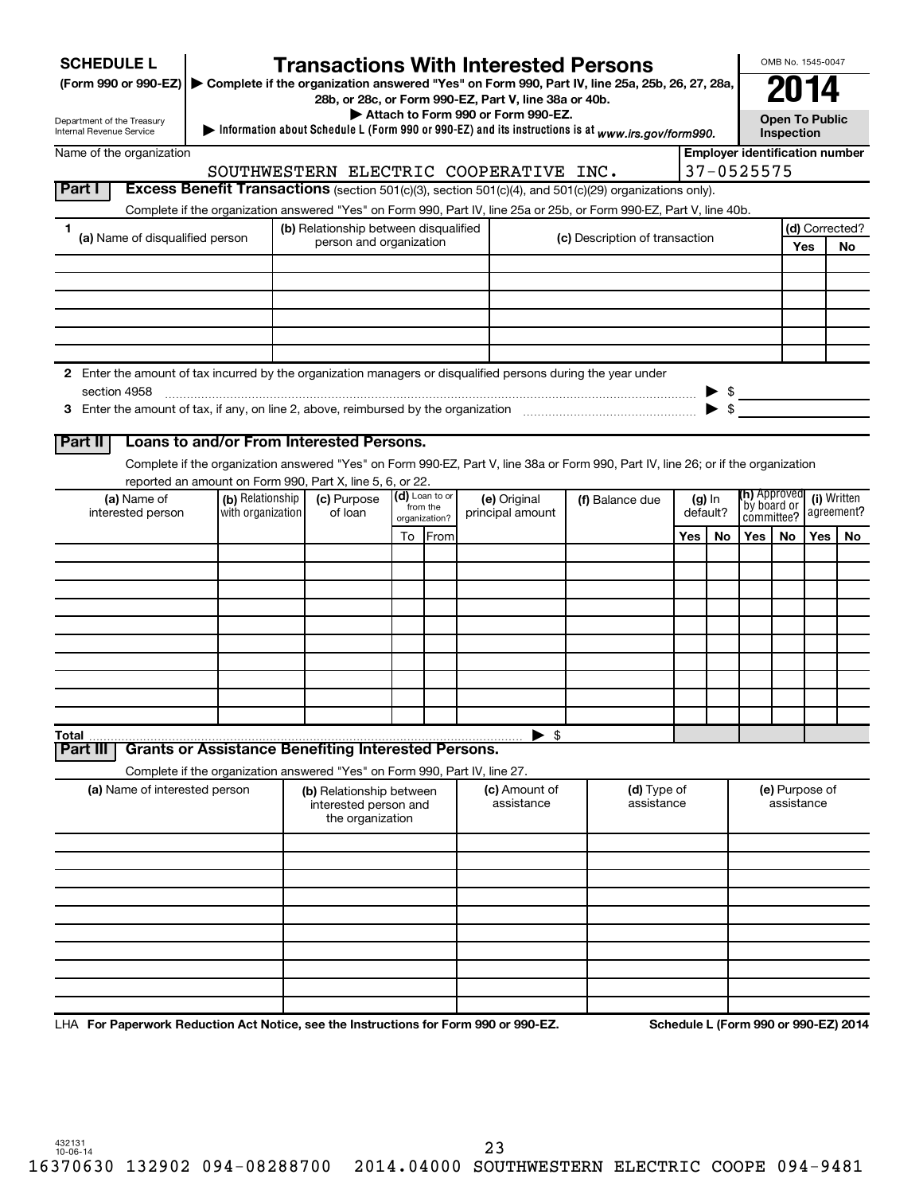| <b>SCHEDULE L</b>                                                                                                             |                                                                                                   | <b>Transactions With Interested Persons</b>                                                                                                                                                     |  |                           |                                    |               |                                |                                     |          |                                                                                             |            | OMB No. 1545-0047 |                                      |
|-------------------------------------------------------------------------------------------------------------------------------|---------------------------------------------------------------------------------------------------|-------------------------------------------------------------------------------------------------------------------------------------------------------------------------------------------------|--|---------------------------|------------------------------------|---------------|--------------------------------|-------------------------------------|----------|---------------------------------------------------------------------------------------------|------------|-------------------|--------------------------------------|
| (Form 990 or 990-EZ) ▶ Complete if the organization answered "Yes" on Form 990, Part IV, line 25a, 25b, 26, 27, 28a,          |                                                                                                   |                                                                                                                                                                                                 |  |                           |                                    |               |                                |                                     |          |                                                                                             |            | 2014              |                                      |
|                                                                                                                               |                                                                                                   | 28b, or 28c, or Form 990-EZ, Part V, line 38a or 40b.                                                                                                                                           |  |                           | Attach to Form 990 or Form 990-EZ. |               |                                |                                     |          |                                                                                             |            |                   |                                      |
| Department of the Treasury<br>Internal Revenue Service                                                                        | Information about Schedule L (Form 990 or 990-EZ) and its instructions is at www.irs.gov/form990. |                                                                                                                                                                                                 |  |                           |                                    |               |                                | <b>Open To Public</b><br>Inspection |          |                                                                                             |            |                   |                                      |
| Name of the organization                                                                                                      |                                                                                                   |                                                                                                                                                                                                 |  |                           |                                    |               |                                |                                     |          | <b>Employer identification number</b>                                                       |            |                   |                                      |
| Part I                                                                                                                        |                                                                                                   | SOUTHWESTERN ELECTRIC COOPERATIVE INC.<br>Excess Benefit Transactions (section 501(c)(3), section 501(c)(4), and 501(c)(29) organizations only).                                                |  |                           |                                    |               |                                |                                     |          | 37-0525575                                                                                  |            |                   |                                      |
|                                                                                                                               |                                                                                                   | Complete if the organization answered "Yes" on Form 990, Part IV, line 25a or 25b, or Form 990-EZ, Part V, line 40b.                                                                            |  |                           |                                    |               |                                |                                     |          |                                                                                             |            |                   |                                      |
| 1.                                                                                                                            |                                                                                                   | (b) Relationship between disqualified                                                                                                                                                           |  |                           |                                    |               |                                |                                     |          |                                                                                             |            |                   | (d) Corrected?                       |
| (a) Name of disqualified person                                                                                               |                                                                                                   | person and organization                                                                                                                                                                         |  |                           |                                    |               | (c) Description of transaction |                                     |          |                                                                                             |            | Yes               | No.                                  |
|                                                                                                                               |                                                                                                   |                                                                                                                                                                                                 |  |                           |                                    |               |                                |                                     |          |                                                                                             |            |                   |                                      |
|                                                                                                                               |                                                                                                   |                                                                                                                                                                                                 |  |                           |                                    |               |                                |                                     |          |                                                                                             |            |                   |                                      |
|                                                                                                                               |                                                                                                   |                                                                                                                                                                                                 |  |                           |                                    |               |                                |                                     |          |                                                                                             |            |                   |                                      |
|                                                                                                                               |                                                                                                   |                                                                                                                                                                                                 |  |                           |                                    |               |                                |                                     |          |                                                                                             |            |                   |                                      |
|                                                                                                                               |                                                                                                   |                                                                                                                                                                                                 |  |                           |                                    |               |                                |                                     |          |                                                                                             |            |                   |                                      |
| 2 Enter the amount of tax incurred by the organization managers or disqualified persons during the year under<br>section 4958 |                                                                                                   |                                                                                                                                                                                                 |  |                           |                                    |               |                                |                                     |          |                                                                                             |            |                   |                                      |
|                                                                                                                               |                                                                                                   |                                                                                                                                                                                                 |  |                           |                                    |               |                                |                                     |          | $\begin{array}{c}\n\updownarrow \\ \hline\n\updownarrow \\ \hline\n\downarrow\n\end{array}$ |            |                   |                                      |
|                                                                                                                               |                                                                                                   |                                                                                                                                                                                                 |  |                           |                                    |               |                                |                                     |          |                                                                                             |            |                   |                                      |
| Part II                                                                                                                       |                                                                                                   | Loans to and/or From Interested Persons.                                                                                                                                                        |  |                           |                                    |               |                                |                                     |          |                                                                                             |            |                   |                                      |
|                                                                                                                               |                                                                                                   | Complete if the organization answered "Yes" on Form 990-EZ, Part V, line 38a or Form 990, Part IV, line 26; or if the organization<br>reported an amount on Form 990, Part X, line 5, 6, or 22. |  |                           |                                    |               |                                |                                     |          |                                                                                             |            |                   |                                      |
| (a) Name of                                                                                                                   | (b) Relationship                                                                                  | (c) Purpose                                                                                                                                                                                     |  | (d) Loan to or            | (e) Original                       |               | (f) Balance due                |                                     | $(g)$ In | <b>(h)</b> Approved                                                                         |            |                   | (i) Written                          |
| interested person                                                                                                             | with organization                                                                                 | of loan                                                                                                                                                                                         |  | from the<br>organization? | principal amount                   |               |                                |                                     | default? | `by board or<br>committee?                                                                  |            |                   | agreement?                           |
|                                                                                                                               |                                                                                                   |                                                                                                                                                                                                 |  | To From                   |                                    |               |                                | Yes                                 | No       | Yes I                                                                                       | No.        | Yes               | No.                                  |
|                                                                                                                               |                                                                                                   |                                                                                                                                                                                                 |  |                           |                                    |               |                                |                                     |          |                                                                                             |            |                   |                                      |
|                                                                                                                               |                                                                                                   |                                                                                                                                                                                                 |  |                           |                                    |               |                                |                                     |          |                                                                                             |            |                   |                                      |
|                                                                                                                               |                                                                                                   |                                                                                                                                                                                                 |  |                           |                                    |               |                                |                                     |          |                                                                                             |            |                   |                                      |
|                                                                                                                               |                                                                                                   |                                                                                                                                                                                                 |  |                           |                                    |               |                                |                                     |          |                                                                                             |            |                   |                                      |
|                                                                                                                               |                                                                                                   |                                                                                                                                                                                                 |  |                           |                                    |               |                                |                                     |          |                                                                                             |            |                   |                                      |
|                                                                                                                               |                                                                                                   |                                                                                                                                                                                                 |  |                           |                                    |               |                                |                                     |          |                                                                                             |            |                   |                                      |
|                                                                                                                               |                                                                                                   |                                                                                                                                                                                                 |  |                           |                                    |               |                                |                                     |          |                                                                                             |            |                   |                                      |
|                                                                                                                               |                                                                                                   |                                                                                                                                                                                                 |  |                           |                                    |               |                                |                                     |          |                                                                                             |            |                   |                                      |
| Total<br><b>Part III</b>                                                                                                      |                                                                                                   | <b>Grants or Assistance Benefiting Interested Persons.</b>                                                                                                                                      |  |                           |                                    | \$            |                                |                                     |          |                                                                                             |            |                   |                                      |
|                                                                                                                               |                                                                                                   | Complete if the organization answered "Yes" on Form 990, Part IV, line 27.                                                                                                                      |  |                           |                                    |               |                                |                                     |          |                                                                                             |            |                   |                                      |
| (a) Name of interested person                                                                                                 |                                                                                                   | (b) Relationship between                                                                                                                                                                        |  |                           |                                    | (c) Amount of | (d) Type of                    |                                     |          |                                                                                             |            | (e) Purpose of    |                                      |
|                                                                                                                               |                                                                                                   | interested person and                                                                                                                                                                           |  |                           |                                    | assistance    | assistance                     |                                     |          |                                                                                             | assistance |                   |                                      |
|                                                                                                                               |                                                                                                   | the organization                                                                                                                                                                                |  |                           |                                    |               |                                |                                     |          |                                                                                             |            |                   |                                      |
|                                                                                                                               |                                                                                                   |                                                                                                                                                                                                 |  |                           |                                    |               |                                |                                     |          |                                                                                             |            |                   |                                      |
|                                                                                                                               |                                                                                                   |                                                                                                                                                                                                 |  |                           |                                    |               |                                |                                     |          |                                                                                             |            |                   |                                      |
|                                                                                                                               |                                                                                                   |                                                                                                                                                                                                 |  |                           |                                    |               |                                |                                     |          |                                                                                             |            |                   |                                      |
|                                                                                                                               |                                                                                                   |                                                                                                                                                                                                 |  |                           |                                    |               |                                |                                     |          |                                                                                             |            |                   |                                      |
|                                                                                                                               |                                                                                                   |                                                                                                                                                                                                 |  |                           |                                    |               |                                |                                     |          |                                                                                             |            |                   |                                      |
|                                                                                                                               |                                                                                                   |                                                                                                                                                                                                 |  |                           |                                    |               |                                |                                     |          |                                                                                             |            |                   |                                      |
|                                                                                                                               |                                                                                                   |                                                                                                                                                                                                 |  |                           |                                    |               |                                |                                     |          |                                                                                             |            |                   |                                      |
|                                                                                                                               |                                                                                                   |                                                                                                                                                                                                 |  |                           |                                    |               |                                |                                     |          |                                                                                             |            |                   |                                      |
| LHA For Paperwork Reduction Act Notice, see the Instructions for Form 990 or 990-EZ.                                          |                                                                                                   |                                                                                                                                                                                                 |  |                           |                                    |               |                                |                                     |          |                                                                                             |            |                   | Schedule L (Form 990 or 990-EZ) 2014 |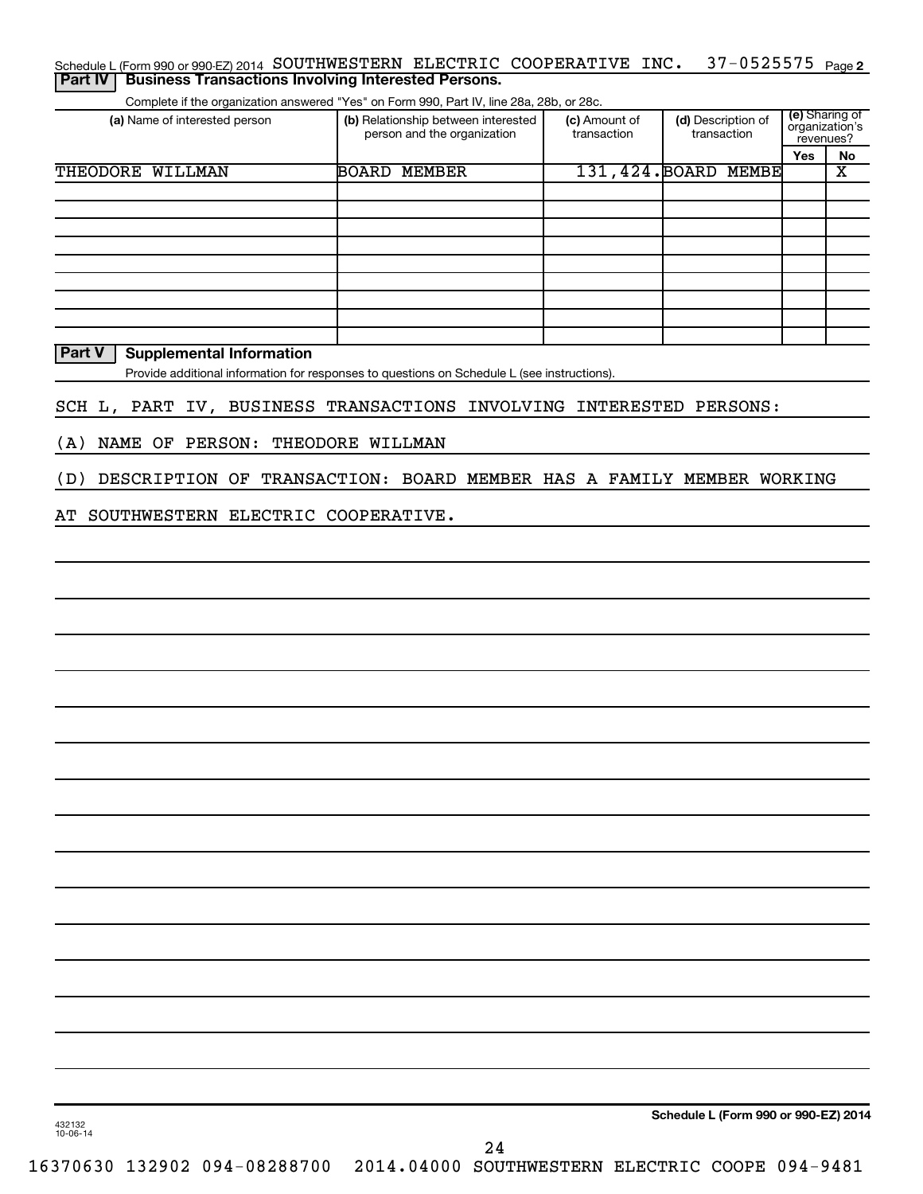| (a) Name of interested person                                       | Complete if the organization answered "Yes" on Form 990, Part IV, line 28a, 28b, or 28c.<br>(b) Relationship between interested | (c) Amount of | (d) Description of   | (e) Sharing of              |                               |
|---------------------------------------------------------------------|---------------------------------------------------------------------------------------------------------------------------------|---------------|----------------------|-----------------------------|-------------------------------|
|                                                                     | person and the organization                                                                                                     | transaction   | transaction          | organization's<br>revenues? |                               |
| THEODORE WILLMAN                                                    | <b>BOARD MEMBER</b>                                                                                                             |               | 131,424. BOARD MEMBE | Yes                         | No<br>$\overline{\textbf{X}}$ |
|                                                                     |                                                                                                                                 |               |                      |                             |                               |
|                                                                     |                                                                                                                                 |               |                      |                             |                               |
|                                                                     |                                                                                                                                 |               |                      |                             |                               |
|                                                                     |                                                                                                                                 |               |                      |                             |                               |
|                                                                     |                                                                                                                                 |               |                      |                             |                               |
|                                                                     |                                                                                                                                 |               |                      |                             |                               |
| Part V<br><b>Supplemental Information</b>                           |                                                                                                                                 |               |                      |                             |                               |
|                                                                     | Provide additional information for responses to questions on Schedule L (see instructions).                                     |               |                      |                             |                               |
|                                                                     |                                                                                                                                 |               |                      |                             |                               |
| SCH L, PART IV, BUSINESS TRANSACTIONS INVOLVING INTERESTED PERSONS: |                                                                                                                                 |               |                      |                             |                               |
| NAME OF PERSON:<br>(A)                                              | THEODORE WILLMAN                                                                                                                |               |                      |                             |                               |
| DESCRIPTION OF                                                      | TRANSACTION: BOARD MEMBER HAS A FAMILY MEMBER WORKING                                                                           |               |                      |                             |                               |
| (D)                                                                 |                                                                                                                                 |               |                      |                             |                               |
| SOUTHWESTERN ELECTRIC COOPERATIVE.<br>AТ                            |                                                                                                                                 |               |                      |                             |                               |
|                                                                     |                                                                                                                                 |               |                      |                             |                               |
|                                                                     |                                                                                                                                 |               |                      |                             |                               |
|                                                                     |                                                                                                                                 |               |                      |                             |                               |
|                                                                     |                                                                                                                                 |               |                      |                             |                               |
|                                                                     |                                                                                                                                 |               |                      |                             |                               |
|                                                                     |                                                                                                                                 |               |                      |                             |                               |
|                                                                     |                                                                                                                                 |               |                      |                             |                               |
|                                                                     |                                                                                                                                 |               |                      |                             |                               |
|                                                                     |                                                                                                                                 |               |                      |                             |                               |
|                                                                     |                                                                                                                                 |               |                      |                             |                               |
|                                                                     |                                                                                                                                 |               |                      |                             |                               |
|                                                                     |                                                                                                                                 |               |                      |                             |                               |
|                                                                     |                                                                                                                                 |               |                      |                             |                               |
|                                                                     |                                                                                                                                 |               |                      |                             |                               |
|                                                                     |                                                                                                                                 |               |                      |                             |                               |
|                                                                     |                                                                                                                                 |               |                      |                             |                               |
|                                                                     |                                                                                                                                 |               |                      |                             |                               |
|                                                                     |                                                                                                                                 |               |                      |                             |                               |
|                                                                     |                                                                                                                                 |               |                      |                             |                               |
|                                                                     |                                                                                                                                 |               |                      |                             |                               |
|                                                                     |                                                                                                                                 |               |                      |                             |                               |
|                                                                     |                                                                                                                                 |               |                      |                             |                               |
|                                                                     |                                                                                                                                 |               |                      |                             |                               |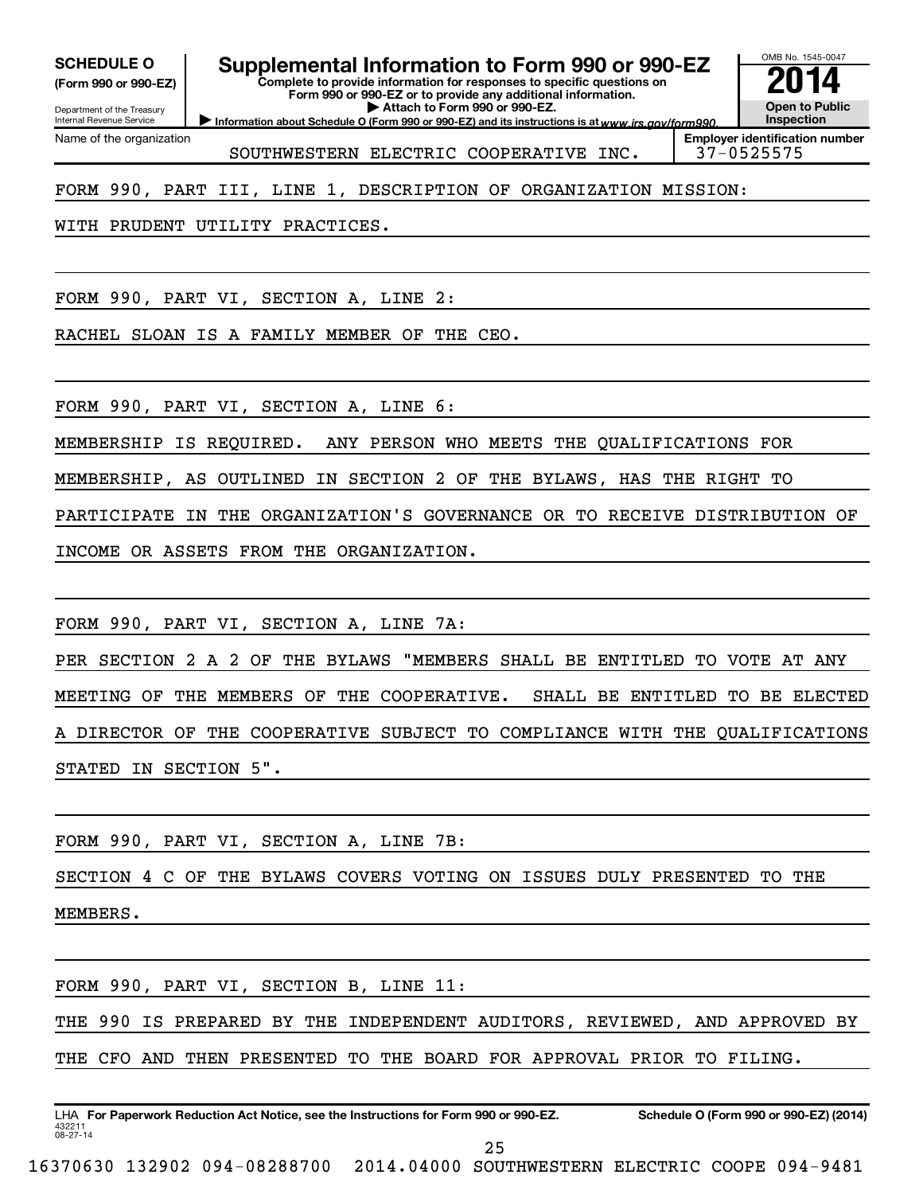**(Form 990 or 990-EZ)**

Department of the Treasury Internal Revenue Service Name of the organization

# SCHEDULE O **Supplemental Information to Form 990 or 990-EZ 2014**<br>(Form 990 or 990-EZ) **2014**

**Complete to provide information for responses to specific questions on Form 990 or 990-EZ or to provide any additional information. | Attach to Form 990 or 990-EZ.**

Information about Schedule O (Form 990 or 990-EZ) and its instructions is at www.irs.gov/form990.

OMB No. 1545-0047 **Open to Public Inspection**

**Employer identification number**

SOUTHWESTERN ELECTRIC COOPERATIVE INC.

FORM 990, PART III, LINE 1, DESCRIPTION OF ORGANIZATION MISSION:

WITH PRUDENT UTILITY PRACTICES.

FORM 990, PART VI, SECTION A, LINE 2:

RACHEL SLOAN IS A FAMILY MEMBER OF THE CEO.

FORM 990, PART VI, SECTION A, LINE 6:

MEMBERSHIP IS REQUIRED. ANY PERSON WHO MEETS THE QUALIFICATIONS FOR

MEMBERSHIP, AS OUTLINED IN SECTION 2 OF THE BYLAWS, HAS THE RIGHT TO

PARTICIPATE IN THE ORGANIZATION'S GOVERNANCE OR TO RECEIVE DISTRIBUTION OF

INCOME OR ASSETS FROM THE ORGANIZATION.

FORM 990, PART VI, SECTION A, LINE 7A:

PER SECTION 2 A 2 OF THE BYLAWS "MEMBERS SHALL BE ENTITLED TO VOTE AT ANY MEETING OF THE MEMBERS OF THE COOPERATIVE. SHALL BE ENTITLED TO BE ELECTED A DIRECTOR OF THE COOPERATIVE SUBJECT TO COMPLIANCE WITH THE QUALIFICATIONS STATED IN SECTION 5".

FORM 990, PART VI, SECTION A, LINE 7B:

SECTION 4 C OF THE BYLAWS COVERS VOTING ON ISSUES DULY PRESENTED TO THE MEMBERS.

FORM 990, PART VI, SECTION B, LINE 11:

THE 990 IS PREPARED BY THE INDEPENDENT AUDITORS, REVIEWED, AND APPROVED BY THE CFO AND THEN PRESENTED TO THE BOARD FOR APPROVAL PRIOR TO FILING.

432211 08-27-14 LHA For Paperwork Reduction Act Notice, see the Instructions for Form 990 or 990-EZ. Schedule O (Form 990 or 990-EZ) (2014) 25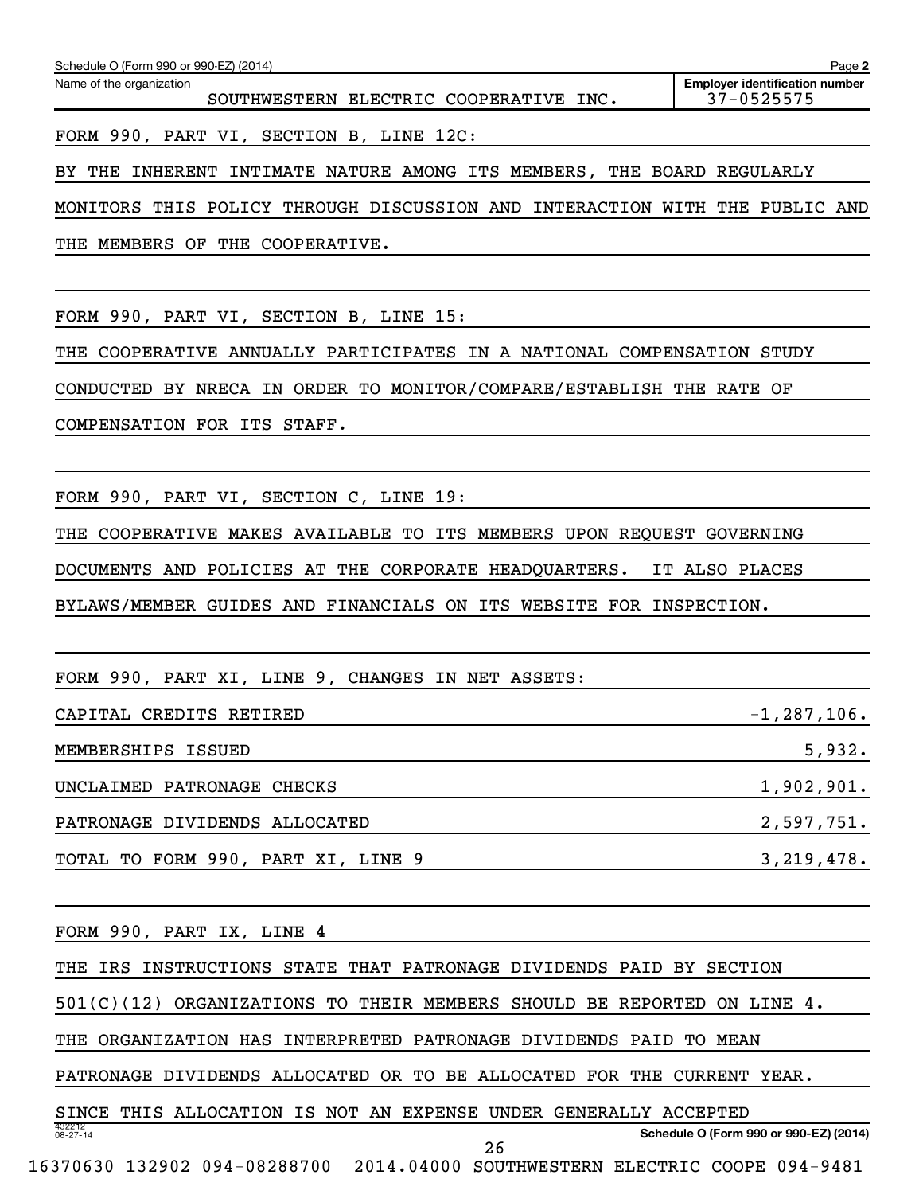|                                                                             | Page 2                                              |
|-----------------------------------------------------------------------------|-----------------------------------------------------|
| Name of the organization<br>SOUTHWESTERN ELECTRIC COOPERATIVE INC.          | <b>Employer identification number</b><br>37-0525575 |
| FORM 990, PART VI, SECTION B, LINE 12C:                                     |                                                     |
| BY THE INHERENT INTIMATE NATURE AMONG ITS MEMBERS, THE BOARD REGULARLY      |                                                     |
| MONITORS THIS POLICY THROUGH DISCUSSION AND INTERACTION WITH THE PUBLIC AND |                                                     |
| THE MEMBERS OF THE COOPERATIVE.                                             |                                                     |
|                                                                             |                                                     |
| FORM 990, PART VI, SECTION B, LINE 15:                                      |                                                     |
| THE COOPERATIVE ANNUALLY PARTICIPATES IN A NATIONAL COMPENSATION STUDY      |                                                     |
| CONDUCTED BY NRECA IN ORDER TO MONITOR/COMPARE/ESTABLISH THE RATE OF        |                                                     |
| COMPENSATION FOR ITS STAFF.                                                 |                                                     |
|                                                                             |                                                     |
| FORM 990, PART VI, SECTION C, LINE 19:                                      |                                                     |
| THE COOPERATIVE MAKES AVAILABLE TO ITS MEMBERS UPON REQUEST GOVERNING       |                                                     |
| DOCUMENTS AND POLICIES AT THE CORPORATE HEADQUARTERS. IT ALSO PLACES        |                                                     |
| BYLAWS/MEMBER GUIDES AND FINANCIALS ON ITS WEBSITE FOR INSPECTION.          |                                                     |
|                                                                             |                                                     |
| FORM 990, PART XI, LINE 9, CHANGES IN NET ASSETS:                           |                                                     |
| CAPITAL CREDITS RETIRED                                                     | $-1, 287, 106.$                                     |
| MEMBERSHIPS ISSUED                                                          | 5,932.                                              |
| UNCLAIMED PATRONAGE CHECKS                                                  | 1,902,901.                                          |
| PATRONAGE DIVIDENDS ALLOCATED                                               | 2,597,751.                                          |
| TOTAL TO FORM 990, PART XI, LINE 9                                          | 3,219,478.                                          |
|                                                                             |                                                     |
| FORM 990, PART IX, LINE 4                                                   |                                                     |
| THE IRS INSTRUCTIONS STATE THAT PATRONAGE DIVIDENDS PAID BY SECTION         |                                                     |
| $501(C)(12)$ ORGANIZATIONS TO THEIR MEMBERS SHOULD BE REPORTED ON LINE 4.   |                                                     |
| THE ORGANIZATION HAS INTERPRETED PATRONAGE DIVIDENDS PAID TO MEAN           |                                                     |

PATRONAGE DIVIDENDS ALLOCATED OR TO BE ALLOCATED FOR THE CURRENT YEAR.

432212 08-27-14 **Schedule O (Form 990 or 990-EZ) (2014)** SINCE THIS ALLOCATION IS NOT AN EXPENSE UNDER GENERALLY ACCEPTED 26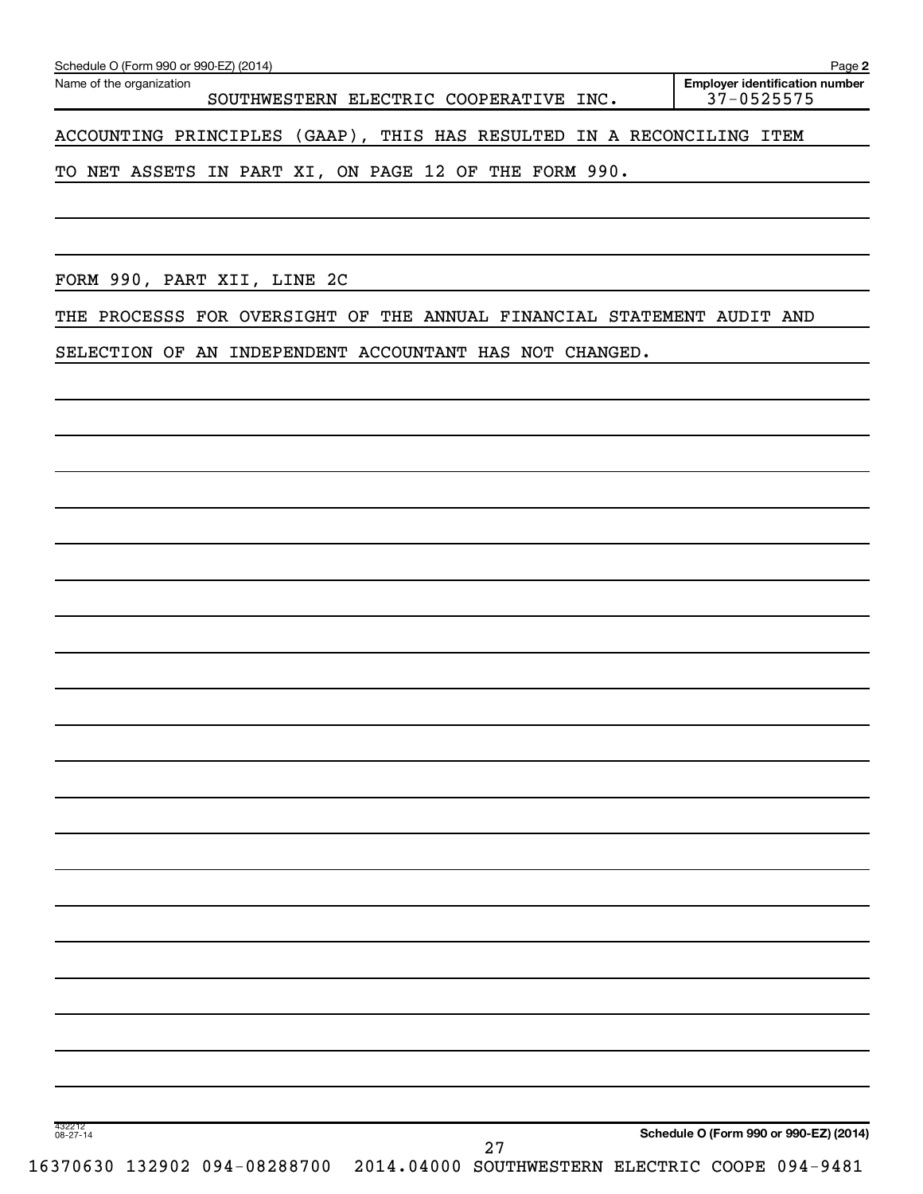|  |  | SELECTION OF AN INDEPENDENT ACCOUNTANT HAS NOT CHANGED.                                                                                               |  |  |
|--|--|-------------------------------------------------------------------------------------------------------------------------------------------------------|--|--|
|  |  | THE PROCESSS FOR OVERSIGHT OF THE ANNUAL FINANCIAL STATEMENT AUDIT AND                                                                                |  |  |
|  |  | <u> 1989 - Andrea Santana, amerikana amerikana amerikana amerikana amerikana amerikana amerikana amerikana amerika</u><br>FORM 990, PART XII, LINE 2C |  |  |
|  |  | ,我们也不会有什么。""我们的人,我们也不会有什么?""我们的人,我们也不会有什么?""我们的人,我们也不会有什么?""我们的人,我们也不会有什么?""我们的人                                                                      |  |  |
|  |  | TO NET ASSETS IN PART XI, ON PAGE 12 OF THE FORM 990.                                                                                                 |  |  |
|  |  |                                                                                                                                                       |  |  |

Name of the organization

**2 Employer identification number**